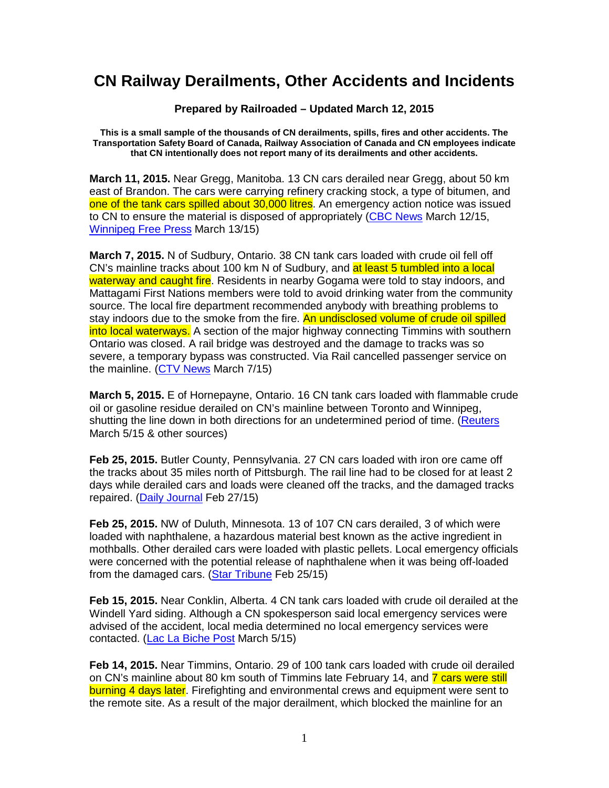## **CN Railway Derailments, Other Accidents and Incidents**

**Prepared by Railroaded – Updated March 12, 2015** 

**This is a small sample of the thousands of CN derailments, spills, fires and other accidents. The Transportation Safety Board of Canada, Railway Association of Canada and CN employees indicate that CN intentionally does not report many of its derailments and other accidents.** 

**March 11, 2015.** Near Gregg, Manitoba. 13 CN cars derailed near Gregg, about 50 km east of Brandon. The cars were carrying refinery cracking stock, a type of bitumen, and one of the tank cars spilled about 30,000 litres. An emergency action notice was issued to CN to ensure the material is disposed of appropriately (CBC News March 12/15, Winnipeg Free Press March 13/15)

**March 7, 2015.** N of Sudbury, Ontario. 38 CN tank cars loaded with crude oil fell off CN's mainline tracks about 100 km N of Sudbury, and at least 5 tumbled into a local waterway and caught fire. Residents in nearby Gogama were told to stay indoors, and Mattagami First Nations members were told to avoid drinking water from the community source. The local fire department recommended anybody with breathing problems to stay indoors due to the smoke from the fire. An undisclosed volume of crude oil spilled into local waterways. A section of the major highway connecting Timmins with southern Ontario was closed. A rail bridge was destroyed and the damage to tracks was so severe, a temporary bypass was constructed. Via Rail cancelled passenger service on the mainline. (CTV News March 7/15)

**March 5, 2015.** E of Hornepayne, Ontario. 16 CN tank cars loaded with flammable crude oil or gasoline residue derailed on CN's mainline between Toronto and Winnipeg, shutting the line down in both directions for an undetermined period of time. (Reuters March 5/15 & other sources)

**Feb 25, 2015.** Butler County, Pennsylvania. 27 CN cars loaded with iron ore came off the tracks about 35 miles north of Pittsburgh. The rail line had to be closed for at least 2 days while derailed cars and loads were cleaned off the tracks, and the damaged tracks repaired. (Daily Journal Feb 27/15)

**Feb 25, 2015.** NW of Duluth, Minnesota. 13 of 107 CN cars derailed, 3 of which were loaded with naphthalene, a hazardous material best known as the active ingredient in mothballs. Other derailed cars were loaded with plastic pellets. Local emergency officials were concerned with the potential release of naphthalene when it was being off-loaded from the damaged cars. (Star Tribune Feb 25/15)

**Feb 15, 2015.** Near Conklin, Alberta. 4 CN tank cars loaded with crude oil derailed at the Windell Yard siding. Although a CN spokesperson said local emergency services were advised of the accident, local media determined no local emergency services were contacted. (Lac La Biche Post March 5/15)

**Feb 14, 2015.** Near Timmins, Ontario. 29 of 100 tank cars loaded with crude oil derailed on CN's mainline about 80 km south of Timmins late February 14, and 7 cars were still burning 4 days later. Firefighting and environmental crews and equipment were sent to the remote site. As a result of the major derailment, which blocked the mainline for an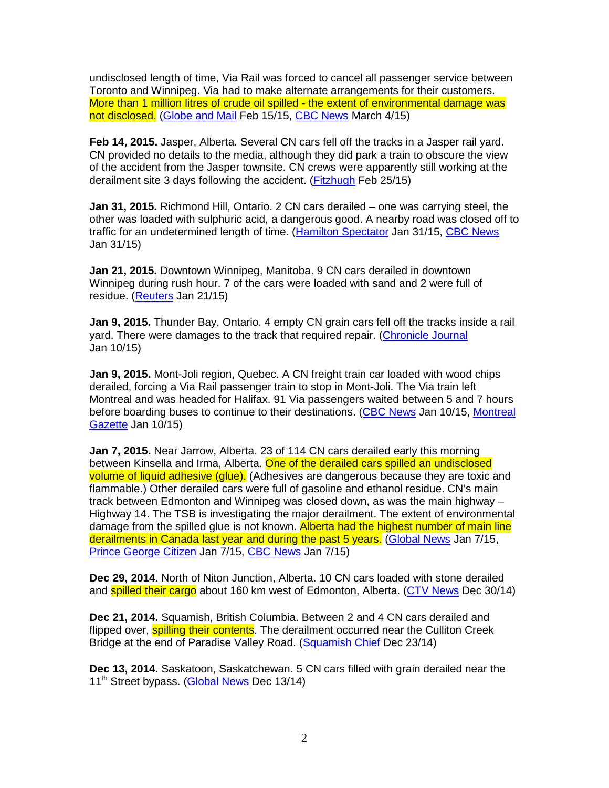undisclosed length of time, Via Rail was forced to cancel all passenger service between Toronto and Winnipeg. Via had to make alternate arrangements for their customers. More than 1 million litres of crude oil spilled - the extent of environmental damage was not disclosed. (Globe and Mail Feb 15/15, CBC News March 4/15)

**Feb 14, 2015.** Jasper, Alberta. Several CN cars fell off the tracks in a Jasper rail yard. CN provided no details to the media, although they did park a train to obscure the view of the accident from the Jasper townsite. CN crews were apparently still working at the derailment site 3 days following the accident. (Fitzhugh Feb 25/15)

**Jan 31, 2015.** Richmond Hill, Ontario. 2 CN cars derailed – one was carrying steel, the other was loaded with sulphuric acid, a dangerous good. A nearby road was closed off to traffic for an undetermined length of time. (Hamilton Spectator Jan 31/15, CBC News Jan 31/15)

**Jan 21, 2015.** Downtown Winnipeg, Manitoba. 9 CN cars derailed in downtown Winnipeg during rush hour. 7 of the cars were loaded with sand and 2 were full of residue. (Reuters Jan 21/15)

**Jan 9, 2015.** Thunder Bay, Ontario. 4 empty CN grain cars fell off the tracks inside a rail yard. There were damages to the track that required repair. (Chronicle Journal Jan 10/15)

**Jan 9, 2015.** Mont-Joli region, Quebec. A CN freight train car loaded with wood chips derailed, forcing a Via Rail passenger train to stop in Mont-Joli. The Via train left Montreal and was headed for Halifax. 91 Via passengers waited between 5 and 7 hours before boarding buses to continue to their destinations. (CBC News Jan 10/15, Montreal Gazette Jan 10/15)

**Jan 7, 2015.** Near Jarrow, Alberta. 23 of 114 CN cars derailed early this morning between Kinsella and Irma, Alberta. One of the derailed cars spilled an undisclosed volume of liquid adhesive (glue). (Adhesives are dangerous because they are toxic and flammable.) Other derailed cars were full of gasoline and ethanol residue. CN's main track between Edmonton and Winnipeg was closed down, as was the main highway – Highway 14. The TSB is investigating the major derailment. The extent of environmental damage from the spilled glue is not known. Alberta had the highest number of main line derailments in Canada last year and during the past 5 years. (Global News Jan 7/15, Prince George Citizen Jan 7/15, CBC News Jan 7/15)

**Dec 29, 2014.** North of Niton Junction, Alberta. 10 CN cars loaded with stone derailed and **spilled their cargo** about 160 km west of Edmonton, Alberta. (CTV News Dec 30/14)

**Dec 21, 2014.** Squamish, British Columbia. Between 2 and 4 CN cars derailed and flipped over, **spilling their contents**. The derailment occurred near the Culliton Creek Bridge at the end of Paradise Valley Road. (Squamish Chief Dec 23/14)

**Dec 13, 2014.** Saskatoon, Saskatchewan. 5 CN cars filled with grain derailed near the 11<sup>th</sup> Street bypass. (Global News Dec 13/14)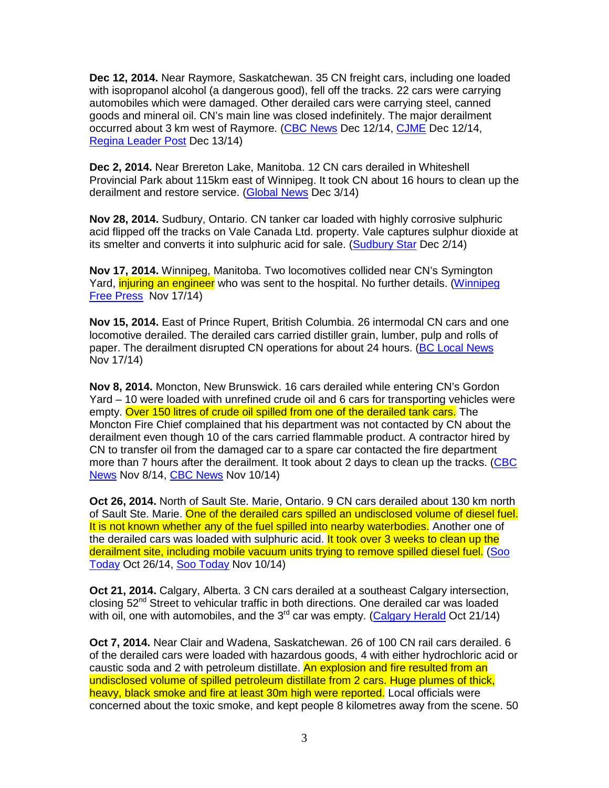**Dec 12, 2014.** Near Raymore, Saskatchewan. 35 CN freight cars, including one loaded with isopropanol alcohol (a dangerous good), fell off the tracks. 22 cars were carrying automobiles which were damaged. Other derailed cars were carrying steel, canned goods and mineral oil. CN's main line was closed indefinitely. The major derailment occurred about 3 km west of Raymore. (CBC News Dec 12/14, CJME Dec 12/14, Regina Leader Post Dec 13/14)

**Dec 2, 2014.** Near Brereton Lake, Manitoba. 12 CN cars derailed in Whiteshell Provincial Park about 115km east of Winnipeg. It took CN about 16 hours to clean up the derailment and restore service. (Global News Dec 3/14)

**Nov 28, 2014.** Sudbury, Ontario. CN tanker car loaded with highly corrosive sulphuric acid flipped off the tracks on Vale Canada Ltd. property. Vale captures sulphur dioxide at its smelter and converts it into sulphuric acid for sale. (Sudbury Star Dec 2/14)

**Nov 17, 2014.** Winnipeg, Manitoba. Two locomotives collided near CN's Symington Yard, *injuring an engineer* who was sent to the hospital. No further details. (Winnipeg Free Press Nov 17/14)

**Nov 15, 2014.** East of Prince Rupert, British Columbia. 26 intermodal CN cars and one locomotive derailed. The derailed cars carried distiller grain, lumber, pulp and rolls of paper. The derailment disrupted CN operations for about 24 hours. (BC Local News Nov 17/14)

**Nov 8, 2014.** Moncton, New Brunswick. 16 cars derailed while entering CN's Gordon Yard – 10 were loaded with unrefined crude oil and 6 cars for transporting vehicles were empty. Over 150 litres of crude oil spilled from one of the derailed tank cars. The Moncton Fire Chief complained that his department was not contacted by CN about the derailment even though 10 of the cars carried flammable product. A contractor hired by CN to transfer oil from the damaged car to a spare car contacted the fire department more than 7 hours after the derailment. It took about 2 days to clean up the tracks. (CBC News Nov 8/14, CBC News Nov 10/14)

**Oct 26, 2014.** North of Sault Ste. Marie, Ontario. 9 CN cars derailed about 130 km north of Sault Ste. Marie. One of the derailed cars spilled an undisclosed volume of diesel fuel. It is not known whether any of the fuel spilled into nearby waterbodies. Another one of the derailed cars was loaded with sulphuric acid. It took over 3 weeks to clean up the derailment site, including mobile vacuum units trying to remove spilled diesel fuel. (Soo Today Oct 26/14, Soo Today Nov 10/14)

**Oct 21, 2014.** Calgary, Alberta. 3 CN cars derailed at a southeast Calgary intersection, closing 52<sup>nd</sup> Street to vehicular traffic in both directions. One derailed car was loaded with oil, one with automobiles, and the  $3<sup>rd</sup>$  car was empty. (Calgary Herald Oct 21/14)

**Oct 7, 2014.** Near Clair and Wadena, Saskatchewan. 26 of 100 CN rail cars derailed. 6 of the derailed cars were loaded with hazardous goods, 4 with either hydrochloric acid or caustic soda and 2 with petroleum distillate. An explosion and fire resulted from an undisclosed volume of spilled petroleum distillate from 2 cars. Huge plumes of thick, heavy, black smoke and fire at least 30m high were reported. Local officials were concerned about the toxic smoke, and kept people 8 kilometres away from the scene. 50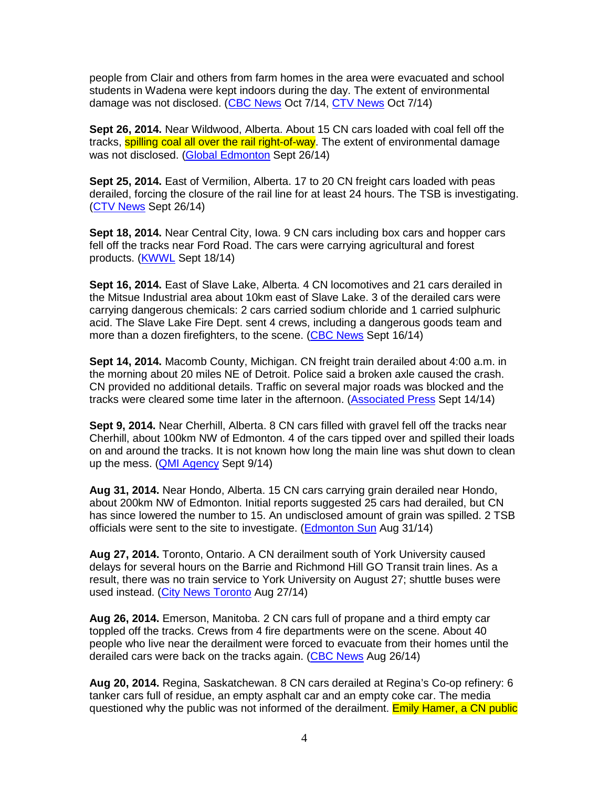people from Clair and others from farm homes in the area were evacuated and school students in Wadena were kept indoors during the day. The extent of environmental damage was not disclosed. (CBC News Oct 7/14, CTV News Oct 7/14)

**Sept 26, 2014.** Near Wildwood, Alberta. About 15 CN cars loaded with coal fell off the tracks, **spilling coal all over the rail right-of-way**. The extent of environmental damage was not disclosed. (Global Edmonton Sept 26/14)

**Sept 25, 2014.** East of Vermilion, Alberta. 17 to 20 CN freight cars loaded with peas derailed, forcing the closure of the rail line for at least 24 hours. The TSB is investigating. (CTV News Sept 26/14)

**Sept 18, 2014.** Near Central City, Iowa. 9 CN cars including box cars and hopper cars fell off the tracks near Ford Road. The cars were carrying agricultural and forest products. (KWWL Sept 18/14)

**Sept 16, 2014.** East of Slave Lake, Alberta. 4 CN locomotives and 21 cars derailed in the Mitsue Industrial area about 10km east of Slave Lake. 3 of the derailed cars were carrying dangerous chemicals: 2 cars carried sodium chloride and 1 carried sulphuric acid. The Slave Lake Fire Dept. sent 4 crews, including a dangerous goods team and more than a dozen firefighters, to the scene. (CBC News Sept 16/14)

**Sept 14, 2014.** Macomb County, Michigan. CN freight train derailed about 4:00 a.m. in the morning about 20 miles NE of Detroit. Police said a broken axle caused the crash. CN provided no additional details. Traffic on several major roads was blocked and the tracks were cleared some time later in the afternoon. (Associated Press Sept 14/14)

**Sept 9, 2014.** Near Cherhill, Alberta. 8 CN cars filled with gravel fell off the tracks near Cherhill, about 100km NW of Edmonton. 4 of the cars tipped over and spilled their loads on and around the tracks. It is not known how long the main line was shut down to clean up the mess. (QMI Agency Sept 9/14)

**Aug 31, 2014.** Near Hondo, Alberta. 15 CN cars carrying grain derailed near Hondo, about 200km NW of Edmonton. Initial reports suggested 25 cars had derailed, but CN has since lowered the number to 15. An undisclosed amount of grain was spilled. 2 TSB officials were sent to the site to investigate. (Edmonton Sun Aug 31/14)

**Aug 27, 2014.** Toronto, Ontario. A CN derailment south of York University caused delays for several hours on the Barrie and Richmond Hill GO Transit train lines. As a result, there was no train service to York University on August 27; shuttle buses were used instead. (City News Toronto Aug 27/14)

**Aug 26, 2014.** Emerson, Manitoba. 2 CN cars full of propane and a third empty car toppled off the tracks. Crews from 4 fire departments were on the scene. About 40 people who live near the derailment were forced to evacuate from their homes until the derailed cars were back on the tracks again. (CBC News Aug 26/14)

**Aug 20, 2014.** Regina, Saskatchewan. 8 CN cars derailed at Regina's Co-op refinery: 6 tanker cars full of residue, an empty asphalt car and an empty coke car. The media questioned why the public was not informed of the derailment. Emily Hamer, a CN public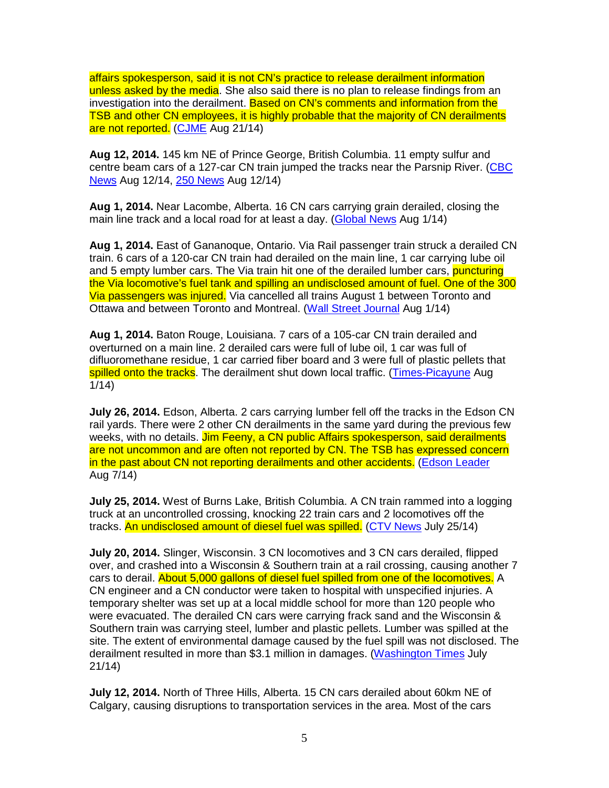affairs spokesperson, said it is not CN's practice to release derailment information unless asked by the media. She also said there is no plan to release findings from an investigation into the derailment. Based on CN's comments and information from the TSB and other CN employees, it is highly probable that the majority of CN derailments are not reported. (CJME Aug 21/14)

**Aug 12, 2014.** 145 km NE of Prince George, British Columbia. 11 empty sulfur and centre beam cars of a 127-car CN train jumped the tracks near the Parsnip River. (CBC News Aug 12/14, 250 News Aug 12/14)

**Aug 1, 2014.** Near Lacombe, Alberta. 16 CN cars carrying grain derailed, closing the main line track and a local road for at least a day. (Global News Aug 1/14)

**Aug 1, 2014.** East of Gananoque, Ontario. Via Rail passenger train struck a derailed CN train. 6 cars of a 120-car CN train had derailed on the main line, 1 car carrying lube oil and 5 empty lumber cars. The Via train hit one of the derailed lumber cars, **puncturing** the Via locomotive's fuel tank and spilling an undisclosed amount of fuel. One of the 300 Via passengers was injured. Via cancelled all trains August 1 between Toronto and Ottawa and between Toronto and Montreal. (Wall Street Journal Aug 1/14)

**Aug 1, 2014.** Baton Rouge, Louisiana. 7 cars of a 105-car CN train derailed and overturned on a main line. 2 derailed cars were full of lube oil, 1 car was full of difluoromethane residue, 1 car carried fiber board and 3 were full of plastic pellets that spilled onto the tracks. The derailment shut down local traffic. (Times-Picayune Aug 1/14)

**July 26, 2014.** Edson, Alberta. 2 cars carrying lumber fell off the tracks in the Edson CN rail yards. There were 2 other CN derailments in the same yard during the previous few weeks, with no details. Jim Feeny, a CN public Affairs spokesperson, said derailments are not uncommon and are often not reported by CN. The TSB has expressed concern in the past about CN not reporting derailments and other accidents. (Edson Leader Aug 7/14)

**July 25, 2014.** West of Burns Lake, British Columbia. A CN train rammed into a logging truck at an uncontrolled crossing, knocking 22 train cars and 2 locomotives off the tracks. An undisclosed amount of diesel fuel was spilled. (CTV News July 25/14)

**July 20, 2014.** Slinger, Wisconsin. 3 CN locomotives and 3 CN cars derailed, flipped over, and crashed into a Wisconsin & Southern train at a rail crossing, causing another 7 cars to derail. About 5,000 gallons of diesel fuel spilled from one of the locomotives. A CN engineer and a CN conductor were taken to hospital with unspecified injuries. A temporary shelter was set up at a local middle school for more than 120 people who were evacuated. The derailed CN cars were carrying frack sand and the Wisconsin & Southern train was carrying steel, lumber and plastic pellets. Lumber was spilled at the site. The extent of environmental damage caused by the fuel spill was not disclosed. The derailment resulted in more than \$3.1 million in damages. (Washington Times July 21/14)

**July 12, 2014.** North of Three Hills, Alberta. 15 CN cars derailed about 60km NE of Calgary, causing disruptions to transportation services in the area. Most of the cars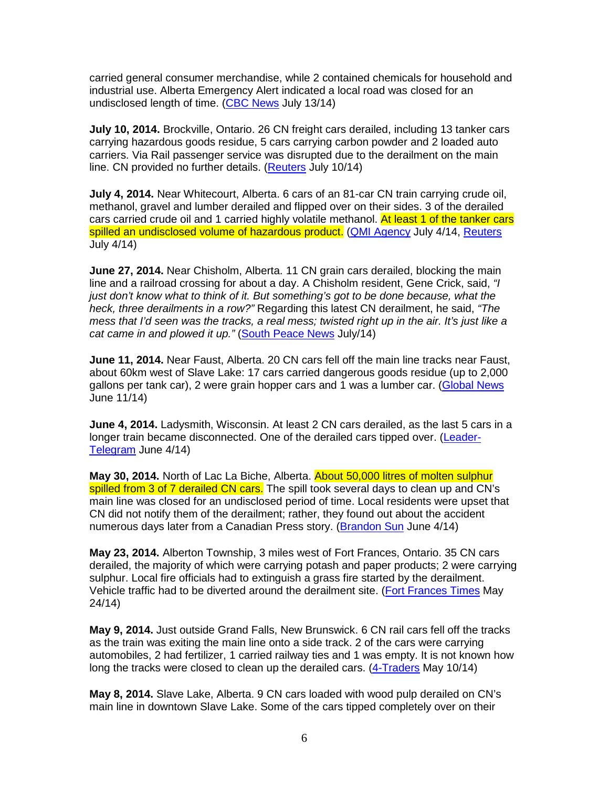carried general consumer merchandise, while 2 contained chemicals for household and industrial use. Alberta Emergency Alert indicated a local road was closed for an undisclosed length of time. (CBC News July 13/14)

**July 10, 2014.** Brockville, Ontario. 26 CN freight cars derailed, including 13 tanker cars carrying hazardous goods residue, 5 cars carrying carbon powder and 2 loaded auto carriers. Via Rail passenger service was disrupted due to the derailment on the main line. CN provided no further details. (Reuters July 10/14)

**July 4, 2014.** Near Whitecourt, Alberta. 6 cars of an 81-car CN train carrying crude oil, methanol, gravel and lumber derailed and flipped over on their sides. 3 of the derailed cars carried crude oil and 1 carried highly volatile methanol. At least 1 of the tanker cars spilled an undisclosed volume of hazardous product. (QMI Agency July 4/14, Reuters July 4/14)

**June 27, 2014.** Near Chisholm, Alberta. 11 CN grain cars derailed, blocking the main line and a railroad crossing for about a day. A Chisholm resident, Gene Crick, said, "I just don't know what to think of it. But something's got to be done because, what the heck, three derailments in a row?" Regarding this latest CN derailment, he said, "The mess that I'd seen was the tracks, a real mess; twisted right up in the air. It's just like a cat came in and plowed it up." (South Peace News July/14)

**June 11, 2014.** Near Faust, Alberta. 20 CN cars fell off the main line tracks near Faust, about 60km west of Slave Lake: 17 cars carried dangerous goods residue (up to 2,000 gallons per tank car), 2 were grain hopper cars and 1 was a lumber car. (Global News June 11/14)

**June 4, 2014.** Ladysmith, Wisconsin. At least 2 CN cars derailed, as the last 5 cars in a longer train became disconnected. One of the derailed cars tipped over. (Leader-Telegram June 4/14)

**May 30, 2014.** North of Lac La Biche, Alberta. About 50,000 litres of molten sulphur spilled from 3 of 7 derailed CN cars. The spill took several days to clean up and CN's main line was closed for an undisclosed period of time. Local residents were upset that CN did not notify them of the derailment; rather, they found out about the accident numerous days later from a Canadian Press story. (Brandon Sun June 4/14)

**May 23, 2014.** Alberton Township, 3 miles west of Fort Frances, Ontario. 35 CN cars derailed, the majority of which were carrying potash and paper products; 2 were carrying sulphur. Local fire officials had to extinguish a grass fire started by the derailment. Vehicle traffic had to be diverted around the derailment site. (Fort Frances Times May 24/14)

**May 9, 2014.** Just outside Grand Falls, New Brunswick. 6 CN rail cars fell off the tracks as the train was exiting the main line onto a side track. 2 of the cars were carrying automobiles, 2 had fertilizer, 1 carried railway ties and 1 was empty. It is not known how long the tracks were closed to clean up the derailed cars. (4-Traders May 10/14)

**May 8, 2014.** Slave Lake, Alberta. 9 CN cars loaded with wood pulp derailed on CN's main line in downtown Slave Lake. Some of the cars tipped completely over on their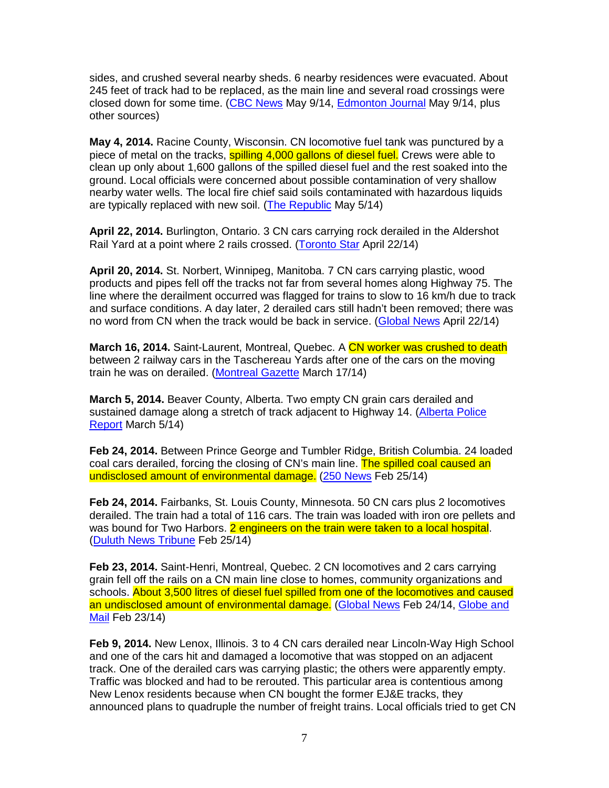sides, and crushed several nearby sheds. 6 nearby residences were evacuated. About 245 feet of track had to be replaced, as the main line and several road crossings were closed down for some time. (CBC News May 9/14, Edmonton Journal May 9/14, plus other sources)

**May 4, 2014.** Racine County, Wisconsin. CN locomotive fuel tank was punctured by a piece of metal on the tracks, **spilling 4,000 gallons of diesel fuel.** Crews were able to clean up only about 1,600 gallons of the spilled diesel fuel and the rest soaked into the ground. Local officials were concerned about possible contamination of very shallow nearby water wells. The local fire chief said soils contaminated with hazardous liquids are typically replaced with new soil. (The Republic May 5/14)

**April 22, 2014.** Burlington, Ontario. 3 CN cars carrying rock derailed in the Aldershot Rail Yard at a point where 2 rails crossed. (Toronto Star April 22/14)

**April 20, 2014.** St. Norbert, Winnipeg, Manitoba. 7 CN cars carrying plastic, wood products and pipes fell off the tracks not far from several homes along Highway 75. The line where the derailment occurred was flagged for trains to slow to 16 km/h due to track and surface conditions. A day later, 2 derailed cars still hadn't been removed; there was no word from CN when the track would be back in service. (Global News April 22/14)

**March 16, 2014.** Saint-Laurent, Montreal, Quebec. A CN worker was crushed to death between 2 railway cars in the Taschereau Yards after one of the cars on the moving train he was on derailed. (Montreal Gazette March 17/14)

**March 5, 2014.** Beaver County, Alberta. Two empty CN grain cars derailed and sustained damage along a stretch of track adjacent to Highway 14. (Alberta Police Report March 5/14)

**Feb 24, 2014.** Between Prince George and Tumbler Ridge, British Columbia. 24 loaded coal cars derailed, forcing the closing of CN's main line. The spilled coal caused an undisclosed amount of environmental damage. (250 News Feb 25/14)

**Feb 24, 2014.** Fairbanks, St. Louis County, Minnesota. 50 CN cars plus 2 locomotives derailed. The train had a total of 116 cars. The train was loaded with iron ore pellets and was bound for Two Harbors. 2 engineers on the train were taken to a local hospital. (Duluth News Tribune Feb 25/14)

**Feb 23, 2014.** Saint-Henri, Montreal, Quebec. 2 CN locomotives and 2 cars carrying grain fell off the rails on a CN main line close to homes, community organizations and schools. About 3,500 litres of diesel fuel spilled from one of the locomotives and caused an undisclosed amount of environmental damage. (Global News Feb 24/14, Globe and Mail Feb 23/14)

**Feb 9, 2014.** New Lenox, Illinois. 3 to 4 CN cars derailed near Lincoln-Way High School and one of the cars hit and damaged a locomotive that was stopped on an adjacent track. One of the derailed cars was carrying plastic; the others were apparently empty. Traffic was blocked and had to be rerouted. This particular area is contentious among New Lenox residents because when CN bought the former EJ&E tracks, they announced plans to quadruple the number of freight trains. Local officials tried to get CN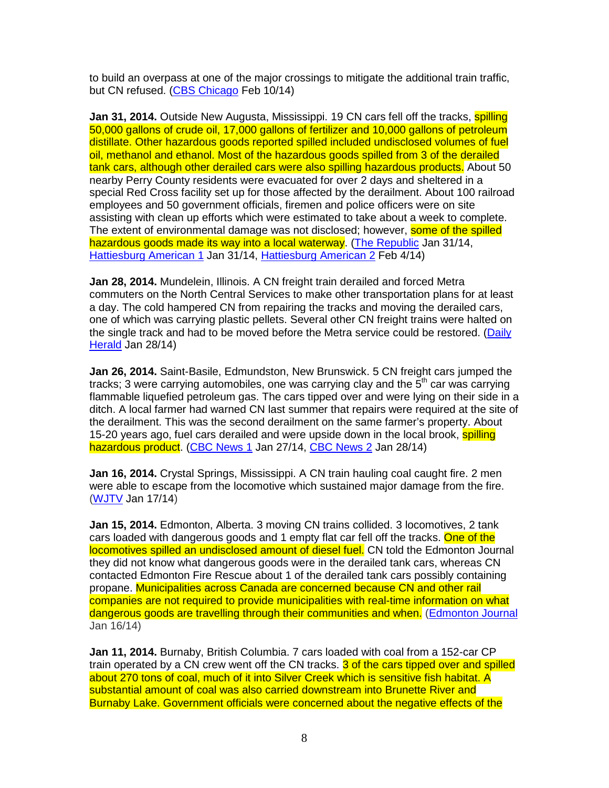to build an overpass at one of the major crossings to mitigate the additional train traffic, but CN refused. (CBS Chicago Feb 10/14)

**Jan 31, 2014.** Outside New Augusta, Mississippi. 19 CN cars fell off the tracks, **spilling** 50,000 gallons of crude oil, 17,000 gallons of fertilizer and 10,000 gallons of petroleum distillate. Other hazardous goods reported spilled included undisclosed volumes of fuel oil, methanol and ethanol. Most of the hazardous goods spilled from 3 of the derailed tank cars, although other derailed cars were also spilling hazardous products. About 50 nearby Perry County residents were evacuated for over 2 days and sheltered in a special Red Cross facility set up for those affected by the derailment. About 100 railroad employees and 50 government officials, firemen and police officers were on site assisting with clean up efforts which were estimated to take about a week to complete. The extent of environmental damage was not disclosed; however, **some of the spilled** hazardous goods made its way into a local waterway. (The Republic Jan 31/14, Hattiesburg American 1 Jan 31/14, Hattiesburg American 2 Feb 4/14)

**Jan 28, 2014.** Mundelein, Illinois. A CN freight train derailed and forced Metra commuters on the North Central Services to make other transportation plans for at least a day. The cold hampered CN from repairing the tracks and moving the derailed cars, one of which was carrying plastic pellets. Several other CN freight trains were halted on the single track and had to be moved before the Metra service could be restored. (Daily Herald Jan 28/14)

**Jan 26, 2014.** Saint-Basile, Edmundston, New Brunswick. 5 CN freight cars jumped the tracks; 3 were carrying automobiles, one was carrying clay and the  $5<sup>th</sup>$  car was carrying flammable liquefied petroleum gas. The cars tipped over and were lying on their side in a ditch. A local farmer had warned CN last summer that repairs were required at the site of the derailment. This was the second derailment on the same farmer's property. About 15-20 years ago, fuel cars derailed and were upside down in the local brook, spilling hazardous product. (CBC News 1 Jan 27/14, CBC News 2 Jan 28/14)

**Jan 16, 2014.** Crystal Springs, Mississippi. A CN train hauling coal caught fire. 2 men were able to escape from the locomotive which sustained major damage from the fire. (WJTV Jan 17/14)

**Jan 15, 2014.** Edmonton, Alberta. 3 moving CN trains collided. 3 locomotives, 2 tank cars loaded with dangerous goods and 1 empty flat car fell off the tracks. One of the locomotives spilled an undisclosed amount of diesel fuel. CN told the Edmonton Journal they did not know what dangerous goods were in the derailed tank cars, whereas CN contacted Edmonton Fire Rescue about 1 of the derailed tank cars possibly containing propane. Municipalities across Canada are concerned because CN and other rail companies are not required to provide municipalities with real-time information on what dangerous goods are travelling through their communities and when. (Edmonton Journal Jan 16/14)

**Jan 11, 2014.** Burnaby, British Columbia. 7 cars loaded with coal from a 152-car CP train operated by a CN crew went off the CN tracks. 3 of the cars tipped over and spilled about 270 tons of coal, much of it into Silver Creek which is sensitive fish habitat. A substantial amount of coal was also carried downstream into Brunette River and Burnaby Lake. Government officials were concerned about the negative effects of the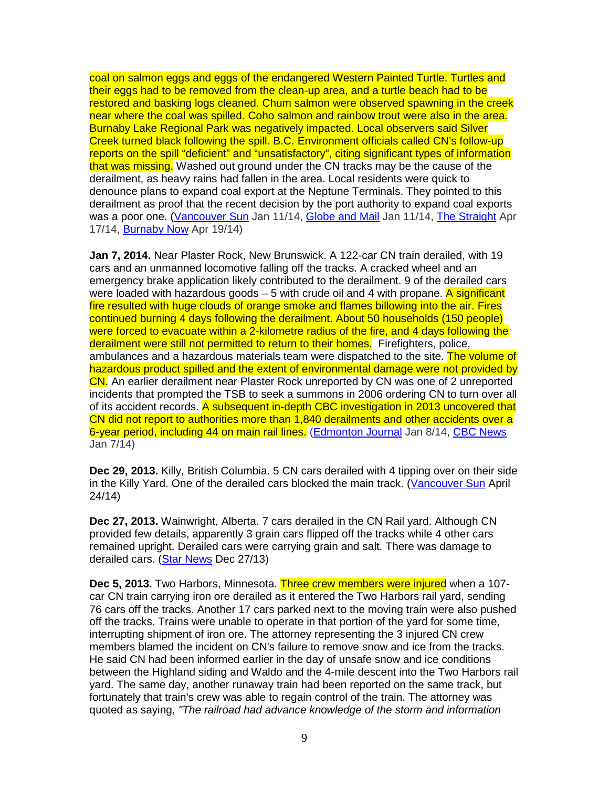coal on salmon eggs and eggs of the endangered Western Painted Turtle. Turtles and their eggs had to be removed from the clean-up area, and a turtle beach had to be restored and basking logs cleaned. Chum salmon were observed spawning in the creek near where the coal was spilled. Coho salmon and rainbow trout were also in the area. Burnaby Lake Regional Park was negatively impacted. Local observers said Silver Creek turned black following the spill. B.C. Environment officials called CN's follow-up reports on the spill "deficient" and "unsatisfactory", citing significant types of information that was missing. Washed out ground under the CN tracks may be the cause of the derailment, as heavy rains had fallen in the area. Local residents were quick to denounce plans to expand coal export at the Neptune Terminals. They pointed to this derailment as proof that the recent decision by the port authority to expand coal exports was a poor one. (Vancouver Sun Jan 11/14, Globe and Mail Jan 11/14, The Straight Apr 17/14, Burnaby Now Apr 19/14)

**Jan 7, 2014.** Near Plaster Rock, New Brunswick. A 122-car CN train derailed, with 19 cars and an unmanned locomotive falling off the tracks. A cracked wheel and an emergency brake application likely contributed to the derailment. 9 of the derailed cars were loaded with hazardous goods  $-5$  with crude oil and 4 with propane. A significant fire resulted with huge clouds of orange smoke and flames billowing into the air. Fires continued burning 4 days following the derailment. About 50 households (150 people) were forced to evacuate within a 2-kilometre radius of the fire, and 4 days following the derailment were still not permitted to return to their homes. Firefighters, police, ambulances and a hazardous materials team were dispatched to the site. The volume of hazardous product spilled and the extent of environmental damage were not provided by CN. An earlier derailment near Plaster Rock unreported by CN was one of 2 unreported incidents that prompted the TSB to seek a summons in 2006 ordering CN to turn over all of its accident records. A subsequent in-depth CBC investigation in 2013 uncovered that CN did not report to authorities more than 1,840 derailments and other accidents over a 6-year period, including 44 on main rail lines. (Edmonton Journal Jan 8/14, CBC News Jan 7/14)

**Dec 29, 2013.** Killy, British Columbia. 5 CN cars derailed with 4 tipping over on their side in the Killy Yard. One of the derailed cars blocked the main track. (Vancouver Sun April 24/14)

**Dec 27, 2013.** Wainwright, Alberta. 7 cars derailed in the CN Rail yard. Although CN provided few details, apparently 3 grain cars flipped off the tracks while 4 other cars remained upright. Derailed cars were carrying grain and salt. There was damage to derailed cars. (Star News Dec 27/13)

**Dec 5, 2013.** Two Harbors, Minnesota. Three crew members were injured when a 107 car CN train carrying iron ore derailed as it entered the Two Harbors rail yard, sending 76 cars off the tracks. Another 17 cars parked next to the moving train were also pushed off the tracks. Trains were unable to operate in that portion of the yard for some time, interrupting shipment of iron ore. The attorney representing the 3 injured CN crew members blamed the incident on CN's failure to remove snow and ice from the tracks. He said CN had been informed earlier in the day of unsafe snow and ice conditions between the Highland siding and Waldo and the 4-mile descent into the Two Harbors rail yard. The same day, another runaway train had been reported on the same track, but fortunately that train's crew was able to regain control of the train. The attorney was quoted as saying, "The railroad had advance knowledge of the storm and information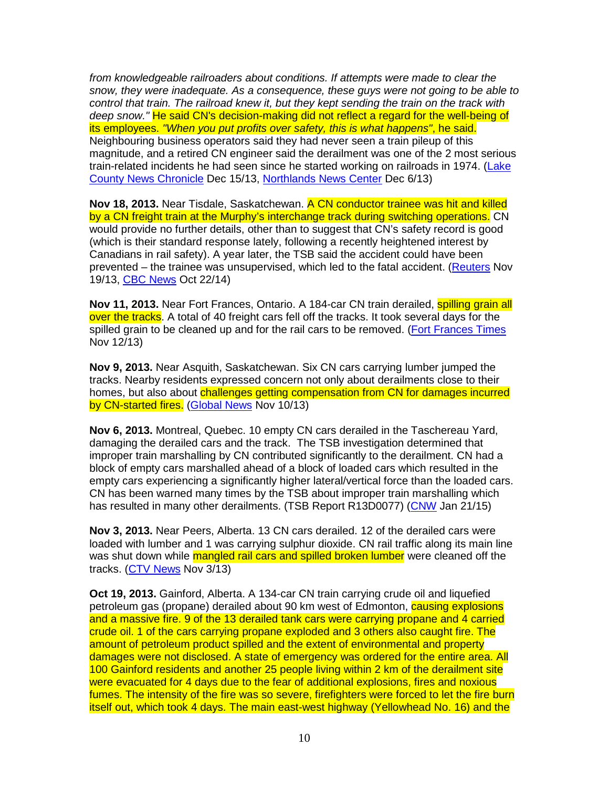from knowledgeable railroaders about conditions. If attempts were made to clear the snow, they were inadequate. As a consequence, these guys were not going to be able to control that train. The railroad knew it, but they kept sending the train on the track with deep snow." He said CN's decision-making did not reflect a regard for the well-being of its employees. "When you put profits over safety, this is what happens", he said. Neighbouring business operators said they had never seen a train pileup of this magnitude, and a retired CN engineer said the derailment was one of the 2 most serious train-related incidents he had seen since he started working on railroads in 1974. (Lake County News Chronicle Dec 15/13, Northlands News Center Dec 6/13)

**Nov 18, 2013.** Near Tisdale, Saskatchewan. A CN conductor trainee was hit and killed by a CN freight train at the Murphy's interchange track during switching operations. CN would provide no further details, other than to suggest that CN's safety record is good (which is their standard response lately, following a recently heightened interest by Canadians in rail safety). A year later, the TSB said the accident could have been prevented – the trainee was unsupervised, which led to the fatal accident. (Reuters Nov 19/13, CBC News Oct 22/14)

**Nov 11, 2013.** Near Fort Frances, Ontario. A 184-car CN train derailed, spilling grain all over the tracks. A total of 40 freight cars fell off the tracks. It took several days for the spilled grain to be cleaned up and for the rail cars to be removed. (Fort Frances Times Nov 12/13)

**Nov 9, 2013.** Near Asquith, Saskatchewan. Six CN cars carrying lumber jumped the tracks. Nearby residents expressed concern not only about derailments close to their homes, but also about challenges getting compensation from CN for damages incurred by CN-started fires. (Global News Nov 10/13)

**Nov 6, 2013.** Montreal, Quebec. 10 empty CN cars derailed in the Taschereau Yard, damaging the derailed cars and the track. The TSB investigation determined that improper train marshalling by CN contributed significantly to the derailment. CN had a block of empty cars marshalled ahead of a block of loaded cars which resulted in the empty cars experiencing a significantly higher lateral/vertical force than the loaded cars. CN has been warned many times by the TSB about improper train marshalling which has resulted in many other derailments. (TSB Report R13D0077) (CNW Jan 21/15)

**Nov 3, 2013.** Near Peers, Alberta. 13 CN cars derailed. 12 of the derailed cars were loaded with lumber and 1 was carrying sulphur dioxide. CN rail traffic along its main line was shut down while mangled rail cars and spilled broken lumber were cleaned off the tracks. (CTV News Nov 3/13)

**Oct 19, 2013.** Gainford, Alberta. A 134-car CN train carrying crude oil and liquefied petroleum gas (propane) derailed about 90 km west of Edmonton, **causing explosions** and a massive fire. 9 of the 13 derailed tank cars were carrying propane and 4 carried crude oil. 1 of the cars carrying propane exploded and 3 others also caught fire. The amount of petroleum product spilled and the extent of environmental and property damages were not disclosed. A state of emergency was ordered for the entire area. All 100 Gainford residents and another 25 people living within 2 km of the derailment site were evacuated for 4 days due to the fear of additional explosions, fires and noxious fumes. The intensity of the fire was so severe, firefighters were forced to let the fire burn itself out, which took 4 days. The main east-west highway (Yellowhead No. 16) and the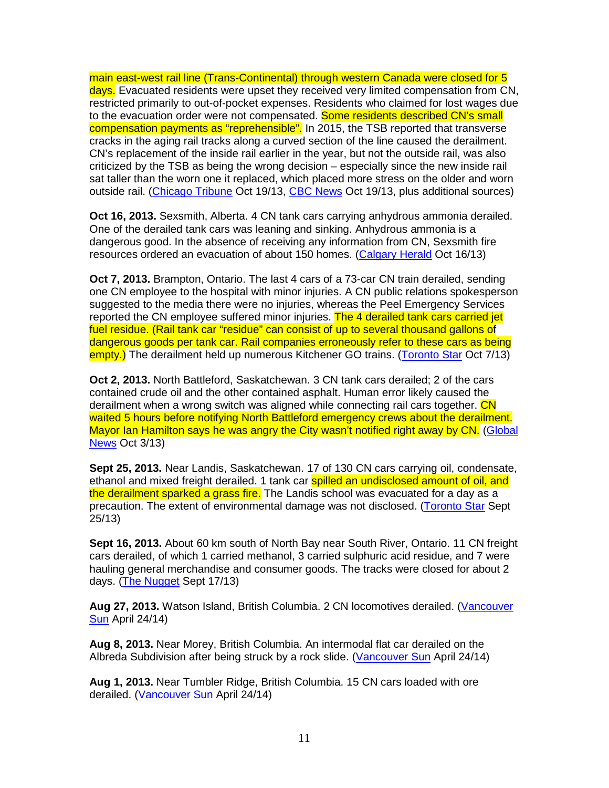main east-west rail line (Trans-Continental) through western Canada were closed for 5 days. Evacuated residents were upset they received very limited compensation from CN, restricted primarily to out-of-pocket expenses. Residents who claimed for lost wages due to the evacuation order were not compensated. Some residents described CN's small compensation payments as "reprehensible". In 2015, the TSB reported that transverse cracks in the aging rail tracks along a curved section of the line caused the derailment. CN's replacement of the inside rail earlier in the year, but not the outside rail, was also criticized by the TSB as being the wrong decision – especially since the new inside rail sat taller than the worn one it replaced, which placed more stress on the older and worn outside rail. (Chicago Tribune Oct 19/13, CBC News Oct 19/13, plus additional sources)

**Oct 16, 2013.** Sexsmith, Alberta. 4 CN tank cars carrying anhydrous ammonia derailed. One of the derailed tank cars was leaning and sinking. Anhydrous ammonia is a dangerous good. In the absence of receiving any information from CN, Sexsmith fire resources ordered an evacuation of about 150 homes. (Calgary Herald Oct 16/13)

**Oct 7, 2013.** Brampton, Ontario. The last 4 cars of a 73-car CN train derailed, sending one CN employee to the hospital with minor injuries. A CN public relations spokesperson suggested to the media there were no injuries, whereas the Peel Emergency Services reported the CN employee suffered minor injuries. The 4 derailed tank cars carried jet fuel residue. (Rail tank car "residue" can consist of up to several thousand gallons of dangerous goods per tank car. Rail companies erroneously refer to these cars as being empty.) The derailment held up numerous Kitchener GO trains. (Toronto Star Oct 7/13)

**Oct 2, 2013.** North Battleford, Saskatchewan. 3 CN tank cars derailed; 2 of the cars contained crude oil and the other contained asphalt. Human error likely caused the derailment when a wrong switch was aligned while connecting rail cars together. CN waited 5 hours before notifying North Battleford emergency crews about the derailment. Mayor Ian Hamilton says he was angry the City wasn't notified right away by CN. (Global News Oct 3/13)

**Sept 25, 2013.** Near Landis, Saskatchewan. 17 of 130 CN cars carrying oil, condensate, ethanol and mixed freight derailed. 1 tank car **spilled an undisclosed amount of oil, and** the derailment sparked a grass fire. The Landis school was evacuated for a day as a precaution. The extent of environmental damage was not disclosed. (Toronto Star Sept 25/13)

**Sept 16, 2013.** About 60 km south of North Bay near South River, Ontario. 11 CN freight cars derailed, of which 1 carried methanol, 3 carried sulphuric acid residue, and 7 were hauling general merchandise and consumer goods. The tracks were closed for about 2 days. (The Nugget Sept 17/13)

**Aug 27, 2013.** Watson Island, British Columbia. 2 CN locomotives derailed. (Vancouver Sun April 24/14)

**Aug 8, 2013.** Near Morey, British Columbia. An intermodal flat car derailed on the Albreda Subdivision after being struck by a rock slide. (Vancouver Sun April 24/14)

**Aug 1, 2013.** Near Tumbler Ridge, British Columbia. 15 CN cars loaded with ore derailed. (Vancouver Sun April 24/14)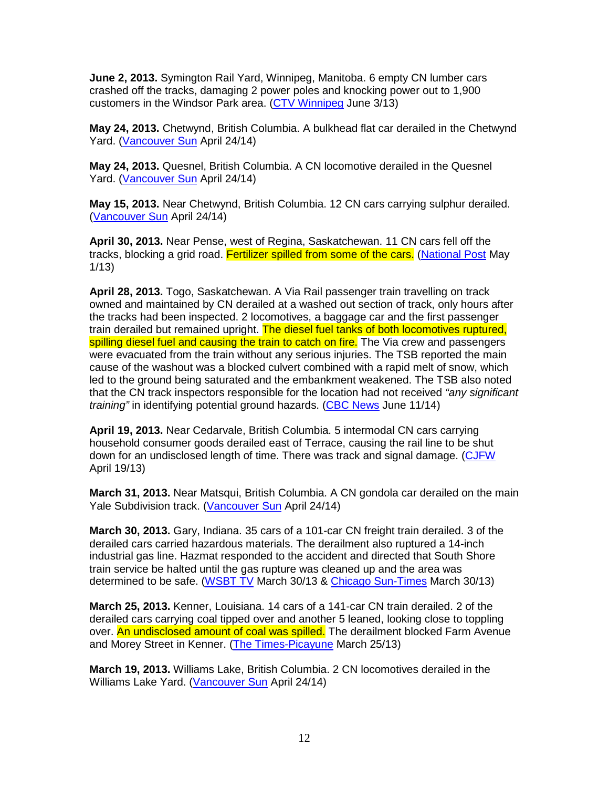**June 2, 2013.** Symington Rail Yard, Winnipeg, Manitoba. 6 empty CN lumber cars crashed off the tracks, damaging 2 power poles and knocking power out to 1,900 customers in the Windsor Park area. (CTV Winnipeg June 3/13)

**May 24, 2013.** Chetwynd, British Columbia. A bulkhead flat car derailed in the Chetwynd Yard. (Vancouver Sun April 24/14)

**May 24, 2013.** Quesnel, British Columbia. A CN locomotive derailed in the Quesnel Yard. (Vancouver Sun April 24/14)

**May 15, 2013.** Near Chetwynd, British Columbia. 12 CN cars carrying sulphur derailed. (Vancouver Sun April 24/14)

**April 30, 2013.** Near Pense, west of Regina, Saskatchewan. 11 CN cars fell off the tracks, blocking a grid road. Fertilizer spilled from some of the cars. (National Post May 1/13)

**April 28, 2013.** Togo, Saskatchewan. A Via Rail passenger train travelling on track owned and maintained by CN derailed at a washed out section of track, only hours after the tracks had been inspected. 2 locomotives, a baggage car and the first passenger train derailed but remained upright. The diesel fuel tanks of both locomotives ruptured. spilling diesel fuel and causing the train to catch on fire. The Via crew and passengers were evacuated from the train without any serious injuries. The TSB reported the main cause of the washout was a blocked culvert combined with a rapid melt of snow, which led to the ground being saturated and the embankment weakened. The TSB also noted that the CN track inspectors responsible for the location had not received "any significant" training" in identifying potential ground hazards. (CBC News June 11/14)

**April 19, 2013.** Near Cedarvale, British Columbia. 5 intermodal CN cars carrying household consumer goods derailed east of Terrace, causing the rail line to be shut down for an undisclosed length of time. There was track and signal damage. (CJFW April 19/13)

**March 31, 2013.** Near Matsqui, British Columbia. A CN gondola car derailed on the main Yale Subdivision track. (Vancouver Sun April 24/14)

**March 30, 2013.** Gary, Indiana. 35 cars of a 101-car CN freight train derailed. 3 of the derailed cars carried hazardous materials. The derailment also ruptured a 14-inch industrial gas line. Hazmat responded to the accident and directed that South Shore train service be halted until the gas rupture was cleaned up and the area was determined to be safe. (WSBT TV March 30/13 & Chicago Sun-Times March 30/13)

**March 25, 2013.** Kenner, Louisiana. 14 cars of a 141-car CN train derailed. 2 of the derailed cars carrying coal tipped over and another 5 leaned, looking close to toppling over. An undisclosed amount of coal was spilled. The derailment blocked Farm Avenue and Morey Street in Kenner. (The Times-Picayune March 25/13)

**March 19, 2013.** Williams Lake, British Columbia. 2 CN locomotives derailed in the Williams Lake Yard. (Vancouver Sun April 24/14)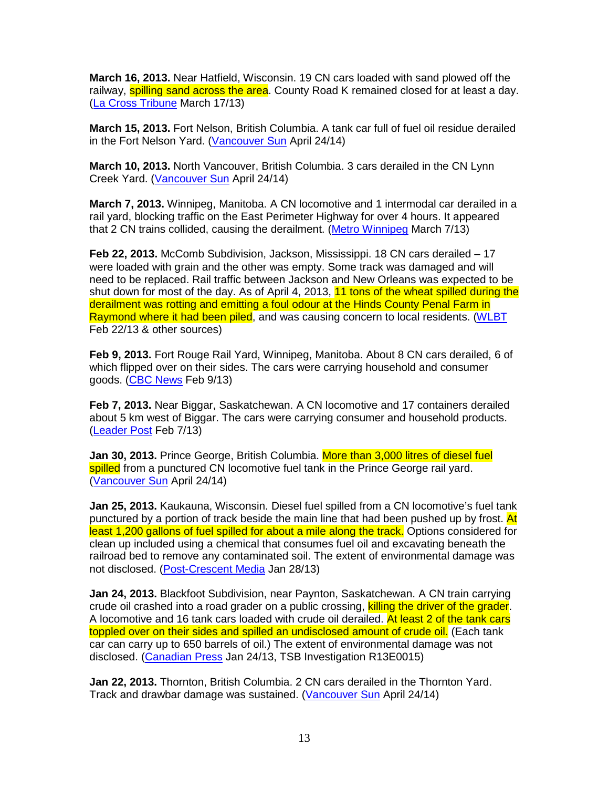**March 16, 2013.** Near Hatfield, Wisconsin. 19 CN cars loaded with sand plowed off the railway, **spilling sand across the area**. County Road K remained closed for at least a day. (La Cross Tribune March 17/13)

**March 15, 2013.** Fort Nelson, British Columbia. A tank car full of fuel oil residue derailed in the Fort Nelson Yard. (Vancouver Sun April 24/14)

**March 10, 2013.** North Vancouver, British Columbia. 3 cars derailed in the CN Lynn Creek Yard. (Vancouver Sun April 24/14)

**March 7, 2013.** Winnipeg, Manitoba. A CN locomotive and 1 intermodal car derailed in a rail yard, blocking traffic on the East Perimeter Highway for over 4 hours. It appeared that 2 CN trains collided, causing the derailment. (Metro Winnipeg March 7/13)

**Feb 22, 2013.** McComb Subdivision, Jackson, Mississippi. 18 CN cars derailed – 17 were loaded with grain and the other was empty. Some track was damaged and will need to be replaced. Rail traffic between Jackson and New Orleans was expected to be shut down for most of the day. As of April 4, 2013, 11 tons of the wheat spilled during the derailment was rotting and emitting a foul odour at the Hinds County Penal Farm in Raymond where it had been piled, and was causing concern to local residents. (WLBT Feb 22/13 & other sources)

**Feb 9, 2013.** Fort Rouge Rail Yard, Winnipeg, Manitoba. About 8 CN cars derailed, 6 of which flipped over on their sides. The cars were carrying household and consumer goods. (CBC News Feb 9/13)

**Feb 7, 2013.** Near Biggar, Saskatchewan. A CN locomotive and 17 containers derailed about 5 km west of Biggar. The cars were carrying consumer and household products. (Leader Post Feb 7/13)

**Jan 30, 2013.** Prince George, British Columbia. More than 3,000 litres of diesel fuel spilled from a punctured CN locomotive fuel tank in the Prince George rail vard. (Vancouver Sun April 24/14)

**Jan 25, 2013.** Kaukauna, Wisconsin. Diesel fuel spilled from a CN locomotive's fuel tank punctured by a portion of track beside the main line that had been pushed up by frost. At least 1,200 gallons of fuel spilled for about a mile along the track. Options considered for clean up included using a chemical that consumes fuel oil and excavating beneath the railroad bed to remove any contaminated soil. The extent of environmental damage was not disclosed. (Post-Crescent Media Jan 28/13)

**Jan 24, 2013.** Blackfoot Subdivision, near Paynton, Saskatchewan. A CN train carrying crude oil crashed into a road grader on a public crossing, killing the driver of the grader. A locomotive and 16 tank cars loaded with crude oil derailed. At least 2 of the tank cars toppled over on their sides and spilled an undisclosed amount of crude oil. (Each tank car can carry up to 650 barrels of oil.) The extent of environmental damage was not disclosed. (Canadian Press Jan 24/13, TSB Investigation R13E0015)

**Jan 22, 2013.** Thornton, British Columbia. 2 CN cars derailed in the Thornton Yard. Track and drawbar damage was sustained. (Vancouver Sun April 24/14)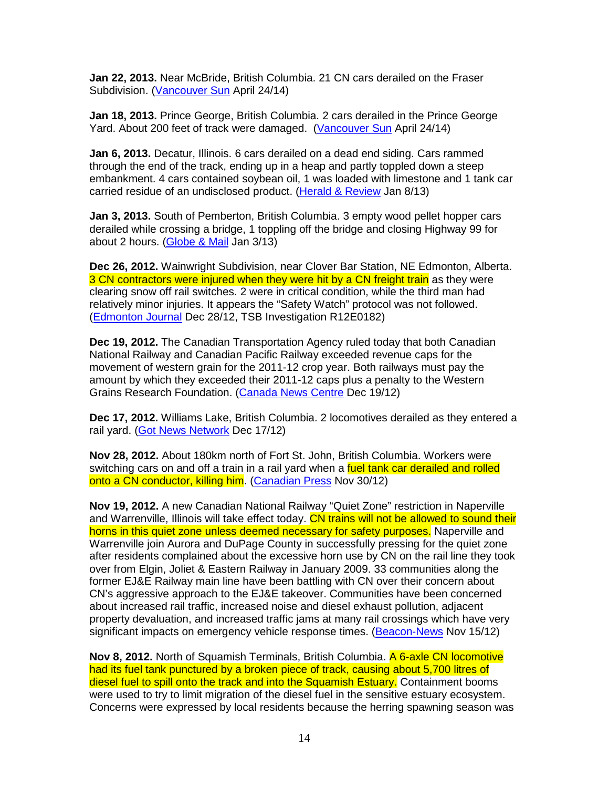**Jan 22, 2013.** Near McBride, British Columbia. 21 CN cars derailed on the Fraser Subdivision. (Vancouver Sun April 24/14)

**Jan 18, 2013.** Prince George, British Columbia. 2 cars derailed in the Prince George Yard. About 200 feet of track were damaged. (Vancouver Sun April 24/14)

**Jan 6, 2013.** Decatur, Illinois. 6 cars derailed on a dead end siding. Cars rammed through the end of the track, ending up in a heap and partly toppled down a steep embankment. 4 cars contained soybean oil, 1 was loaded with limestone and 1 tank car carried residue of an undisclosed product. (Herald & Review Jan 8/13)

**Jan 3, 2013.** South of Pemberton, British Columbia. 3 empty wood pellet hopper cars derailed while crossing a bridge, 1 toppling off the bridge and closing Highway 99 for about 2 hours. (Globe & Mail Jan 3/13)

**Dec 26, 2012.** Wainwright Subdivision, near Clover Bar Station, NE Edmonton, Alberta. 3 CN contractors were injured when they were hit by a CN freight train as they were clearing snow off rail switches. 2 were in critical condition, while the third man had relatively minor injuries. It appears the "Safety Watch" protocol was not followed. (Edmonton Journal Dec 28/12, TSB Investigation R12E0182)

**Dec 19, 2012.** The Canadian Transportation Agency ruled today that both Canadian National Railway and Canadian Pacific Railway exceeded revenue caps for the movement of western grain for the 2011-12 crop year. Both railways must pay the amount by which they exceeded their 2011-12 caps plus a penalty to the Western Grains Research Foundation. (Canada News Centre Dec 19/12)

**Dec 17, 2012.** Williams Lake, British Columbia. 2 locomotives derailed as they entered a rail yard. (Got News Network Dec 17/12)

**Nov 28, 2012.** About 180km north of Fort St. John, British Columbia. Workers were switching cars on and off a train in a rail yard when a fuel tank car derailed and rolled onto a CN conductor, killing him. (Canadian Press Nov 30/12)

**Nov 19, 2012.** A new Canadian National Railway "Quiet Zone" restriction in Naperville and Warrenville, Illinois will take effect today. CN trains will not be allowed to sound their horns in this quiet zone unless deemed necessary for safety purposes. Naperville and Warrenville join Aurora and DuPage County in successfully pressing for the quiet zone after residents complained about the excessive horn use by CN on the rail line they took over from Elgin, Joliet & Eastern Railway in January 2009. 33 communities along the former EJ&E Railway main line have been battling with CN over their concern about CN's aggressive approach to the EJ&E takeover. Communities have been concerned about increased rail traffic, increased noise and diesel exhaust pollution, adjacent property devaluation, and increased traffic jams at many rail crossings which have very significant impacts on emergency vehicle response times. (Beacon-News Nov 15/12)

**Nov 8, 2012.** North of Squamish Terminals, British Columbia. A 6-axle CN locomotive had its fuel tank punctured by a broken piece of track, causing about 5,700 litres of diesel fuel to spill onto the track and into the Squamish Estuary. Containment booms were used to try to limit migration of the diesel fuel in the sensitive estuary ecosystem. Concerns were expressed by local residents because the herring spawning season was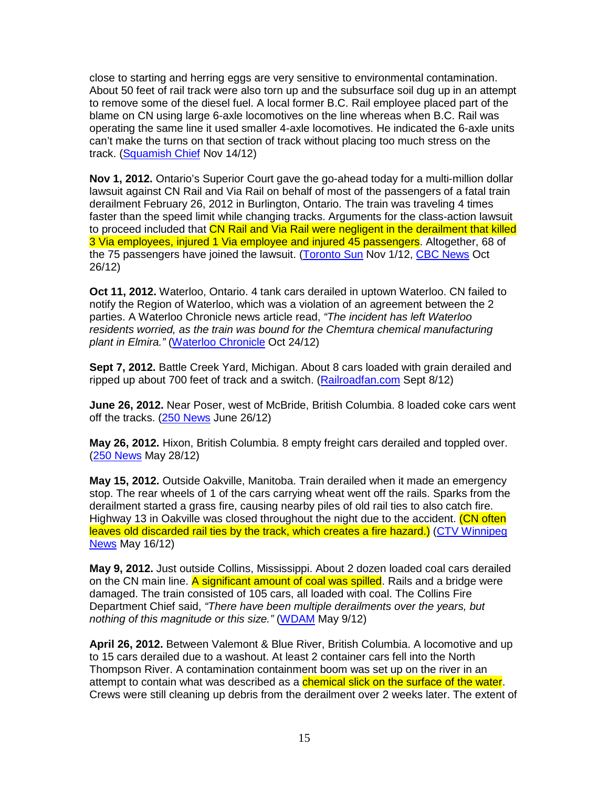close to starting and herring eggs are very sensitive to environmental contamination. About 50 feet of rail track were also torn up and the subsurface soil dug up in an attempt to remove some of the diesel fuel. A local former B.C. Rail employee placed part of the blame on CN using large 6-axle locomotives on the line whereas when B.C. Rail was operating the same line it used smaller 4-axle locomotives. He indicated the 6-axle units can't make the turns on that section of track without placing too much stress on the track. (Squamish Chief Nov 14/12)

**Nov 1, 2012.** Ontario's Superior Court gave the go-ahead today for a multi-million dollar lawsuit against CN Rail and Via Rail on behalf of most of the passengers of a fatal train derailment February 26, 2012 in Burlington, Ontario. The train was traveling 4 times faster than the speed limit while changing tracks. Arguments for the class-action lawsuit to proceed included that CN Rail and Via Rail were negligent in the derailment that killed 3 Via employees, injured 1 Via employee and injured 45 passengers. Altogether, 68 of the 75 passengers have joined the lawsuit. (Toronto Sun Nov 1/12, CBC News Oct 26/12)

**Oct 11, 2012.** Waterloo, Ontario. 4 tank cars derailed in uptown Waterloo. CN failed to notify the Region of Waterloo, which was a violation of an agreement between the 2 parties. A Waterloo Chronicle news article read, "The incident has left Waterloo residents worried, as the train was bound for the Chemtura chemical manufacturing plant in Elmira." (Waterloo Chronicle Oct 24/12)

**Sept 7, 2012.** Battle Creek Yard, Michigan. About 8 cars loaded with grain derailed and ripped up about 700 feet of track and a switch. (Railroadfan.com Sept 8/12)

**June 26, 2012.** Near Poser, west of McBride, British Columbia. 8 loaded coke cars went off the tracks. (250 News June 26/12)

**May 26, 2012.** Hixon, British Columbia. 8 empty freight cars derailed and toppled over. (250 News May 28/12)

**May 15, 2012.** Outside Oakville, Manitoba. Train derailed when it made an emergency stop. The rear wheels of 1 of the cars carrying wheat went off the rails. Sparks from the derailment started a grass fire, causing nearby piles of old rail ties to also catch fire. Highway 13 in Oakville was closed throughout the night due to the accident. (CN often leaves old discarded rail ties by the track, which creates a fire hazard.) (CTV Winnipeg News May 16/12)

**May 9, 2012.** Just outside Collins, Mississippi. About 2 dozen loaded coal cars derailed on the CN main line. A significant amount of coal was spilled. Rails and a bridge were damaged. The train consisted of 105 cars, all loaded with coal. The Collins Fire Department Chief said, "There have been multiple derailments over the years, but nothing of this magnitude or this size." (WDAM May 9/12)

**April 26, 2012.** Between Valemont & Blue River, British Columbia. A locomotive and up to 15 cars derailed due to a washout. At least 2 container cars fell into the North Thompson River. A contamination containment boom was set up on the river in an attempt to contain what was described as a *chemical slick on the surface of the water*. Crews were still cleaning up debris from the derailment over 2 weeks later. The extent of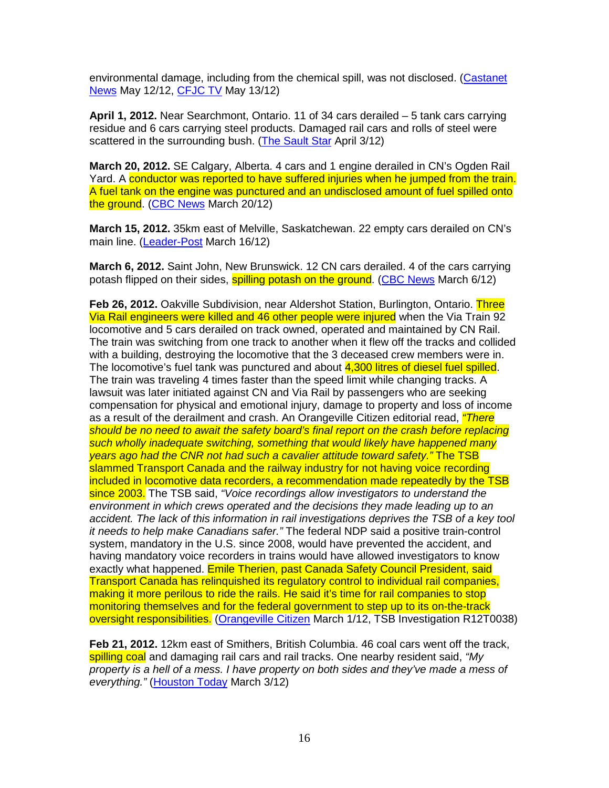environmental damage, including from the chemical spill, was not disclosed. (Castanet News May 12/12, CFJC TV May 13/12)

**April 1, 2012.** Near Searchmont, Ontario. 11 of 34 cars derailed – 5 tank cars carrying residue and 6 cars carrying steel products. Damaged rail cars and rolls of steel were scattered in the surrounding bush. (The Sault Star April 3/12)

**March 20, 2012.** SE Calgary, Alberta. 4 cars and 1 engine derailed in CN's Ogden Rail Yard. A conductor was reported to have suffered injuries when he jumped from the train. A fuel tank on the engine was punctured and an undisclosed amount of fuel spilled onto the ground. (CBC News March 20/12)

**March 15, 2012.** 35km east of Melville, Saskatchewan. 22 empty cars derailed on CN's main line. (Leader-Post March 16/12)

**March 6, 2012.** Saint John, New Brunswick. 12 CN cars derailed. 4 of the cars carrying potash flipped on their sides, **spilling potash on the ground. (CBC News March 6/12)** 

**Feb 26, 2012.** Oakville Subdivision, near Aldershot Station, Burlington, Ontario. Three Via Rail engineers were killed and 46 other people were injured when the Via Train 92 locomotive and 5 cars derailed on track owned, operated and maintained by CN Rail. The train was switching from one track to another when it flew off the tracks and collided with a building, destroying the locomotive that the 3 deceased crew members were in. The locomotive's fuel tank was punctured and about 4,300 litres of diesel fuel spilled. The train was traveling 4 times faster than the speed limit while changing tracks. A lawsuit was later initiated against CN and Via Rail by passengers who are seeking compensation for physical and emotional injury, damage to property and loss of income as a result of the derailment and crash. An Orangeville Citizen editorial read, *"There* should be no need to await the safety board's final report on the crash before replacing such wholly inadequate switching, something that would likely have happened many years ago had the CNR not had such a cavalier attitude toward safety." The TSB slammed Transport Canada and the railway industry for not having voice recording included in locomotive data recorders, a recommendation made repeatedly by the TSB since 2003. The TSB said, "Voice recordings allow investigators to understand the environment in which crews operated and the decisions they made leading up to an accident. The lack of this information in rail investigations deprives the TSB of a key tool it needs to help make Canadians safer." The federal NDP said a positive train-control system, mandatory in the U.S. since 2008, would have prevented the accident, and having mandatory voice recorders in trains would have allowed investigators to know exactly what happened. Emile Therien, past Canada Safety Council President, said Transport Canada has relinquished its regulatory control to individual rail companies, making it more perilous to ride the rails. He said it's time for rail companies to stop monitoring themselves and for the federal government to step up to its on-the-track oversight responsibilities. (Orangeville Citizen March 1/12, TSB Investigation R12T0038)

**Feb 21, 2012.** 12km east of Smithers, British Columbia. 46 coal cars went off the track, spilling coal and damaging rail cars and rail tracks. One nearby resident said, "My property is a hell of a mess. I have property on both sides and they've made a mess of everything." (Houston Today March 3/12)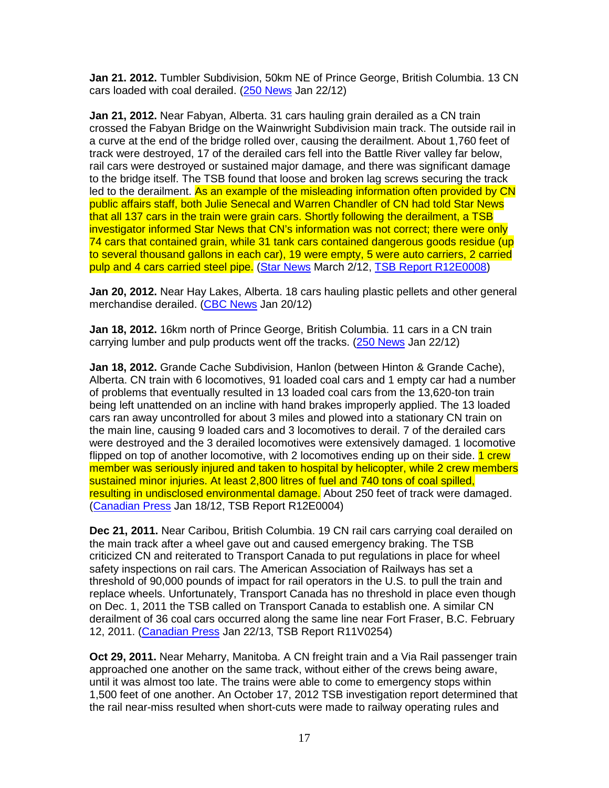**Jan 21. 2012.** Tumbler Subdivision, 50km NE of Prince George, British Columbia. 13 CN cars loaded with coal derailed. (250 News Jan 22/12)

**Jan 21, 2012.** Near Fabyan, Alberta. 31 cars hauling grain derailed as a CN train crossed the Fabyan Bridge on the Wainwright Subdivision main track. The outside rail in a curve at the end of the bridge rolled over, causing the derailment. About 1,760 feet of track were destroyed, 17 of the derailed cars fell into the Battle River valley far below, rail cars were destroyed or sustained major damage, and there was significant damage to the bridge itself. The TSB found that loose and broken lag screws securing the track led to the derailment. As an example of the misleading information often provided by CN public affairs staff, both Julie Senecal and Warren Chandler of CN had told Star News that all 137 cars in the train were grain cars. Shortly following the derailment, a TSB investigator informed Star News that CN's information was not correct; there were only 74 cars that contained grain, while 31 tank cars contained dangerous goods residue (up to several thousand gallons in each car), 19 were empty, 5 were auto carriers, 2 carried pulp and 4 cars carried steel pipe. (Star News March 2/12, TSB Report R12E0008)

**Jan 20, 2012.** Near Hay Lakes, Alberta. 18 cars hauling plastic pellets and other general merchandise derailed. (CBC News Jan 20/12)

**Jan 18, 2012.** 16km north of Prince George, British Columbia. 11 cars in a CN train carrying lumber and pulp products went off the tracks. (250 News Jan 22/12)

**Jan 18, 2012.** Grande Cache Subdivision, Hanlon (between Hinton & Grande Cache), Alberta. CN train with 6 locomotives, 91 loaded coal cars and 1 empty car had a number of problems that eventually resulted in 13 loaded coal cars from the 13,620-ton train being left unattended on an incline with hand brakes improperly applied. The 13 loaded cars ran away uncontrolled for about 3 miles and plowed into a stationary CN train on the main line, causing 9 loaded cars and 3 locomotives to derail. 7 of the derailed cars were destroyed and the 3 derailed locomotives were extensively damaged. 1 locomotive flipped on top of another locomotive, with 2 locomotives ending up on their side. 1 crew member was seriously injured and taken to hospital by helicopter, while 2 crew members sustained minor injuries. At least 2,800 litres of fuel and 740 tons of coal spilled, resulting in undisclosed environmental damage. About 250 feet of track were damaged. (Canadian Press Jan 18/12, TSB Report R12E0004)

**Dec 21, 2011.** Near Caribou, British Columbia. 19 CN rail cars carrying coal derailed on the main track after a wheel gave out and caused emergency braking. The TSB criticized CN and reiterated to Transport Canada to put regulations in place for wheel safety inspections on rail cars. The American Association of Railways has set a threshold of 90,000 pounds of impact for rail operators in the U.S. to pull the train and replace wheels. Unfortunately, Transport Canada has no threshold in place even though on Dec. 1, 2011 the TSB called on Transport Canada to establish one. A similar CN derailment of 36 coal cars occurred along the same line near Fort Fraser, B.C. February 12, 2011. (Canadian Press Jan 22/13, TSB Report R11V0254)

**Oct 29, 2011.** Near Meharry, Manitoba. A CN freight train and a Via Rail passenger train approached one another on the same track, without either of the crews being aware, until it was almost too late. The trains were able to come to emergency stops within 1,500 feet of one another. An October 17, 2012 TSB investigation report determined that the rail near-miss resulted when short-cuts were made to railway operating rules and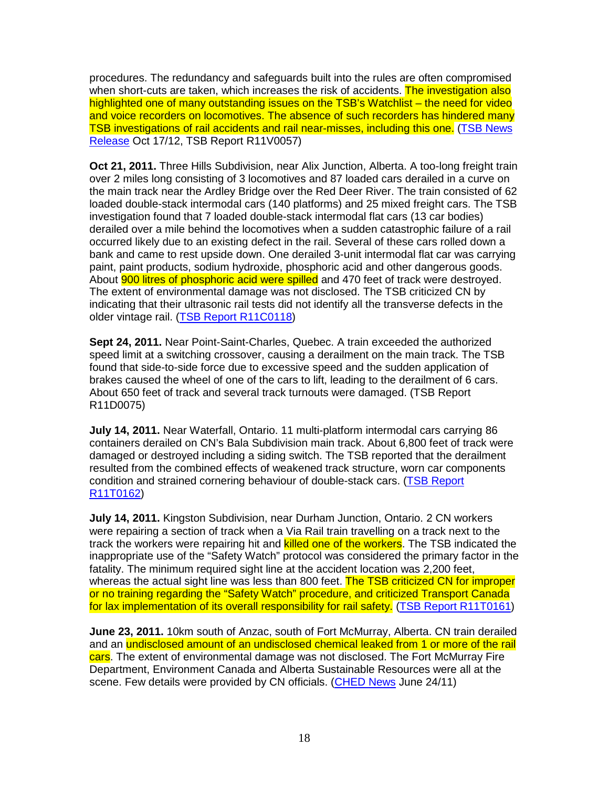procedures. The redundancy and safeguards built into the rules are often compromised when short-cuts are taken, which increases the risk of accidents. The investigation also highlighted one of many outstanding issues on the TSB's Watchlist – the need for video and voice recorders on locomotives. The absence of such recorders has hindered many TSB investigations of rail accidents and rail near-misses, including this one. (TSB News Release Oct 17/12, TSB Report R11V0057)

**Oct 21, 2011.** Three Hills Subdivision, near Alix Junction, Alberta. A too-long freight train over 2 miles long consisting of 3 locomotives and 87 loaded cars derailed in a curve on the main track near the Ardley Bridge over the Red Deer River. The train consisted of 62 loaded double-stack intermodal cars (140 platforms) and 25 mixed freight cars. The TSB investigation found that 7 loaded double-stack intermodal flat cars (13 car bodies) derailed over a mile behind the locomotives when a sudden catastrophic failure of a rail occurred likely due to an existing defect in the rail. Several of these cars rolled down a bank and came to rest upside down. One derailed 3-unit intermodal flat car was carrying paint, paint products, sodium hydroxide, phosphoric acid and other dangerous goods. About **900 litres of phosphoric acid were spilled** and 470 feet of track were destroyed. The extent of environmental damage was not disclosed. The TSB criticized CN by indicating that their ultrasonic rail tests did not identify all the transverse defects in the older vintage rail. (TSB Report R11C0118)

**Sept 24, 2011.** Near Point-Saint-Charles, Quebec. A train exceeded the authorized speed limit at a switching crossover, causing a derailment on the main track. The TSB found that side-to-side force due to excessive speed and the sudden application of brakes caused the wheel of one of the cars to lift, leading to the derailment of 6 cars. About 650 feet of track and several track turnouts were damaged. (TSB Report R11D0075)

**July 14, 2011.** Near Waterfall, Ontario. 11 multi-platform intermodal cars carrying 86 containers derailed on CN's Bala Subdivision main track. About 6,800 feet of track were damaged or destroyed including a siding switch. The TSB reported that the derailment resulted from the combined effects of weakened track structure, worn car components condition and strained cornering behaviour of double-stack cars. (TSB Report R11T0162)

**July 14, 2011.** Kingston Subdivision, near Durham Junction, Ontario. 2 CN workers were repairing a section of track when a Via Rail train travelling on a track next to the track the workers were repairing hit and killed one of the workers. The TSB indicated the inappropriate use of the "Safety Watch" protocol was considered the primary factor in the fatality. The minimum required sight line at the accident location was 2,200 feet, whereas the actual sight line was less than 800 feet. The TSB criticized CN for improper or no training regarding the "Safety Watch" procedure, and criticized Transport Canada for lax implementation of its overall responsibility for rail safety. (TSB Report R11T0161)

**June 23, 2011.** 10km south of Anzac, south of Fort McMurray, Alberta. CN train derailed and an undisclosed amount of an undisclosed chemical leaked from 1 or more of the rail cars. The extent of environmental damage was not disclosed. The Fort McMurray Fire Department, Environment Canada and Alberta Sustainable Resources were all at the scene. Few details were provided by CN officials. (CHED News June 24/11)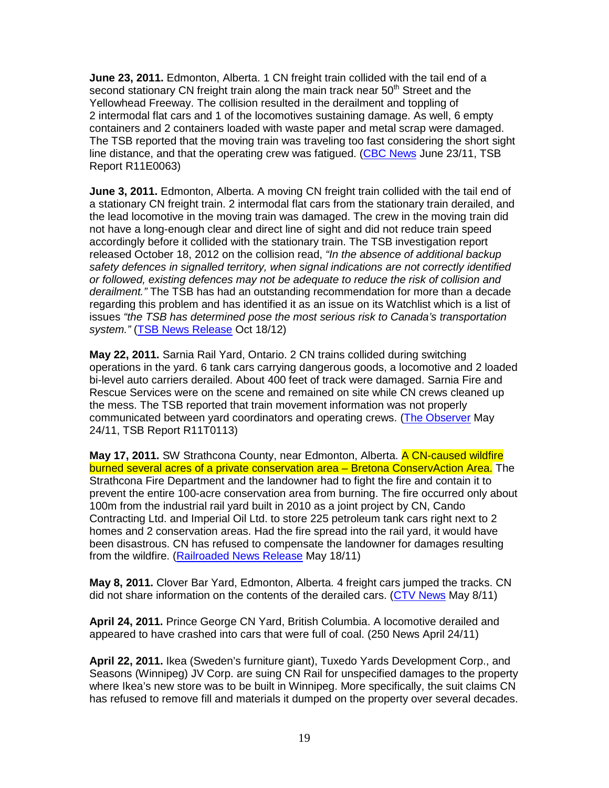**June 23, 2011.** Edmonton, Alberta. 1 CN freight train collided with the tail end of a second stationary CN freight train along the main track near  $50<sup>th</sup>$  Street and the Yellowhead Freeway. The collision resulted in the derailment and toppling of 2 intermodal flat cars and 1 of the locomotives sustaining damage. As well, 6 empty containers and 2 containers loaded with waste paper and metal scrap were damaged. The TSB reported that the moving train was traveling too fast considering the short sight line distance, and that the operating crew was fatigued. (CBC News June 23/11, TSB Report R11E0063)

**June 3, 2011.** Edmonton, Alberta. A moving CN freight train collided with the tail end of a stationary CN freight train. 2 intermodal flat cars from the stationary train derailed, and the lead locomotive in the moving train was damaged. The crew in the moving train did not have a long-enough clear and direct line of sight and did not reduce train speed accordingly before it collided with the stationary train. The TSB investigation report released October 18, 2012 on the collision read, "In the absence of additional backup safety defences in signalled territory, when signal indications are not correctly identified or followed, existing defences may not be adequate to reduce the risk of collision and derailment." The TSB has had an outstanding recommendation for more than a decade regarding this problem and has identified it as an issue on its Watchlist which is a list of issues "the TSB has determined pose the most serious risk to Canada's transportation system." (TSB News Release Oct 18/12)

**May 22, 2011.** Sarnia Rail Yard, Ontario. 2 CN trains collided during switching operations in the yard. 6 tank cars carrying dangerous goods, a locomotive and 2 loaded bi-level auto carriers derailed. About 400 feet of track were damaged. Sarnia Fire and Rescue Services were on the scene and remained on site while CN crews cleaned up the mess. The TSB reported that train movement information was not properly communicated between yard coordinators and operating crews. (The Observer May 24/11, TSB Report R11T0113)

**May 17, 2011.** SW Strathcona County, near Edmonton, Alberta. A CN-caused wildfire burned several acres of a private conservation area – Bretona ConservAction Area. The Strathcona Fire Department and the landowner had to fight the fire and contain it to prevent the entire 100-acre conservation area from burning. The fire occurred only about 100m from the industrial rail yard built in 2010 as a joint project by CN, Cando Contracting Ltd. and Imperial Oil Ltd. to store 225 petroleum tank cars right next to 2 homes and 2 conservation areas. Had the fire spread into the rail yard, it would have been disastrous. CN has refused to compensate the landowner for damages resulting from the wildfire. (Railroaded News Release May 18/11)

**May 8, 2011.** Clover Bar Yard, Edmonton, Alberta. 4 freight cars jumped the tracks. CN did not share information on the contents of the derailed cars. (CTV News May 8/11)

**April 24, 2011.** Prince George CN Yard, British Columbia. A locomotive derailed and appeared to have crashed into cars that were full of coal. (250 News April 24/11)

**April 22, 2011.** Ikea (Sweden's furniture giant), Tuxedo Yards Development Corp., and Seasons (Winnipeg) JV Corp. are suing CN Rail for unspecified damages to the property where Ikea's new store was to be built in Winnipeg. More specifically, the suit claims CN has refused to remove fill and materials it dumped on the property over several decades.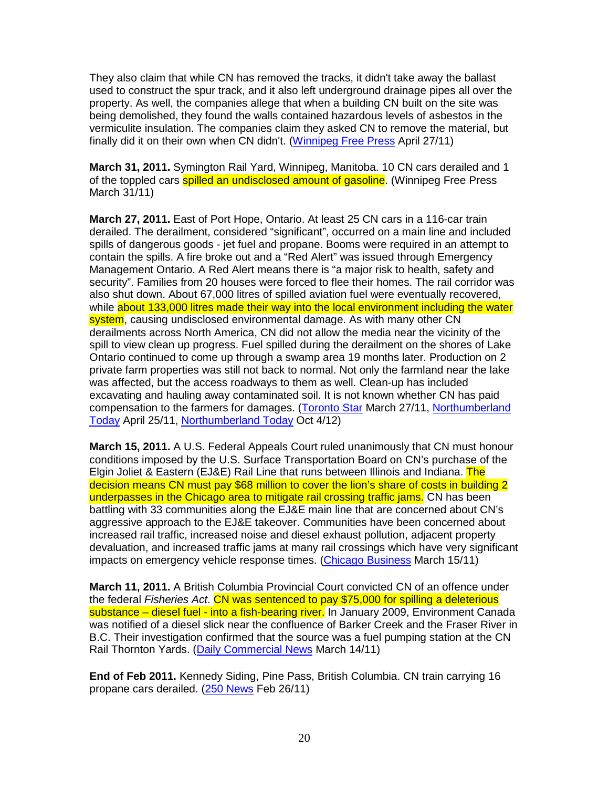They also claim that while CN has removed the tracks, it didn't take away the ballast used to construct the spur track, and it also left underground drainage pipes all over the property. As well, the companies allege that when a building CN built on the site was being demolished, they found the walls contained hazardous levels of asbestos in the vermiculite insulation. The companies claim they asked CN to remove the material, but finally did it on their own when CN didn't. (Winnipeg Free Press April 27/11)

**March 31, 2011.** Symington Rail Yard, Winnipeg, Manitoba. 10 CN cars derailed and 1 of the toppled cars **spilled an undisclosed amount of gasoline**. (Winnipeg Free Press March 31/11)

**March 27, 2011.** East of Port Hope, Ontario. At least 25 CN cars in a 116-car train derailed. The derailment, considered "significant", occurred on a main line and included spills of dangerous goods - jet fuel and propane. Booms were required in an attempt to contain the spills. A fire broke out and a "Red Alert" was issued through Emergency Management Ontario. A Red Alert means there is "a major risk to health, safety and security". Families from 20 houses were forced to flee their homes. The rail corridor was also shut down. About 67,000 litres of spilled aviation fuel were eventually recovered, while about 133,000 litres made their way into the local environment including the water system, causing undisclosed environmental damage. As with many other CN derailments across North America, CN did not allow the media near the vicinity of the spill to view clean up progress. Fuel spilled during the derailment on the shores of Lake Ontario continued to come up through a swamp area 19 months later. Production on 2 private farm properties was still not back to normal. Not only the farmland near the lake was affected, but the access roadways to them as well. Clean-up has included excavating and hauling away contaminated soil. It is not known whether CN has paid compensation to the farmers for damages. (Toronto Star March 27/11, Northumberland Today April 25/11, Northumberland Today Oct 4/12)

**March 15, 2011.** A U.S. Federal Appeals Court ruled unanimously that CN must honour conditions imposed by the U.S. Surface Transportation Board on CN's purchase of the Elgin Joliet & Eastern (EJ&E) Rail Line that runs between Illinois and Indiana. The decision means CN must pay \$68 million to cover the lion's share of costs in building 2 underpasses in the Chicago area to mitigate rail crossing traffic jams. CN has been battling with 33 communities along the EJ&E main line that are concerned about CN's aggressive approach to the EJ&E takeover. Communities have been concerned about increased rail traffic, increased noise and diesel exhaust pollution, adjacent property devaluation, and increased traffic jams at many rail crossings which have very significant impacts on emergency vehicle response times. (Chicago Business March 15/11)

**March 11, 2011.** A British Columbia Provincial Court convicted CN of an offence under the federal Fisheries Act. CN was sentenced to pay \$75,000 for spilling a deleterious substance – diesel fuel - into a fish-bearing river. In January 2009, Environment Canada was notified of a diesel slick near the confluence of Barker Creek and the Fraser River in B.C. Their investigation confirmed that the source was a fuel pumping station at the CN Rail Thornton Yards. (Daily Commercial News March 14/11)

**End of Feb 2011.** Kennedy Siding, Pine Pass, British Columbia. CN train carrying 16 propane cars derailed. (250 News Feb 26/11)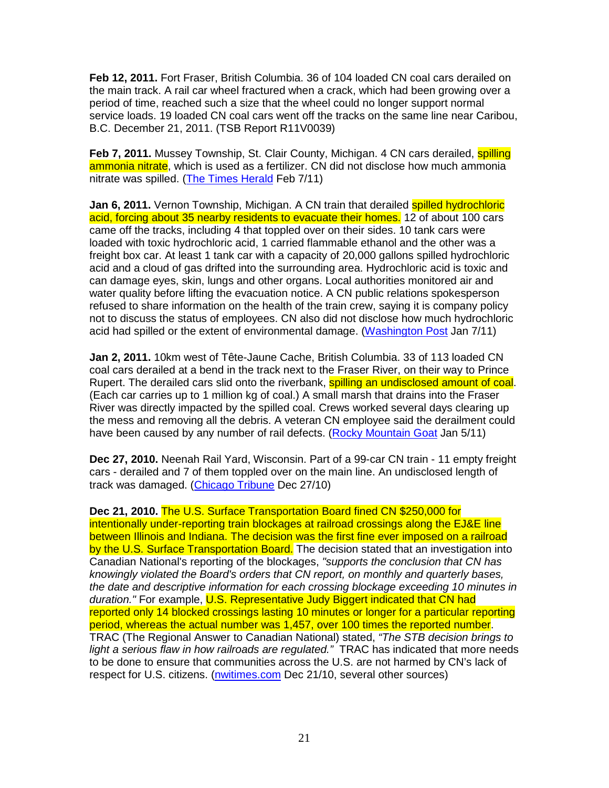**Feb 12, 2011.** Fort Fraser, British Columbia. 36 of 104 loaded CN coal cars derailed on the main track. A rail car wheel fractured when a crack, which had been growing over a period of time, reached such a size that the wheel could no longer support normal service loads. 19 loaded CN coal cars went off the tracks on the same line near Caribou, B.C. December 21, 2011. (TSB Report R11V0039)

Feb 7, 2011. Mussey Township, St. Clair County, Michigan. 4 CN cars derailed, **spilling** ammonia nitrate, which is used as a fertilizer. CN did not disclose how much ammonia nitrate was spilled. (The Times Herald Feb 7/11)

**Jan 6, 2011.** Vernon Township, Michigan. A CN train that derailed spilled hydrochloric acid, forcing about 35 nearby residents to evacuate their homes. 12 of about 100 cars came off the tracks, including 4 that toppled over on their sides. 10 tank cars were loaded with toxic hydrochloric acid, 1 carried flammable ethanol and the other was a freight box car. At least 1 tank car with a capacity of 20,000 gallons spilled hydrochloric acid and a cloud of gas drifted into the surrounding area. Hydrochloric acid is toxic and can damage eyes, skin, lungs and other organs. Local authorities monitored air and water quality before lifting the evacuation notice. A CN public relations spokesperson refused to share information on the health of the train crew, saying it is company policy not to discuss the status of employees. CN also did not disclose how much hydrochloric acid had spilled or the extent of environmental damage. (Washington Post Jan 7/11)

**Jan 2, 2011.** 10km west of Tête-Jaune Cache, British Columbia. 33 of 113 loaded CN coal cars derailed at a bend in the track next to the Fraser River, on their way to Prince Rupert. The derailed cars slid onto the riverbank, **spilling an undisclosed amount of coal**. (Each car carries up to 1 million kg of coal.) A small marsh that drains into the Fraser River was directly impacted by the spilled coal. Crews worked several days clearing up the mess and removing all the debris. A veteran CN employee said the derailment could have been caused by any number of rail defects. (Rocky Mountain Goat Jan 5/11)

**Dec 27, 2010.** Neenah Rail Yard, Wisconsin. Part of a 99-car CN train - 11 empty freight cars - derailed and 7 of them toppled over on the main line. An undisclosed length of track was damaged. (Chicago Tribune Dec 27/10)

**Dec 21, 2010.** The U.S. Surface Transportation Board fined CN \$250,000 for intentionally under-reporting train blockages at railroad crossings along the EJ&E line between Illinois and Indiana. The decision was the first fine ever imposed on a railroad by the U.S. Surface Transportation Board. The decision stated that an investigation into Canadian National's reporting of the blockages, "supports the conclusion that CN has knowingly violated the Board's orders that CN report, on monthly and quarterly bases, the date and descriptive information for each crossing blockage exceeding 10 minutes in duration." For example, U.S. Representative Judy Biggert indicated that CN had reported only 14 blocked crossings lasting 10 minutes or longer for a particular reporting period, whereas the actual number was 1,457, over 100 times the reported number. TRAC (The Regional Answer to Canadian National) stated, "The STB decision brings to light a serious flaw in how railroads are regulated." TRAC has indicated that more needs to be done to ensure that communities across the U.S. are not harmed by CN's lack of respect for U.S. citizens. (nwitimes.com Dec 21/10, several other sources)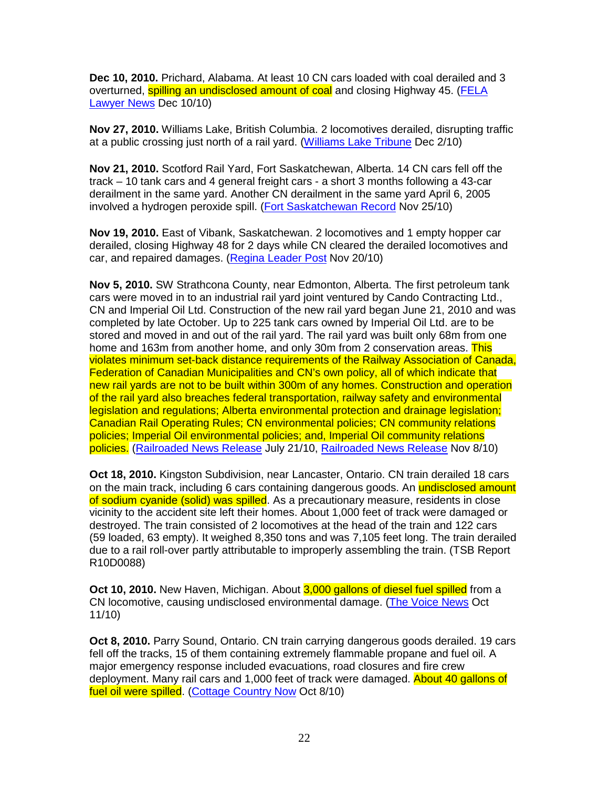**Dec 10, 2010.** Prichard, Alabama. At least 10 CN cars loaded with coal derailed and 3 overturned, **spilling an undisclosed amount of coal** and closing Highway 45. (FELA Lawyer News Dec 10/10)

**Nov 27, 2010.** Williams Lake, British Columbia. 2 locomotives derailed, disrupting traffic at a public crossing just north of a rail yard. (Williams Lake Tribune Dec 2/10)

**Nov 21, 2010.** Scotford Rail Yard, Fort Saskatchewan, Alberta. 14 CN cars fell off the track – 10 tank cars and 4 general freight cars - a short 3 months following a 43-car derailment in the same yard. Another CN derailment in the same yard April 6, 2005 involved a hydrogen peroxide spill. (Fort Saskatchewan Record Nov 25/10)

**Nov 19, 2010.** East of Vibank, Saskatchewan. 2 locomotives and 1 empty hopper car derailed, closing Highway 48 for 2 days while CN cleared the derailed locomotives and car, and repaired damages. (Regina Leader Post Nov 20/10)

**Nov 5, 2010.** SW Strathcona County, near Edmonton, Alberta. The first petroleum tank cars were moved in to an industrial rail yard joint ventured by Cando Contracting Ltd., CN and Imperial Oil Ltd. Construction of the new rail yard began June 21, 2010 and was completed by late October. Up to 225 tank cars owned by Imperial Oil Ltd. are to be stored and moved in and out of the rail yard. The rail yard was built only 68m from one home and 163m from another home, and only 30m from 2 conservation areas. This violates minimum set-back distance requirements of the Railway Association of Canada, Federation of Canadian Municipalities and CN's own policy, all of which indicate that new rail yards are not to be built within 300m of any homes. Construction and operation of the rail yard also breaches federal transportation, railway safety and environmental legislation and regulations; Alberta environmental protection and drainage legislation; Canadian Rail Operating Rules; CN environmental policies; CN community relations policies; Imperial Oil environmental policies; and, Imperial Oil community relations policies. (Railroaded News Release July 21/10, Railroaded News Release Nov 8/10)

**Oct 18, 2010.** Kingston Subdivision, near Lancaster, Ontario. CN train derailed 18 cars on the main track, including 6 cars containing dangerous goods. An undisclosed amount of sodium cyanide (solid) was spilled. As a precautionary measure, residents in close vicinity to the accident site left their homes. About 1,000 feet of track were damaged or destroyed. The train consisted of 2 locomotives at the head of the train and 122 cars (59 loaded, 63 empty). It weighed 8,350 tons and was 7,105 feet long. The train derailed due to a rail roll-over partly attributable to improperly assembling the train. (TSB Report R10D0088)

**Oct 10, 2010.** New Haven, Michigan. About 3,000 gallons of diesel fuel spilled from a CN locomotive, causing undisclosed environmental damage. (The Voice News Oct 11/10)

**Oct 8, 2010.** Parry Sound, Ontario. CN train carrying dangerous goods derailed. 19 cars fell off the tracks, 15 of them containing extremely flammable propane and fuel oil. A major emergency response included evacuations, road closures and fire crew deployment. Many rail cars and 1,000 feet of track were damaged. About 40 gallons of fuel oil were spilled. (Cottage Country Now Oct 8/10)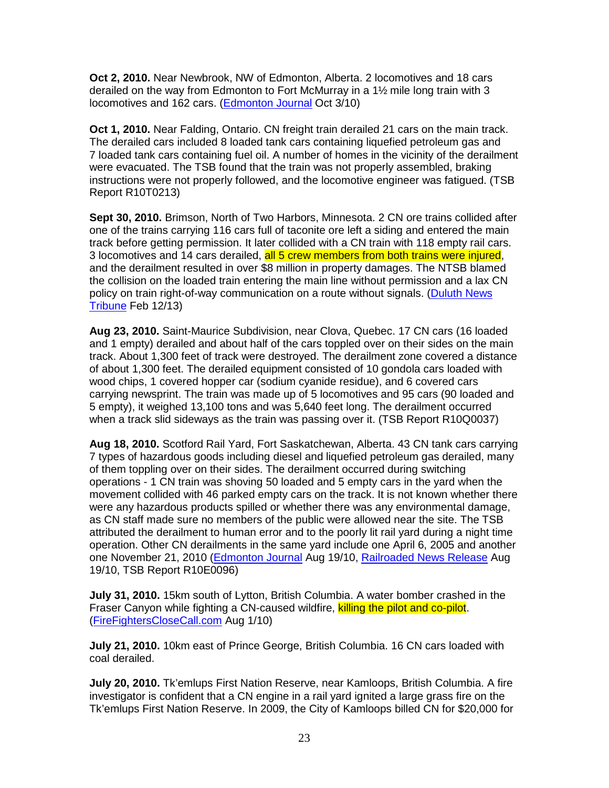**Oct 2, 2010.** Near Newbrook, NW of Edmonton, Alberta. 2 locomotives and 18 cars derailed on the way from Edmonton to Fort McMurray in a 1½ mile long train with 3 locomotives and 162 cars. (Edmonton Journal Oct 3/10)

**Oct 1, 2010.** Near Falding, Ontario. CN freight train derailed 21 cars on the main track. The derailed cars included 8 loaded tank cars containing liquefied petroleum gas and 7 loaded tank cars containing fuel oil. A number of homes in the vicinity of the derailment were evacuated. The TSB found that the train was not properly assembled, braking instructions were not properly followed, and the locomotive engineer was fatigued. (TSB Report R10T0213)

**Sept 30, 2010.** Brimson, North of Two Harbors, Minnesota. 2 CN ore trains collided after one of the trains carrying 116 cars full of taconite ore left a siding and entered the main track before getting permission. It later collided with a CN train with 118 empty rail cars. 3 locomotives and 14 cars derailed, all 5 crew members from both trains were injured, and the derailment resulted in over \$8 million in property damages. The NTSB blamed the collision on the loaded train entering the main line without permission and a lax CN policy on train right-of-way communication on a route without signals. (Duluth News Tribune Feb 12/13)

**Aug 23, 2010.** Saint-Maurice Subdivision, near Clova, Quebec. 17 CN cars (16 loaded and 1 empty) derailed and about half of the cars toppled over on their sides on the main track. About 1,300 feet of track were destroyed. The derailment zone covered a distance of about 1,300 feet. The derailed equipment consisted of 10 gondola cars loaded with wood chips, 1 covered hopper car (sodium cyanide residue), and 6 covered cars carrying newsprint. The train was made up of 5 locomotives and 95 cars (90 loaded and 5 empty), it weighed 13,100 tons and was 5,640 feet long. The derailment occurred when a track slid sideways as the train was passing over it. (TSB Report R10Q0037)

**Aug 18, 2010.** Scotford Rail Yard, Fort Saskatchewan, Alberta. 43 CN tank cars carrying 7 types of hazardous goods including diesel and liquefied petroleum gas derailed, many of them toppling over on their sides. The derailment occurred during switching operations - 1 CN train was shoving 50 loaded and 5 empty cars in the yard when the movement collided with 46 parked empty cars on the track. It is not known whether there were any hazardous products spilled or whether there was any environmental damage, as CN staff made sure no members of the public were allowed near the site. The TSB attributed the derailment to human error and to the poorly lit rail yard during a night time operation. Other CN derailments in the same yard include one April 6, 2005 and another one November 21, 2010 (Edmonton Journal Aug 19/10, Railroaded News Release Aug 19/10, TSB Report R10E0096)

**July 31, 2010.** 15km south of Lytton, British Columbia. A water bomber crashed in the Fraser Canyon while fighting a CN-caused wildfire, killing the pilot and co-pilot. (FireFightersCloseCall.com Aug 1/10)

**July 21, 2010.** 10km east of Prince George, British Columbia. 16 CN cars loaded with coal derailed.

**July 20, 2010.** Tk'emlups First Nation Reserve, near Kamloops, British Columbia. A fire investigator is confident that a CN engine in a rail yard ignited a large grass fire on the Tk'emlups First Nation Reserve. In 2009, the City of Kamloops billed CN for \$20,000 for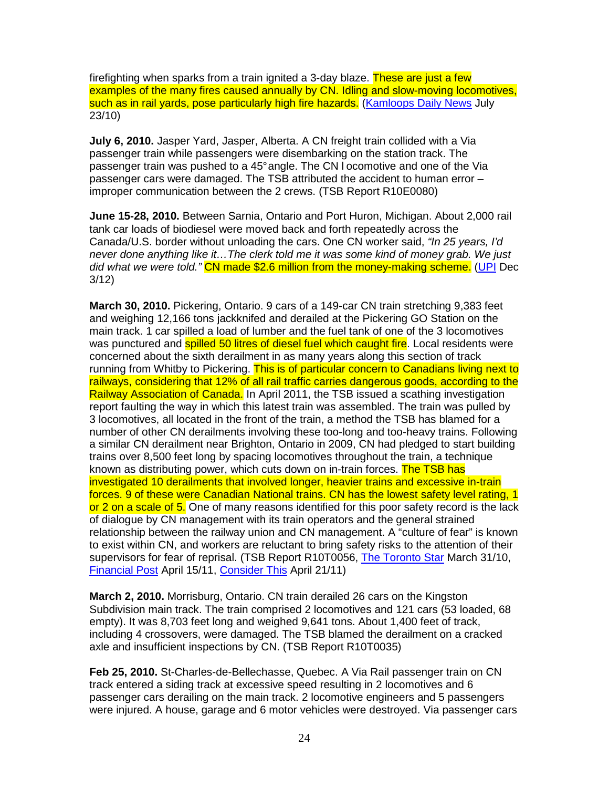firefighting when sparks from a train ignited a 3-day blaze. These are just a few examples of the many fires caused annually by CN. Idling and slow-moving locomotives, such as in rail yards, pose particularly high fire hazards. (Kamloops Daily News July 23/10)

**July 6, 2010.** Jasper Yard, Jasper, Alberta. A CN freight train collided with a Via passenger train while passengers were disembarking on the station track. The passenger train was pushed to a 45° angle. The CN l ocomotive and one of the Via passenger cars were damaged. The TSB attributed the accident to human error – improper communication between the 2 crews. (TSB Report R10E0080)

**June 15-28, 2010.** Between Sarnia, Ontario and Port Huron, Michigan. About 2,000 rail tank car loads of biodiesel were moved back and forth repeatedly across the Canada/U.S. border without unloading the cars. One CN worker said, "In 25 years, I'd never done anything like it…The clerk told me it was some kind of money grab. We just did what we were told." CN made \$2.6 million from the money-making scheme. (UPI Dec 3/12)

**March 30, 2010.** Pickering, Ontario. 9 cars of a 149-car CN train stretching 9,383 feet and weighing 12,166 tons jackknifed and derailed at the Pickering GO Station on the main track. 1 car spilled a load of lumber and the fuel tank of one of the 3 locomotives was punctured and **spilled 50 litres of diesel fuel which caught fire**. Local residents were concerned about the sixth derailment in as many years along this section of track running from Whitby to Pickering. This is of particular concern to Canadians living next to railways, considering that 12% of all rail traffic carries dangerous goods, according to the Railway Association of Canada. In April 2011, the TSB issued a scathing investigation report faulting the way in which this latest train was assembled. The train was pulled by 3 locomotives, all located in the front of the train, a method the TSB has blamed for a number of other CN derailments involving these too-long and too-heavy trains. Following a similar CN derailment near Brighton, Ontario in 2009, CN had pledged to start building trains over 8,500 feet long by spacing locomotives throughout the train, a technique known as distributing power, which cuts down on in-train forces. The TSB has investigated 10 derailments that involved longer, heavier trains and excessive in-train forces. 9 of these were Canadian National trains. CN has the lowest safety level rating, 1 or 2 on a scale of 5. One of many reasons identified for this poor safety record is the lack of dialogue by CN management with its train operators and the general strained relationship between the railway union and CN management. A "culture of fear" is known to exist within CN, and workers are reluctant to bring safety risks to the attention of their supervisors for fear of reprisal. (TSB Report R10T0056, The Toronto Star March 31/10, Financial Post April 15/11, Consider This April 21/11)

**March 2, 2010.** Morrisburg, Ontario. CN train derailed 26 cars on the Kingston Subdivision main track. The train comprised 2 locomotives and 121 cars (53 loaded, 68 empty). It was 8,703 feet long and weighed 9,641 tons. About 1,400 feet of track, including 4 crossovers, were damaged. The TSB blamed the derailment on a cracked axle and insufficient inspections by CN. (TSB Report R10T0035)

**Feb 25, 2010.** St-Charles-de-Bellechasse, Quebec. A Via Rail passenger train on CN track entered a siding track at excessive speed resulting in 2 locomotives and 6 passenger cars derailing on the main track. 2 locomotive engineers and 5 passengers were injured. A house, garage and 6 motor vehicles were destroyed. Via passenger cars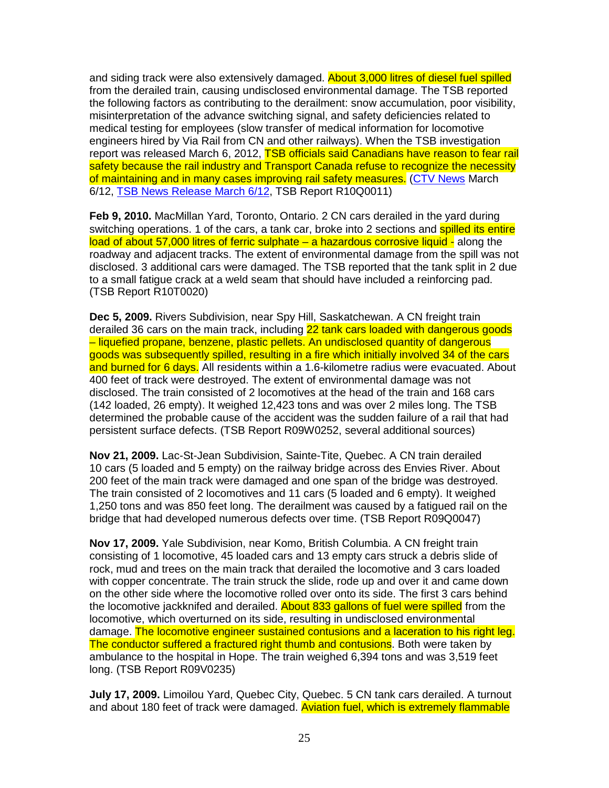and siding track were also extensively damaged. **About 3,000 litres of diesel fuel spilled** from the derailed train, causing undisclosed environmental damage. The TSB reported the following factors as contributing to the derailment: snow accumulation, poor visibility, misinterpretation of the advance switching signal, and safety deficiencies related to medical testing for employees (slow transfer of medical information for locomotive engineers hired by Via Rail from CN and other railways). When the TSB investigation report was released March 6, 2012, TSB officials said Canadians have reason to fear rail safety because the rail industry and Transport Canada refuse to recognize the necessity of maintaining and in many cases improving rail safety measures. (CTV News March 6/12, TSB News Release March 6/12, TSB Report R10Q0011)

**Feb 9, 2010.** MacMillan Yard, Toronto, Ontario. 2 CN cars derailed in the yard during switching operations. 1 of the cars, a tank car, broke into 2 sections and spilled its entire load of about 57,000 litres of ferric sulphate – a hazardous corrosive liquid - along the roadway and adjacent tracks. The extent of environmental damage from the spill was not disclosed. 3 additional cars were damaged. The TSB reported that the tank split in 2 due to a small fatigue crack at a weld seam that should have included a reinforcing pad. (TSB Report R10T0020)

**Dec 5, 2009.** Rivers Subdivision, near Spy Hill, Saskatchewan. A CN freight train derailed 36 cars on the main track, including 22 tank cars loaded with dangerous goods – liquefied propane, benzene, plastic pellets. An undisclosed quantity of dangerous goods was subsequently spilled, resulting in a fire which initially involved 34 of the cars and burned for 6 days. All residents within a 1.6-kilometre radius were evacuated. About 400 feet of track were destroyed. The extent of environmental damage was not disclosed. The train consisted of 2 locomotives at the head of the train and 168 cars (142 loaded, 26 empty). It weighed 12,423 tons and was over 2 miles long. The TSB determined the probable cause of the accident was the sudden failure of a rail that had persistent surface defects. (TSB Report R09W0252, several additional sources)

**Nov 21, 2009.** Lac-St-Jean Subdivision, Sainte-Tite, Quebec. A CN train derailed 10 cars (5 loaded and 5 empty) on the railway bridge across des Envies River. About 200 feet of the main track were damaged and one span of the bridge was destroyed. The train consisted of 2 locomotives and 11 cars (5 loaded and 6 empty). It weighed 1,250 tons and was 850 feet long. The derailment was caused by a fatigued rail on the bridge that had developed numerous defects over time. (TSB Report R09Q0047)

**Nov 17, 2009.** Yale Subdivision, near Komo, British Columbia. A CN freight train consisting of 1 locomotive, 45 loaded cars and 13 empty cars struck a debris slide of rock, mud and trees on the main track that derailed the locomotive and 3 cars loaded with copper concentrate. The train struck the slide, rode up and over it and came down on the other side where the locomotive rolled over onto its side. The first 3 cars behind the locomotive jackknifed and derailed. About 833 gallons of fuel were spilled from the locomotive, which overturned on its side, resulting in undisclosed environmental damage. The locomotive engineer sustained contusions and a laceration to his right leg. The conductor suffered a fractured right thumb and contusions. Both were taken by ambulance to the hospital in Hope. The train weighed 6,394 tons and was 3,519 feet long. (TSB Report R09V0235)

**July 17, 2009.** Limoilou Yard, Quebec City, Quebec. 5 CN tank cars derailed. A turnout and about 180 feet of track were damaged. Aviation fuel, which is extremely flammable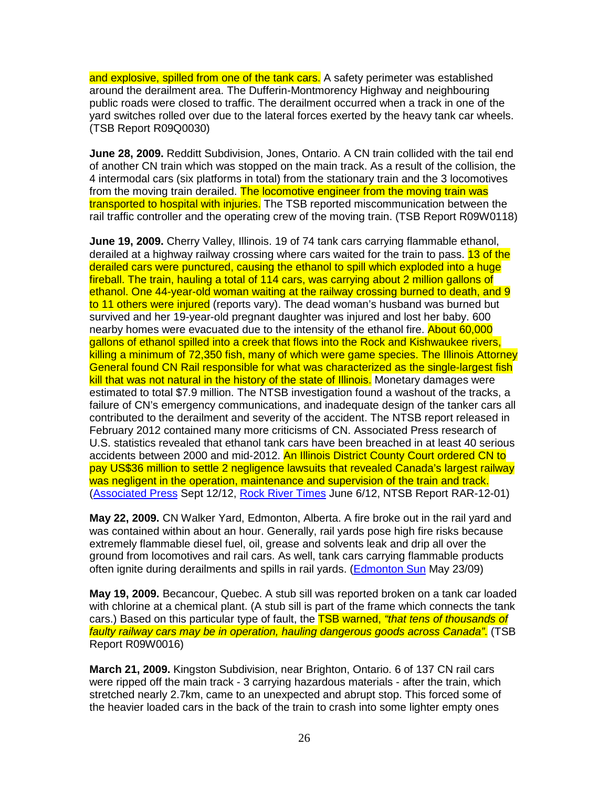and explosive, spilled from one of the tank cars. A safety perimeter was established around the derailment area. The Dufferin-Montmorency Highway and neighbouring public roads were closed to traffic. The derailment occurred when a track in one of the yard switches rolled over due to the lateral forces exerted by the heavy tank car wheels. (TSB Report R09Q0030)

**June 28, 2009.** Redditt Subdivision, Jones, Ontario. A CN train collided with the tail end of another CN train which was stopped on the main track. As a result of the collision, the 4 intermodal cars (six platforms in total) from the stationary train and the 3 locomotives from the moving train derailed. The locomotive engineer from the moving train was transported to hospital with injuries. The TSB reported miscommunication between the rail traffic controller and the operating crew of the moving train. (TSB Report R09W0118)

**June 19, 2009.** Cherry Valley, Illinois. 19 of 74 tank cars carrying flammable ethanol, derailed at a highway railway crossing where cars waited for the train to pass. 13 of the derailed cars were punctured, causing the ethanol to spill which exploded into a huge fireball. The train, hauling a total of 114 cars, was carrying about 2 million gallons of ethanol. One 44-year-old woman waiting at the railway crossing burned to death, and 9 to 11 others were injured (reports vary). The dead woman's husband was burned but survived and her 19-year-old pregnant daughter was injured and lost her baby. 600 nearby homes were evacuated due to the intensity of the ethanol fire. About 60,000 gallons of ethanol spilled into a creek that flows into the Rock and Kishwaukee rivers, killing a minimum of 72,350 fish, many of which were game species. The Illinois Attorney General found CN Rail responsible for what was characterized as the single-largest fish kill that was not natural in the history of the state of Illinois. Monetary damages were estimated to total \$7.9 million. The NTSB investigation found a washout of the tracks, a failure of CN's emergency communications, and inadequate design of the tanker cars all contributed to the derailment and severity of the accident. The NTSB report released in February 2012 contained many more criticisms of CN. Associated Press research of U.S. statistics revealed that ethanol tank cars have been breached in at least 40 serious accidents between 2000 and mid-2012. An Illinois District County Court ordered CN to pay US\$36 million to settle 2 negligence lawsuits that revealed Canada's largest railway was negligent in the operation, maintenance and supervision of the train and track. (Associated Press Sept 12/12, Rock River Times June 6/12, NTSB Report RAR-12-01)

**May 22, 2009.** CN Walker Yard, Edmonton, Alberta. A fire broke out in the rail yard and was contained within about an hour. Generally, rail yards pose high fire risks because extremely flammable diesel fuel, oil, grease and solvents leak and drip all over the ground from locomotives and rail cars. As well, tank cars carrying flammable products often ignite during derailments and spills in rail yards. (Edmonton Sun May 23/09)

**May 19, 2009.** Becancour, Quebec. A stub sill was reported broken on a tank car loaded with chlorine at a chemical plant. (A stub sill is part of the frame which connects the tank cars.) Based on this particular type of fault, the **TSB warned, "that tens of thousands of** faulty railway cars may be in operation, hauling dangerous goods across Canada". (TSB Report R09W0016)

**March 21, 2009.** Kingston Subdivision, near Brighton, Ontario. 6 of 137 CN rail cars were ripped off the main track - 3 carrying hazardous materials - after the train, which stretched nearly 2.7km, came to an unexpected and abrupt stop. This forced some of the heavier loaded cars in the back of the train to crash into some lighter empty ones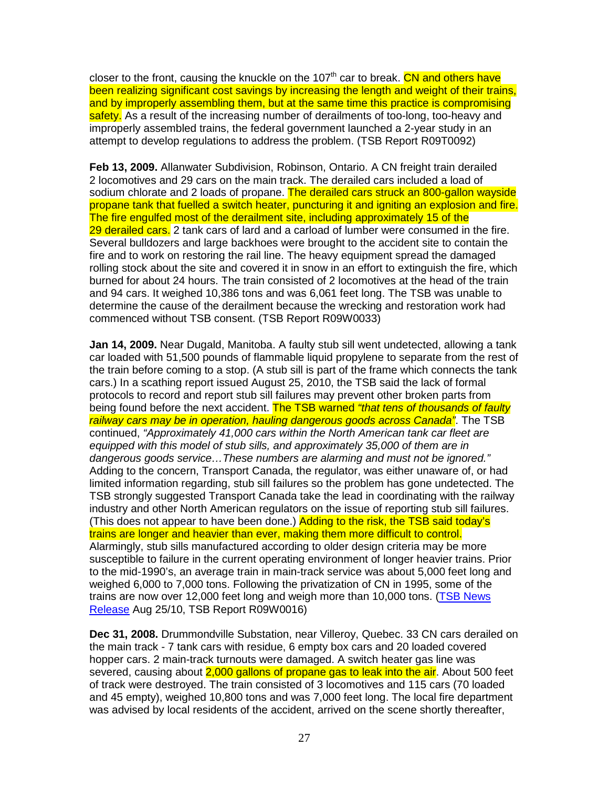closer to the front, causing the knuckle on the 107<sup>th</sup> car to break. CN and others have been realizing significant cost savings by increasing the length and weight of their trains, and by improperly assembling them, but at the same time this practice is compromising safety. As a result of the increasing number of derailments of too-long, too-heavy and improperly assembled trains, the federal government launched a 2-year study in an attempt to develop regulations to address the problem. (TSB Report R09T0092)

**Feb 13, 2009.** Allanwater Subdivision, Robinson, Ontario. A CN freight train derailed 2 locomotives and 29 cars on the main track. The derailed cars included a load of sodium chlorate and 2 loads of propane. The derailed cars struck an 800-gallon wayside propane tank that fuelled a switch heater, puncturing it and igniting an explosion and fire. The fire engulfed most of the derailment site, including approximately 15 of the 29 derailed cars. 2 tank cars of lard and a carload of lumber were consumed in the fire. Several bulldozers and large backhoes were brought to the accident site to contain the fire and to work on restoring the rail line. The heavy equipment spread the damaged rolling stock about the site and covered it in snow in an effort to extinguish the fire, which burned for about 24 hours. The train consisted of 2 locomotives at the head of the train and 94 cars. It weighed 10,386 tons and was 6,061 feet long. The TSB was unable to determine the cause of the derailment because the wrecking and restoration work had commenced without TSB consent. (TSB Report R09W0033)

**Jan 14, 2009.** Near Dugald, Manitoba. A faulty stub sill went undetected, allowing a tank car loaded with 51,500 pounds of flammable liquid propylene to separate from the rest of the train before coming to a stop. (A stub sill is part of the frame which connects the tank cars.) In a scathing report issued August 25, 2010, the TSB said the lack of formal protocols to record and report stub sill failures may prevent other broken parts from being found before the next accident. The TSB warned "that tens of thousands of faulty railway cars may be in operation, hauling dangerous goods across Canada". The TSB continued, "Approximately 41,000 cars within the North American tank car fleet are equipped with this model of stub sills, and approximately 35,000 of them are in dangerous goods service…These numbers are alarming and must not be ignored." Adding to the concern, Transport Canada, the regulator, was either unaware of, or had limited information regarding, stub sill failures so the problem has gone undetected. The TSB strongly suggested Transport Canada take the lead in coordinating with the railway industry and other North American regulators on the issue of reporting stub sill failures. (This does not appear to have been done.) Adding to the risk, the TSB said today's trains are longer and heavier than ever, making them more difficult to control. Alarmingly, stub sills manufactured according to older design criteria may be more susceptible to failure in the current operating environment of longer heavier trains. Prior to the mid-1990's, an average train in main-track service was about 5,000 feet long and weighed 6,000 to 7,000 tons. Following the privatization of CN in 1995, some of the trains are now over 12,000 feet long and weigh more than 10,000 tons. (TSB News Release Aug 25/10, TSB Report R09W0016)

**Dec 31, 2008.** Drummondville Substation, near Villeroy, Quebec. 33 CN cars derailed on the main track - 7 tank cars with residue, 6 empty box cars and 20 loaded covered hopper cars. 2 main-track turnouts were damaged. A switch heater gas line was severed, causing about 2,000 gallons of propane gas to leak into the air. About 500 feet of track were destroyed. The train consisted of 3 locomotives and 115 cars (70 loaded and 45 empty), weighed 10,800 tons and was 7,000 feet long. The local fire department was advised by local residents of the accident, arrived on the scene shortly thereafter,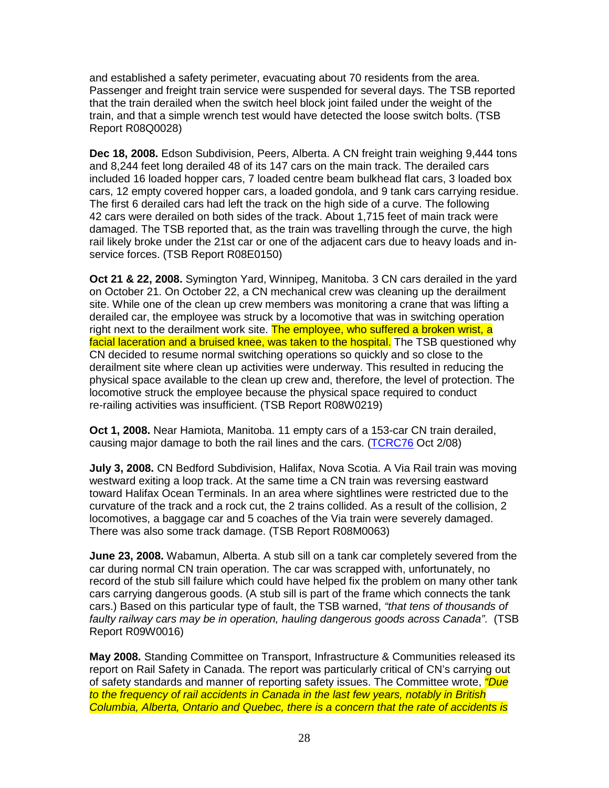and established a safety perimeter, evacuating about 70 residents from the area. Passenger and freight train service were suspended for several days. The TSB reported that the train derailed when the switch heel block joint failed under the weight of the train, and that a simple wrench test would have detected the loose switch bolts. (TSB Report R08Q0028)

**Dec 18, 2008.** Edson Subdivision, Peers, Alberta. A CN freight train weighing 9,444 tons and 8,244 feet long derailed 48 of its 147 cars on the main track. The derailed cars included 16 loaded hopper cars, 7 loaded centre beam bulkhead flat cars, 3 loaded box cars, 12 empty covered hopper cars, a loaded gondola, and 9 tank cars carrying residue. The first 6 derailed cars had left the track on the high side of a curve. The following 42 cars were derailed on both sides of the track. About 1,715 feet of main track were damaged. The TSB reported that, as the train was travelling through the curve, the high rail likely broke under the 21st car or one of the adjacent cars due to heavy loads and inservice forces. (TSB Report R08E0150)

**Oct 21 & 22, 2008.** Symington Yard, Winnipeg, Manitoba. 3 CN cars derailed in the yard on October 21. On October 22, a CN mechanical crew was cleaning up the derailment site. While one of the clean up crew members was monitoring a crane that was lifting a derailed car, the employee was struck by a locomotive that was in switching operation right next to the derailment work site. The employee, who suffered a broken wrist, a facial laceration and a bruised knee, was taken to the hospital. The TSB questioned why CN decided to resume normal switching operations so quickly and so close to the derailment site where clean up activities were underway. This resulted in reducing the physical space available to the clean up crew and, therefore, the level of protection. The locomotive struck the employee because the physical space required to conduct re-railing activities was insufficient. (TSB Report R08W0219)

**Oct 1, 2008.** Near Hamiota, Manitoba. 11 empty cars of a 153-car CN train derailed, causing major damage to both the rail lines and the cars. (TCRC76 Oct 2/08)

**July 3, 2008.** CN Bedford Subdivision, Halifax, Nova Scotia. A Via Rail train was moving westward exiting a loop track. At the same time a CN train was reversing eastward toward Halifax Ocean Terminals. In an area where sightlines were restricted due to the curvature of the track and a rock cut, the 2 trains collided. As a result of the collision, 2 locomotives, a baggage car and 5 coaches of the Via train were severely damaged. There was also some track damage. (TSB Report R08M0063)

**June 23, 2008.** Wabamun, Alberta. A stub sill on a tank car completely severed from the car during normal CN train operation. The car was scrapped with, unfortunately, no record of the stub sill failure which could have helped fix the problem on many other tank cars carrying dangerous goods. (A stub sill is part of the frame which connects the tank cars.) Based on this particular type of fault, the TSB warned, "that tens of thousands of faulty railway cars may be in operation, hauling dangerous goods across Canada". (TSB Report R09W0016)

**May 2008.** Standing Committee on Transport, Infrastructure & Communities released its report on Rail Safety in Canada. The report was particularly critical of CN's carrying out of safety standards and manner of reporting safety issues. The Committee wrote, *"Due* to the frequency of rail accidents in Canada in the last few years, notably in British Columbia, Alberta, Ontario and Quebec, there is a concern that the rate of accidents is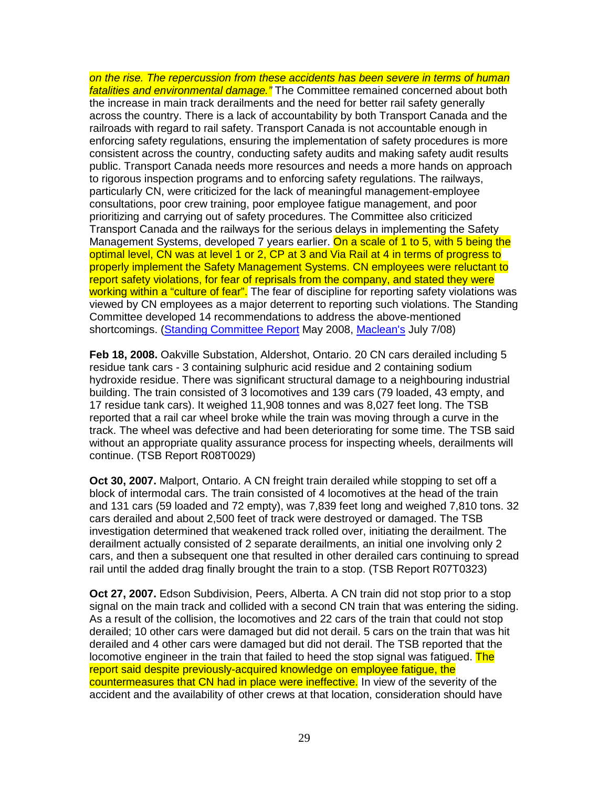on the rise. The repercussion from these accidents has been severe in terms of human fatalities and environmental damage." The Committee remained concerned about both the increase in main track derailments and the need for better rail safety generally across the country. There is a lack of accountability by both Transport Canada and the railroads with regard to rail safety. Transport Canada is not accountable enough in enforcing safety regulations, ensuring the implementation of safety procedures is more consistent across the country, conducting safety audits and making safety audit results public. Transport Canada needs more resources and needs a more hands on approach to rigorous inspection programs and to enforcing safety regulations. The railways, particularly CN, were criticized for the lack of meaningful management-employee consultations, poor crew training, poor employee fatigue management, and poor prioritizing and carrying out of safety procedures. The Committee also criticized Transport Canada and the railways for the serious delays in implementing the Safety Management Systems, developed 7 years earlier. On a scale of 1 to 5, with 5 being the optimal level, CN was at level 1 or 2, CP at 3 and Via Rail at 4 in terms of progress to properly implement the Safety Management Systems. CN employees were reluctant to report safety violations, for fear of reprisals from the company, and stated they were working within a "culture of fear". The fear of discipline for reporting safety violations was viewed by CN employees as a major deterrent to reporting such violations. The Standing Committee developed 14 recommendations to address the above-mentioned shortcomings. (Standing Committee Report May 2008, Maclean's July 7/08)

**Feb 18, 2008.** Oakville Substation, Aldershot, Ontario. 20 CN cars derailed including 5 residue tank cars - 3 containing sulphuric acid residue and 2 containing sodium hydroxide residue. There was significant structural damage to a neighbouring industrial building. The train consisted of 3 locomotives and 139 cars (79 loaded, 43 empty, and 17 residue tank cars). It weighed 11,908 tonnes and was 8,027 feet long. The TSB reported that a rail car wheel broke while the train was moving through a curve in the track. The wheel was defective and had been deteriorating for some time. The TSB said without an appropriate quality assurance process for inspecting wheels, derailments will continue. (TSB Report R08T0029)

**Oct 30, 2007.** Malport, Ontario. A CN freight train derailed while stopping to set off a block of intermodal cars. The train consisted of 4 locomotives at the head of the train and 131 cars (59 loaded and 72 empty), was 7,839 feet long and weighed 7,810 tons. 32 cars derailed and about 2,500 feet of track were destroyed or damaged. The TSB investigation determined that weakened track rolled over, initiating the derailment. The derailment actually consisted of 2 separate derailments, an initial one involving only 2 cars, and then a subsequent one that resulted in other derailed cars continuing to spread rail until the added drag finally brought the train to a stop. (TSB Report R07T0323)

**Oct 27, 2007.** Edson Subdivision, Peers, Alberta. A CN train did not stop prior to a stop signal on the main track and collided with a second CN train that was entering the siding. As a result of the collision, the locomotives and 22 cars of the train that could not stop derailed; 10 other cars were damaged but did not derail. 5 cars on the train that was hit derailed and 4 other cars were damaged but did not derail. The TSB reported that the locomotive engineer in the train that failed to heed the stop signal was fatigued. The report said despite previously-acquired knowledge on employee fatigue, the countermeasures that CN had in place were ineffective. In view of the severity of the accident and the availability of other crews at that location, consideration should have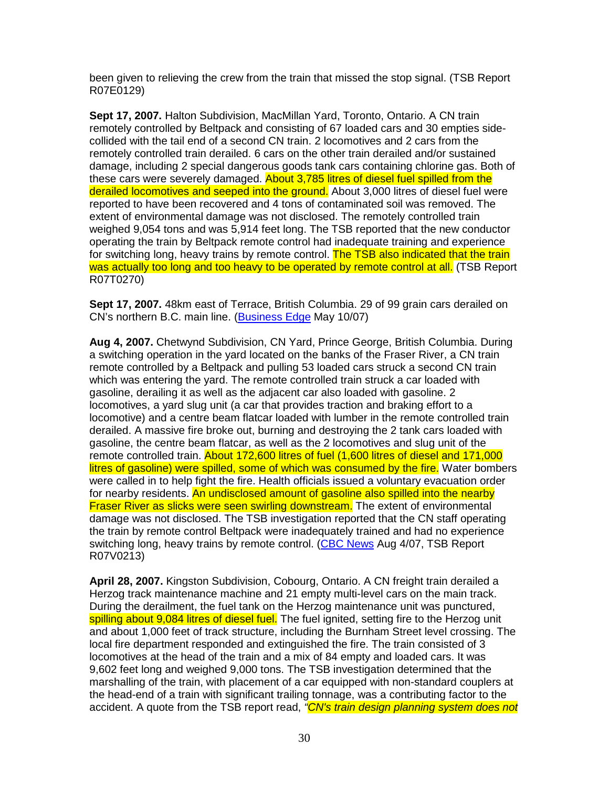been given to relieving the crew from the train that missed the stop signal. (TSB Report R07E0129)

**Sept 17, 2007.** Halton Subdivision, MacMillan Yard, Toronto, Ontario. A CN train remotely controlled by Beltpack and consisting of 67 loaded cars and 30 empties sidecollided with the tail end of a second CN train. 2 locomotives and 2 cars from the remotely controlled train derailed. 6 cars on the other train derailed and/or sustained damage, including 2 special dangerous goods tank cars containing chlorine gas. Both of these cars were severely damaged. About 3,785 litres of diesel fuel spilled from the derailed locomotives and seeped into the ground. About 3,000 litres of diesel fuel were reported to have been recovered and 4 tons of contaminated soil was removed. The extent of environmental damage was not disclosed. The remotely controlled train weighed 9,054 tons and was 5,914 feet long. The TSB reported that the new conductor operating the train by Beltpack remote control had inadequate training and experience for switching long, heavy trains by remote control. The TSB also indicated that the train was actually too long and too heavy to be operated by remote control at all. (TSB Report R07T0270)

**Sept 17, 2007.** 48km east of Terrace, British Columbia. 29 of 99 grain cars derailed on CN's northern B.C. main line. (Business Edge May 10/07)

**Aug 4, 2007.** Chetwynd Subdivision, CN Yard, Prince George, British Columbia. During a switching operation in the yard located on the banks of the Fraser River, a CN train remote controlled by a Beltpack and pulling 53 loaded cars struck a second CN train which was entering the yard. The remote controlled train struck a car loaded with gasoline, derailing it as well as the adjacent car also loaded with gasoline. 2 locomotives, a yard slug unit (a car that provides traction and braking effort to a locomotive) and a centre beam flatcar loaded with lumber in the remote controlled train derailed. A massive fire broke out, burning and destroying the 2 tank cars loaded with gasoline, the centre beam flatcar, as well as the 2 locomotives and slug unit of the remote controlled train. About 172,600 litres of fuel (1,600 litres of diesel and 171,000 litres of gasoline) were spilled, some of which was consumed by the fire. Water bombers were called in to help fight the fire. Health officials issued a voluntary evacuation order for nearby residents. An undisclosed amount of gasoline also spilled into the nearby **Fraser River as slicks were seen swirling downstream.** The extent of environmental damage was not disclosed. The TSB investigation reported that the CN staff operating the train by remote control Beltpack were inadequately trained and had no experience switching long, heavy trains by remote control. (CBC News Aug 4/07, TSB Report R07V0213)

**April 28, 2007.** Kingston Subdivision, Cobourg, Ontario. A CN freight train derailed a Herzog track maintenance machine and 21 empty multi-level cars on the main track. During the derailment, the fuel tank on the Herzog maintenance unit was punctured, spilling about 9,084 litres of diesel fuel. The fuel ignited, setting fire to the Herzog unit and about 1,000 feet of track structure, including the Burnham Street level crossing. The local fire department responded and extinguished the fire. The train consisted of 3 locomotives at the head of the train and a mix of 84 empty and loaded cars. It was 9,602 feet long and weighed 9,000 tons. The TSB investigation determined that the marshalling of the train, with placement of a car equipped with non-standard couplers at the head-end of a train with significant trailing tonnage, was a contributing factor to the accident. A quote from the TSB report read, "CN's train design planning system does not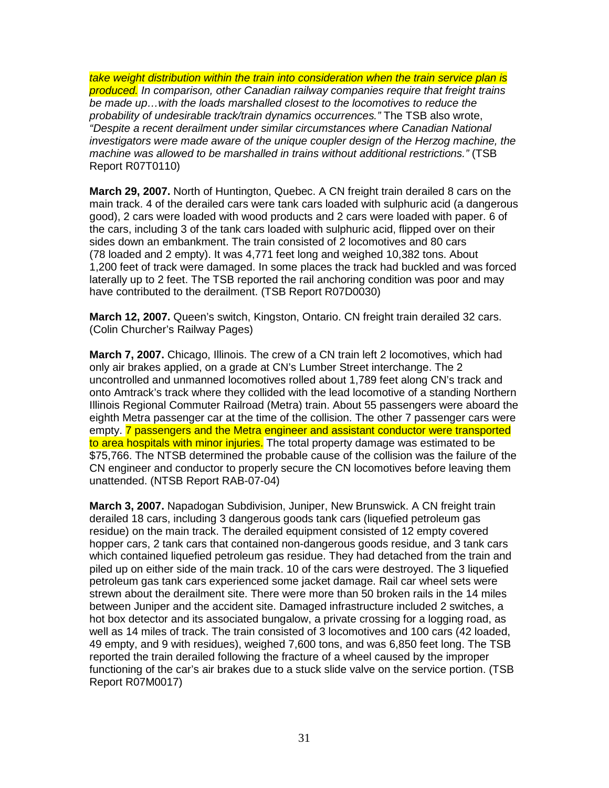take weight distribution within the train into consideration when the train service plan is **produced.** In comparison, other Canadian railway companies require that freight trains be made up…with the loads marshalled closest to the locomotives to reduce the probability of undesirable track/train dynamics occurrences." The TSB also wrote, "Despite a recent derailment under similar circumstances where Canadian National investigators were made aware of the unique coupler design of the Herzog machine, the machine was allowed to be marshalled in trains without additional restrictions." (TSB Report R07T0110)

**March 29, 2007.** North of Huntington, Quebec. A CN freight train derailed 8 cars on the main track. 4 of the derailed cars were tank cars loaded with sulphuric acid (a dangerous good), 2 cars were loaded with wood products and 2 cars were loaded with paper. 6 of the cars, including 3 of the tank cars loaded with sulphuric acid, flipped over on their sides down an embankment. The train consisted of 2 locomotives and 80 cars (78 loaded and 2 empty). It was 4,771 feet long and weighed 10,382 tons. About 1,200 feet of track were damaged. In some places the track had buckled and was forced laterally up to 2 feet. The TSB reported the rail anchoring condition was poor and may have contributed to the derailment. (TSB Report R07D0030)

**March 12, 2007.** Queen's switch, Kingston, Ontario. CN freight train derailed 32 cars. (Colin Churcher's Railway Pages)

**March 7, 2007.** Chicago, Illinois. The crew of a CN train left 2 locomotives, which had only air brakes applied, on a grade at CN's Lumber Street interchange. The 2 uncontrolled and unmanned locomotives rolled about 1,789 feet along CN's track and onto Amtrack's track where they collided with the lead locomotive of a standing Northern Illinois Regional Commuter Railroad (Metra) train. About 55 passengers were aboard the eighth Metra passenger car at the time of the collision. The other 7 passenger cars were empty. 7 passengers and the Metra engineer and assistant conductor were transported to area hospitals with minor injuries. The total property damage was estimated to be \$75,766. The NTSB determined the probable cause of the collision was the failure of the CN engineer and conductor to properly secure the CN locomotives before leaving them unattended. (NTSB Report RAB-07-04)

**March 3, 2007.** Napadogan Subdivision, Juniper, New Brunswick. A CN freight train derailed 18 cars, including 3 dangerous goods tank cars (liquefied petroleum gas residue) on the main track. The derailed equipment consisted of 12 empty covered hopper cars, 2 tank cars that contained non-dangerous goods residue, and 3 tank cars which contained liquefied petroleum gas residue. They had detached from the train and piled up on either side of the main track. 10 of the cars were destroyed. The 3 liquefied petroleum gas tank cars experienced some jacket damage. Rail car wheel sets were strewn about the derailment site. There were more than 50 broken rails in the 14 miles between Juniper and the accident site. Damaged infrastructure included 2 switches, a hot box detector and its associated bungalow, a private crossing for a logging road, as well as 14 miles of track. The train consisted of 3 locomotives and 100 cars (42 loaded, 49 empty, and 9 with residues), weighed 7,600 tons, and was 6,850 feet long. The TSB reported the train derailed following the fracture of a wheel caused by the improper functioning of the car's air brakes due to a stuck slide valve on the service portion. (TSB Report R07M0017)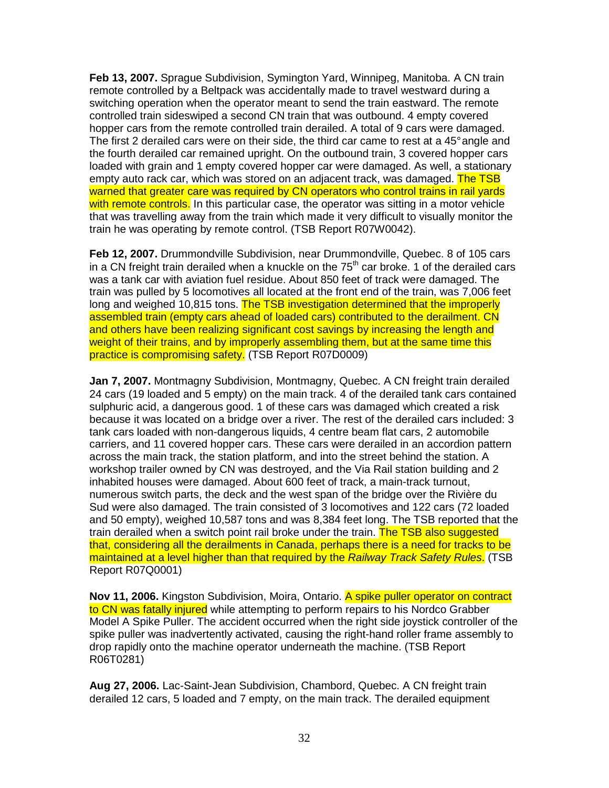**Feb 13, 2007.** Sprague Subdivision, Symington Yard, Winnipeg, Manitoba. A CN train remote controlled by a Beltpack was accidentally made to travel westward during a switching operation when the operator meant to send the train eastward. The remote controlled train sideswiped a second CN train that was outbound. 4 empty covered hopper cars from the remote controlled train derailed. A total of 9 cars were damaged. The first 2 derailed cars were on their side, the third car came to rest at a 45° angle and the fourth derailed car remained upright. On the outbound train, 3 covered hopper cars loaded with grain and 1 empty covered hopper car were damaged. As well, a stationary empty auto rack car, which was stored on an adjacent track, was damaged. The TSB warned that greater care was required by CN operators who control trains in rail yards with remote controls. In this particular case, the operator was sitting in a motor vehicle that was travelling away from the train which made it very difficult to visually monitor the train he was operating by remote control. (TSB Report R07W0042).

**Feb 12, 2007.** Drummondville Subdivision, near Drummondville, Quebec. 8 of 105 cars in a CN freight train derailed when a knuckle on the  $75<sup>th</sup>$  car broke. 1 of the derailed cars was a tank car with aviation fuel residue. About 850 feet of track were damaged. The train was pulled by 5 locomotives all located at the front end of the train, was 7,006 feet long and weighed 10,815 tons. The TSB investigation determined that the improperly assembled train (empty cars ahead of loaded cars) contributed to the derailment. CN and others have been realizing significant cost savings by increasing the length and weight of their trains, and by improperly assembling them, but at the same time this practice is compromising safety. (TSB Report R07D0009)

**Jan 7, 2007.** Montmagny Subdivision, Montmagny, Quebec. A CN freight train derailed 24 cars (19 loaded and 5 empty) on the main track. 4 of the derailed tank cars contained sulphuric acid, a dangerous good. 1 of these cars was damaged which created a risk because it was located on a bridge over a river. The rest of the derailed cars included: 3 tank cars loaded with non-dangerous liquids, 4 centre beam flat cars, 2 automobile carriers, and 11 covered hopper cars. These cars were derailed in an accordion pattern across the main track, the station platform, and into the street behind the station. A workshop trailer owned by CN was destroyed, and the Via Rail station building and 2 inhabited houses were damaged. About 600 feet of track, a main-track turnout, numerous switch parts, the deck and the west span of the bridge over the Rivière du Sud were also damaged. The train consisted of 3 locomotives and 122 cars (72 loaded and 50 empty), weighed 10,587 tons and was 8,384 feet long. The TSB reported that the train derailed when a switch point rail broke under the train. The TSB also suggested that, considering all the derailments in Canada, perhaps there is a need for tracks to be maintained at a level higher than that required by the Railway Track Safety Rules. (TSB Report R07Q0001)

**Nov 11, 2006.** Kingston Subdivision, Moira, Ontario. A spike puller operator on contract to CN was fatally injured while attempting to perform repairs to his Nordco Grabber Model A Spike Puller. The accident occurred when the right side joystick controller of the spike puller was inadvertently activated, causing the right-hand roller frame assembly to drop rapidly onto the machine operator underneath the machine. (TSB Report R06T0281)

**Aug 27, 2006.** Lac-Saint-Jean Subdivision, Chambord, Quebec. A CN freight train derailed 12 cars, 5 loaded and 7 empty, on the main track. The derailed equipment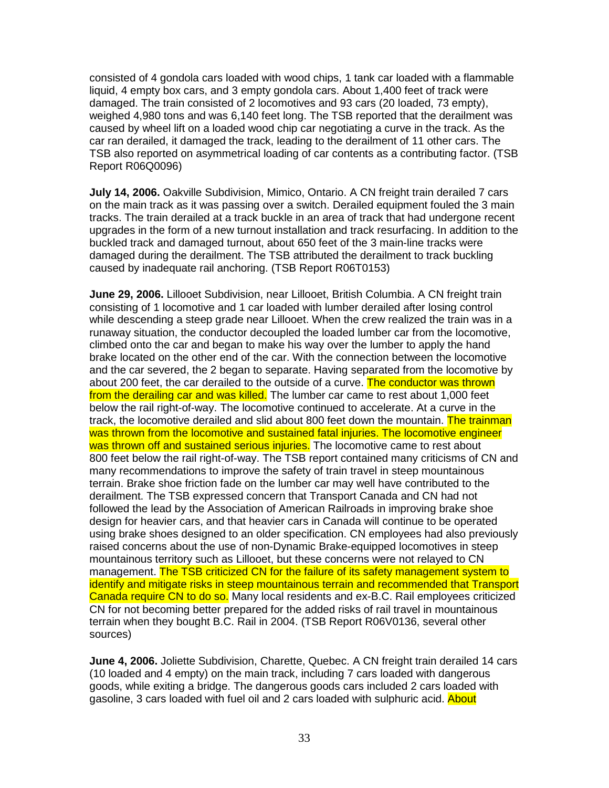consisted of 4 gondola cars loaded with wood chips, 1 tank car loaded with a flammable liquid, 4 empty box cars, and 3 empty gondola cars. About 1,400 feet of track were damaged. The train consisted of 2 locomotives and 93 cars (20 loaded, 73 empty), weighed 4,980 tons and was 6,140 feet long. The TSB reported that the derailment was caused by wheel lift on a loaded wood chip car negotiating a curve in the track. As the car ran derailed, it damaged the track, leading to the derailment of 11 other cars. The TSB also reported on asymmetrical loading of car contents as a contributing factor. (TSB Report R06Q0096)

**July 14, 2006.** Oakville Subdivision, Mimico, Ontario. A CN freight train derailed 7 cars on the main track as it was passing over a switch. Derailed equipment fouled the 3 main tracks. The train derailed at a track buckle in an area of track that had undergone recent upgrades in the form of a new turnout installation and track resurfacing. In addition to the buckled track and damaged turnout, about 650 feet of the 3 main-line tracks were damaged during the derailment. The TSB attributed the derailment to track buckling caused by inadequate rail anchoring. (TSB Report R06T0153)

**June 29, 2006.** Lillooet Subdivision, near Lillooet, British Columbia. A CN freight train consisting of 1 locomotive and 1 car loaded with lumber derailed after losing control while descending a steep grade near Lillooet. When the crew realized the train was in a runaway situation, the conductor decoupled the loaded lumber car from the locomotive, climbed onto the car and began to make his way over the lumber to apply the hand brake located on the other end of the car. With the connection between the locomotive and the car severed, the 2 began to separate. Having separated from the locomotive by about 200 feet, the car derailed to the outside of a curve. The conductor was thrown from the derailing car and was killed. The lumber car came to rest about 1,000 feet below the rail right-of-way. The locomotive continued to accelerate. At a curve in the track, the locomotive derailed and slid about 800 feet down the mountain. The trainman was thrown from the locomotive and sustained fatal injuries. The locomotive engineer was thrown off and sustained serious injuries. The locomotive came to rest about 800 feet below the rail right-of-way. The TSB report contained many criticisms of CN and many recommendations to improve the safety of train travel in steep mountainous terrain. Brake shoe friction fade on the lumber car may well have contributed to the derailment. The TSB expressed concern that Transport Canada and CN had not followed the lead by the Association of American Railroads in improving brake shoe design for heavier cars, and that heavier cars in Canada will continue to be operated using brake shoes designed to an older specification. CN employees had also previously raised concerns about the use of non-Dynamic Brake-equipped locomotives in steep mountainous territory such as Lillooet, but these concerns were not relayed to CN management. The TSB criticized CN for the failure of its safety management system to identify and mitigate risks in steep mountainous terrain and recommended that Transport Canada require CN to do so. Many local residents and ex-B.C. Rail employees criticized CN for not becoming better prepared for the added risks of rail travel in mountainous terrain when they bought B.C. Rail in 2004. (TSB Report R06V0136, several other sources)

**June 4, 2006.** Joliette Subdivision, Charette, Quebec. A CN freight train derailed 14 cars (10 loaded and 4 empty) on the main track, including 7 cars loaded with dangerous goods, while exiting a bridge. The dangerous goods cars included 2 cars loaded with gasoline, 3 cars loaded with fuel oil and 2 cars loaded with sulphuric acid. About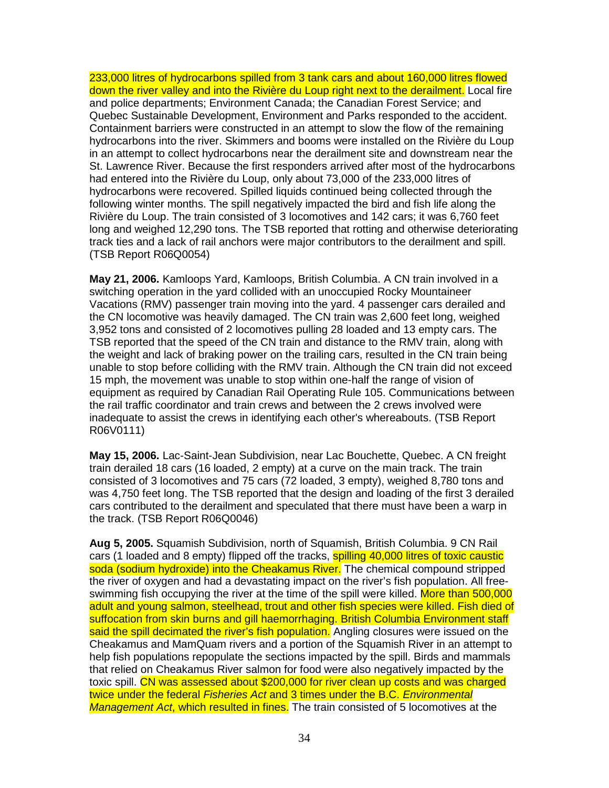233,000 litres of hydrocarbons spilled from 3 tank cars and about 160,000 litres flowed down the river valley and into the Rivière du Loup right next to the derailment. Local fire and police departments; Environment Canada; the Canadian Forest Service; and Quebec Sustainable Development, Environment and Parks responded to the accident. Containment barriers were constructed in an attempt to slow the flow of the remaining hydrocarbons into the river. Skimmers and booms were installed on the Rivière du Loup in an attempt to collect hydrocarbons near the derailment site and downstream near the St. Lawrence River. Because the first responders arrived after most of the hydrocarbons had entered into the Rivière du Loup, only about 73,000 of the 233,000 litres of hydrocarbons were recovered. Spilled liquids continued being collected through the following winter months. The spill negatively impacted the bird and fish life along the Rivière du Loup. The train consisted of 3 locomotives and 142 cars; it was 6,760 feet long and weighed 12,290 tons. The TSB reported that rotting and otherwise deteriorating track ties and a lack of rail anchors were major contributors to the derailment and spill. (TSB Report R06Q0054)

**May 21, 2006.** Kamloops Yard, Kamloops, British Columbia. A CN train involved in a switching operation in the yard collided with an unoccupied Rocky Mountaineer Vacations (RMV) passenger train moving into the yard. 4 passenger cars derailed and the CN locomotive was heavily damaged. The CN train was 2,600 feet long, weighed 3,952 tons and consisted of 2 locomotives pulling 28 loaded and 13 empty cars. The TSB reported that the speed of the CN train and distance to the RMV train, along with the weight and lack of braking power on the trailing cars, resulted in the CN train being unable to stop before colliding with the RMV train. Although the CN train did not exceed 15 mph, the movement was unable to stop within one-half the range of vision of equipment as required by Canadian Rail Operating Rule 105. Communications between the rail traffic coordinator and train crews and between the 2 crews involved were inadequate to assist the crews in identifying each other's whereabouts. (TSB Report R06V0111)

**May 15, 2006.** Lac-Saint-Jean Subdivision, near Lac Bouchette, Quebec. A CN freight train derailed 18 cars (16 loaded, 2 empty) at a curve on the main track. The train consisted of 3 locomotives and 75 cars (72 loaded, 3 empty), weighed 8,780 tons and was 4,750 feet long. The TSB reported that the design and loading of the first 3 derailed cars contributed to the derailment and speculated that there must have been a warp in the track. (TSB Report R06Q0046)

**Aug 5, 2005.** Squamish Subdivision, north of Squamish, British Columbia. 9 CN Rail cars (1 loaded and 8 empty) flipped off the tracks, **spilling 40,000 litres of toxic caustic** soda (sodium hydroxide) into the Cheakamus River. The chemical compound stripped the river of oxygen and had a devastating impact on the river's fish population. All freeswimming fish occupying the river at the time of the spill were killed. More than 500,000 adult and young salmon, steelhead, trout and other fish species were killed. Fish died of suffocation from skin burns and gill haemorrhaging. British Columbia Environment staff said the spill decimated the river's fish population. Angling closures were issued on the Cheakamus and MamQuam rivers and a portion of the Squamish River in an attempt to help fish populations repopulate the sections impacted by the spill. Birds and mammals that relied on Cheakamus River salmon for food were also negatively impacted by the toxic spill. CN was assessed about \$200,000 for river clean up costs and was charged twice under the federal Fisheries Act and 3 times under the B.C. Environmental Management Act, which resulted in fines. The train consisted of 5 locomotives at the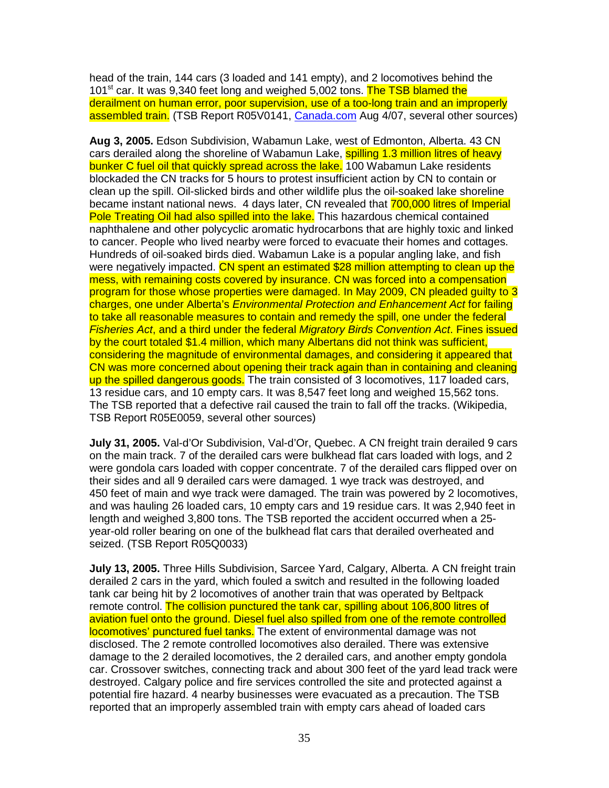head of the train, 144 cars (3 loaded and 141 empty), and 2 locomotives behind the 101<sup>st</sup> car. It was 9,340 feet long and weighed 5,002 tons. The TSB blamed the derailment on human error, poor supervision, use of a too-long train and an improperly assembled train. (TSB Report R05V0141, Canada.com Aug 4/07, several other sources)

**Aug 3, 2005.** Edson Subdivision, Wabamun Lake, west of Edmonton, Alberta. 43 CN cars derailed along the shoreline of Wabamun Lake, spilling 1.3 million litres of heavy bunker C fuel oil that quickly spread across the lake. 100 Wabamun Lake residents blockaded the CN tracks for 5 hours to protest insufficient action by CN to contain or clean up the spill. Oil-slicked birds and other wildlife plus the oil-soaked lake shoreline became instant national news. 4 days later, CN revealed that 700,000 litres of Imperial Pole Treating Oil had also spilled into the lake. This hazardous chemical contained naphthalene and other polycyclic aromatic hydrocarbons that are highly toxic and linked to cancer. People who lived nearby were forced to evacuate their homes and cottages. Hundreds of oil-soaked birds died. Wabamun Lake is a popular angling lake, and fish were negatively impacted. CN spent an estimated \$28 million attempting to clean up the mess, with remaining costs covered by insurance. CN was forced into a compensation program for those whose properties were damaged. In May 2009, CN pleaded guilty to 3 charges, one under Alberta's Environmental Protection and Enhancement Act for failing to take all reasonable measures to contain and remedy the spill, one under the federal Fisheries Act, and a third under the federal Migratory Birds Convention Act. Fines issued by the court totaled \$1.4 million, which many Albertans did not think was sufficient, considering the magnitude of environmental damages, and considering it appeared that CN was more concerned about opening their track again than in containing and cleaning up the spilled dangerous goods. The train consisted of 3 locomotives, 117 loaded cars, 13 residue cars, and 10 empty cars. It was 8,547 feet long and weighed 15,562 tons. The TSB reported that a defective rail caused the train to fall off the tracks. (Wikipedia, TSB Report R05E0059, several other sources)

**July 31, 2005.** Val-d'Or Subdivision, Val-d'Or, Quebec. A CN freight train derailed 9 cars on the main track. 7 of the derailed cars were bulkhead flat cars loaded with logs, and 2 were gondola cars loaded with copper concentrate. 7 of the derailed cars flipped over on their sides and all 9 derailed cars were damaged. 1 wye track was destroyed, and 450 feet of main and wye track were damaged. The train was powered by 2 locomotives, and was hauling 26 loaded cars, 10 empty cars and 19 residue cars. It was 2,940 feet in length and weighed 3,800 tons. The TSB reported the accident occurred when a 25 year-old roller bearing on one of the bulkhead flat cars that derailed overheated and seized. (TSB Report R05Q0033)

**July 13, 2005.** Three Hills Subdivision, Sarcee Yard, Calgary, Alberta. A CN freight train derailed 2 cars in the yard, which fouled a switch and resulted in the following loaded tank car being hit by 2 locomotives of another train that was operated by Beltpack remote control. The collision punctured the tank car, spilling about 106,800 litres of aviation fuel onto the ground. Diesel fuel also spilled from one of the remote controlled locomotives' punctured fuel tanks. The extent of environmental damage was not disclosed. The 2 remote controlled locomotives also derailed. There was extensive damage to the 2 derailed locomotives, the 2 derailed cars, and another empty gondola car. Crossover switches, connecting track and about 300 feet of the yard lead track were destroyed. Calgary police and fire services controlled the site and protected against a potential fire hazard. 4 nearby businesses were evacuated as a precaution. The TSB reported that an improperly assembled train with empty cars ahead of loaded cars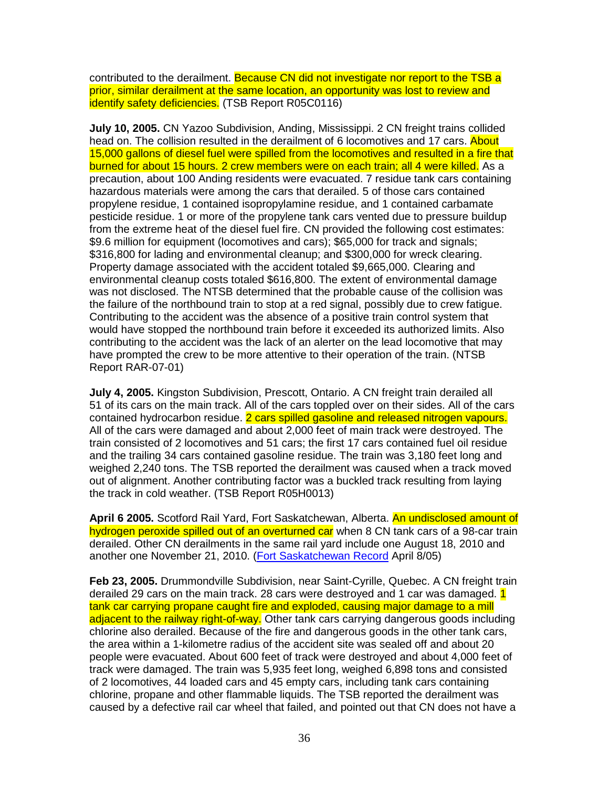contributed to the derailment. Because CN did not investigate nor report to the TSB a prior, similar derailment at the same location, an opportunity was lost to review and identify safety deficiencies. (TSB Report R05C0116)

**July 10, 2005.** CN Yazoo Subdivision, Anding, Mississippi. 2 CN freight trains collided head on. The collision resulted in the derailment of 6 locomotives and 17 cars. About 15,000 gallons of diesel fuel were spilled from the locomotives and resulted in a fire that burned for about 15 hours. 2 crew members were on each train; all 4 were killed. As a precaution, about 100 Anding residents were evacuated. 7 residue tank cars containing hazardous materials were among the cars that derailed. 5 of those cars contained propylene residue, 1 contained isopropylamine residue, and 1 contained carbamate pesticide residue. 1 or more of the propylene tank cars vented due to pressure buildup from the extreme heat of the diesel fuel fire. CN provided the following cost estimates: \$9.6 million for equipment (locomotives and cars); \$65,000 for track and signals; \$316,800 for lading and environmental cleanup; and \$300,000 for wreck clearing. Property damage associated with the accident totaled \$9,665,000. Clearing and environmental cleanup costs totaled \$616,800. The extent of environmental damage was not disclosed. The NTSB determined that the probable cause of the collision was the failure of the northbound train to stop at a red signal, possibly due to crew fatigue. Contributing to the accident was the absence of a positive train control system that would have stopped the northbound train before it exceeded its authorized limits. Also contributing to the accident was the lack of an alerter on the lead locomotive that may have prompted the crew to be more attentive to their operation of the train. (NTSB Report RAR-07-01)

**July 4, 2005.** Kingston Subdivision, Prescott, Ontario. A CN freight train derailed all 51 of its cars on the main track. All of the cars toppled over on their sides. All of the cars contained hydrocarbon residue. 2 cars spilled gasoline and released nitrogen vapours. All of the cars were damaged and about 2,000 feet of main track were destroyed. The train consisted of 2 locomotives and 51 cars; the first 17 cars contained fuel oil residue and the trailing 34 cars contained gasoline residue. The train was 3,180 feet long and weighed 2,240 tons. The TSB reported the derailment was caused when a track moved out of alignment. Another contributing factor was a buckled track resulting from laying the track in cold weather. (TSB Report R05H0013)

**April 6 2005.** Scotford Rail Yard, Fort Saskatchewan, Alberta. An undisclosed amount of hydrogen peroxide spilled out of an overturned car when 8 CN tank cars of a 98-car train derailed. Other CN derailments in the same rail yard include one August 18, 2010 and another one November 21, 2010. (Fort Saskatchewan Record April 8/05)

**Feb 23, 2005.** Drummondville Subdivision, near Saint-Cyrille, Quebec. A CN freight train derailed 29 cars on the main track. 28 cars were destroyed and 1 car was damaged. 1 tank car carrying propane caught fire and exploded, causing major damage to a mill adjacent to the railway right-of-way. Other tank cars carrying dangerous goods including chlorine also derailed. Because of the fire and dangerous goods in the other tank cars, the area within a 1-kilometre radius of the accident site was sealed off and about 20 people were evacuated. About 600 feet of track were destroyed and about 4,000 feet of track were damaged. The train was 5,935 feet long, weighed 6,898 tons and consisted of 2 locomotives, 44 loaded cars and 45 empty cars, including tank cars containing chlorine, propane and other flammable liquids. The TSB reported the derailment was caused by a defective rail car wheel that failed, and pointed out that CN does not have a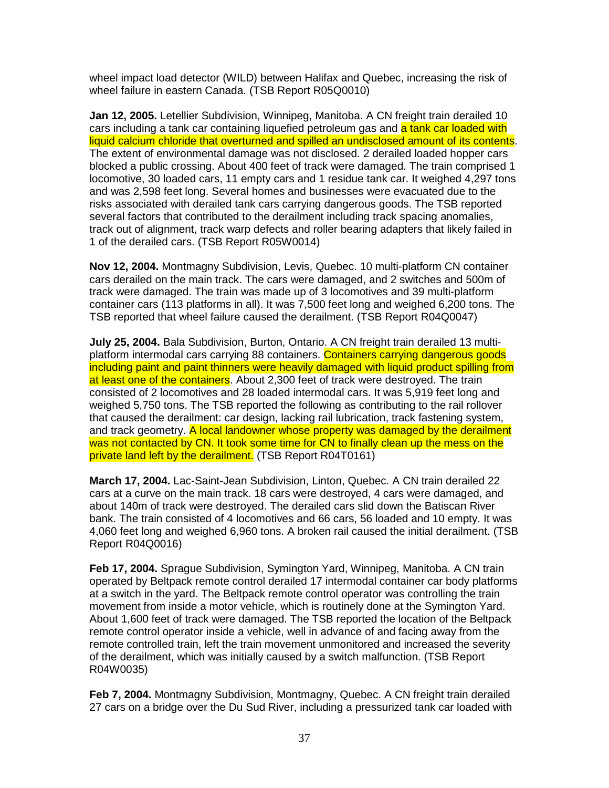wheel impact load detector (WILD) between Halifax and Quebec, increasing the risk of wheel failure in eastern Canada. (TSB Report R05Q0010)

**Jan 12, 2005.** Letellier Subdivision, Winnipeg, Manitoba. A CN freight train derailed 10 cars including a tank car containing liquefied petroleum gas and a tank car loaded with liquid calcium chloride that overturned and spilled an undisclosed amount of its contents. The extent of environmental damage was not disclosed. 2 derailed loaded hopper cars blocked a public crossing. About 400 feet of track were damaged. The train comprised 1 locomotive, 30 loaded cars, 11 empty cars and 1 residue tank car. It weighed 4,297 tons and was 2,598 feet long. Several homes and businesses were evacuated due to the risks associated with derailed tank cars carrying dangerous goods. The TSB reported several factors that contributed to the derailment including track spacing anomalies, track out of alignment, track warp defects and roller bearing adapters that likely failed in 1 of the derailed cars. (TSB Report R05W0014)

**Nov 12, 2004.** Montmagny Subdivision, Levis, Quebec. 10 multi-platform CN container cars derailed on the main track. The cars were damaged, and 2 switches and 500m of track were damaged. The train was made up of 3 locomotives and 39 multi-platform container cars (113 platforms in all). It was 7,500 feet long and weighed 6,200 tons. The TSB reported that wheel failure caused the derailment. (TSB Report R04Q0047)

**July 25, 2004.** Bala Subdivision, Burton, Ontario. A CN freight train derailed 13 multiplatform intermodal cars carrying 88 containers. Containers carrying dangerous goods including paint and paint thinners were heavily damaged with liquid product spilling from at least one of the containers. About 2,300 feet of track were destroyed. The train consisted of 2 locomotives and 28 loaded intermodal cars. It was 5,919 feet long and weighed 5,750 tons. The TSB reported the following as contributing to the rail rollover that caused the derailment: car design, lacking rail lubrication, track fastening system, and track geometry. A local landowner whose property was damaged by the derailment was not contacted by CN. It took some time for CN to finally clean up the mess on the private land left by the derailment. (TSB Report R04T0161)

**March 17, 2004.** Lac-Saint-Jean Subdivision, Linton, Quebec. A CN train derailed 22 cars at a curve on the main track. 18 cars were destroyed, 4 cars were damaged, and about 140m of track were destroyed. The derailed cars slid down the Batiscan River bank. The train consisted of 4 locomotives and 66 cars, 56 loaded and 10 empty. It was 4,060 feet long and weighed 6,960 tons. A broken rail caused the initial derailment. (TSB Report R04Q0016)

**Feb 17, 2004.** Sprague Subdivision, Symington Yard, Winnipeg, Manitoba. A CN train operated by Beltpack remote control derailed 17 intermodal container car body platforms at a switch in the yard. The Beltpack remote control operator was controlling the train movement from inside a motor vehicle, which is routinely done at the Symington Yard. About 1,600 feet of track were damaged. The TSB reported the location of the Beltpack remote control operator inside a vehicle, well in advance of and facing away from the remote controlled train, left the train movement unmonitored and increased the severity of the derailment, which was initially caused by a switch malfunction. (TSB Report R04W0035)

**Feb 7, 2004.** Montmagny Subdivision, Montmagny, Quebec. A CN freight train derailed 27 cars on a bridge over the Du Sud River, including a pressurized tank car loaded with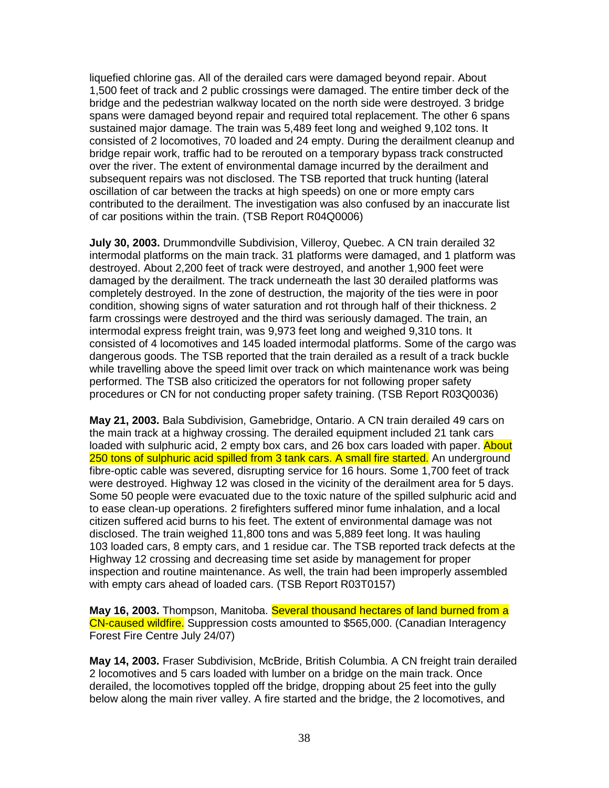liquefied chlorine gas. All of the derailed cars were damaged beyond repair. About 1,500 feet of track and 2 public crossings were damaged. The entire timber deck of the bridge and the pedestrian walkway located on the north side were destroyed. 3 bridge spans were damaged beyond repair and required total replacement. The other 6 spans sustained major damage. The train was 5,489 feet long and weighed 9,102 tons. It consisted of 2 locomotives, 70 loaded and 24 empty. During the derailment cleanup and bridge repair work, traffic had to be rerouted on a temporary bypass track constructed over the river. The extent of environmental damage incurred by the derailment and subsequent repairs was not disclosed. The TSB reported that truck hunting (lateral oscillation of car between the tracks at high speeds) on one or more empty cars contributed to the derailment. The investigation was also confused by an inaccurate list of car positions within the train. (TSB Report R04Q0006)

**July 30, 2003.** Drummondville Subdivision, Villeroy, Quebec. A CN train derailed 32 intermodal platforms on the main track. 31 platforms were damaged, and 1 platform was destroyed. About 2,200 feet of track were destroyed, and another 1,900 feet were damaged by the derailment. The track underneath the last 30 derailed platforms was completely destroyed. In the zone of destruction, the majority of the ties were in poor condition, showing signs of water saturation and rot through half of their thickness. 2 farm crossings were destroyed and the third was seriously damaged. The train, an intermodal express freight train, was 9,973 feet long and weighed 9,310 tons. It consisted of 4 locomotives and 145 loaded intermodal platforms. Some of the cargo was dangerous goods. The TSB reported that the train derailed as a result of a track buckle while travelling above the speed limit over track on which maintenance work was being performed. The TSB also criticized the operators for not following proper safety procedures or CN for not conducting proper safety training. (TSB Report R03Q0036)

**May 21, 2003.** Bala Subdivision, Gamebridge, Ontario. A CN train derailed 49 cars on the main track at a highway crossing. The derailed equipment included 21 tank cars loaded with sulphuric acid, 2 empty box cars, and 26 box cars loaded with paper. About 250 tons of sulphuric acid spilled from 3 tank cars. A small fire started. An underground fibre-optic cable was severed, disrupting service for 16 hours. Some 1,700 feet of track were destroyed. Highway 12 was closed in the vicinity of the derailment area for 5 days. Some 50 people were evacuated due to the toxic nature of the spilled sulphuric acid and to ease clean-up operations. 2 firefighters suffered minor fume inhalation, and a local citizen suffered acid burns to his feet. The extent of environmental damage was not disclosed. The train weighed 11,800 tons and was 5,889 feet long. It was hauling 103 loaded cars, 8 empty cars, and 1 residue car. The TSB reported track defects at the Highway 12 crossing and decreasing time set aside by management for proper inspection and routine maintenance. As well, the train had been improperly assembled with empty cars ahead of loaded cars. (TSB Report R03T0157)

**May 16, 2003.** Thompson, Manitoba. Several thousand hectares of land burned from a CN-caused wildfire. Suppression costs amounted to \$565,000. (Canadian Interagency Forest Fire Centre July 24/07)

**May 14, 2003.** Fraser Subdivision, McBride, British Columbia. A CN freight train derailed 2 locomotives and 5 cars loaded with lumber on a bridge on the main track. Once derailed, the locomotives toppled off the bridge, dropping about 25 feet into the gully below along the main river valley. A fire started and the bridge, the 2 locomotives, and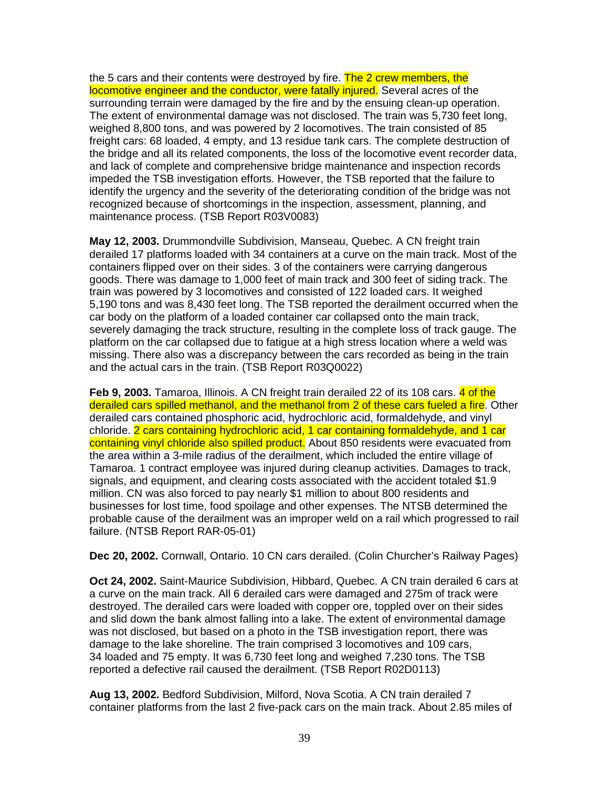the 5 cars and their contents were destroyed by fire. The 2 crew members, the locomotive engineer and the conductor, were fatally injured. Several acres of the surrounding terrain were damaged by the fire and by the ensuing clean-up operation. The extent of environmental damage was not disclosed. The train was 5,730 feet long, weighed 8,800 tons, and was powered by 2 locomotives. The train consisted of 85 freight cars: 68 loaded, 4 empty, and 13 residue tank cars. The complete destruction of the bridge and all its related components, the loss of the locomotive event recorder data, and lack of complete and comprehensive bridge maintenance and inspection records impeded the TSB investigation efforts. However, the TSB reported that the failure to identify the urgency and the severity of the deteriorating condition of the bridge was not recognized because of shortcomings in the inspection, assessment, planning, and maintenance process. (TSB Report R03V0083)

**May 12, 2003.** Drummondville Subdivision, Manseau, Quebec. A CN freight train derailed 17 platforms loaded with 34 containers at a curve on the main track. Most of the containers flipped over on their sides. 3 of the containers were carrying dangerous goods. There was damage to 1,000 feet of main track and 300 feet of siding track. The train was powered by 3 locomotives and consisted of 122 loaded cars. It weighed 5,190 tons and was 8,430 feet long. The TSB reported the derailment occurred when the car body on the platform of a loaded container car collapsed onto the main track, severely damaging the track structure, resulting in the complete loss of track gauge. The platform on the car collapsed due to fatigue at a high stress location where a weld was missing. There also was a discrepancy between the cars recorded as being in the train and the actual cars in the train. (TSB Report R03Q0022)

**Feb 9, 2003.** Tamaroa, Illinois. A CN freight train derailed 22 of its 108 cars. 4 of the derailed cars spilled methanol, and the methanol from 2 of these cars fueled a fire. Other derailed cars contained phosphoric acid, hydrochloric acid, formaldehyde, and vinyl chloride. 2 cars containing hydrochloric acid, 1 car containing formaldehyde, and 1 car containing vinyl chloride also spilled product. About 850 residents were evacuated from the area within a 3-mile radius of the derailment, which included the entire village of Tamaroa. 1 contract employee was injured during cleanup activities. Damages to track, signals, and equipment, and clearing costs associated with the accident totaled \$1.9 million. CN was also forced to pay nearly \$1 million to about 800 residents and businesses for lost time, food spoilage and other expenses. The NTSB determined the probable cause of the derailment was an improper weld on a rail which progressed to rail failure. (NTSB Report RAR-05-01)

**Dec 20, 2002.** Cornwall, Ontario. 10 CN cars derailed. (Colin Churcher's Railway Pages)

**Oct 24, 2002.** Saint-Maurice Subdivision, Hibbard, Quebec. A CN train derailed 6 cars at a curve on the main track. All 6 derailed cars were damaged and 275m of track were destroyed. The derailed cars were loaded with copper ore, toppled over on their sides and slid down the bank almost falling into a lake. The extent of environmental damage was not disclosed, but based on a photo in the TSB investigation report, there was damage to the lake shoreline. The train comprised 3 locomotives and 109 cars, 34 loaded and 75 empty. It was 6,730 feet long and weighed 7,230 tons. The TSB reported a defective rail caused the derailment. (TSB Report R02D0113)

**Aug 13, 2002.** Bedford Subdivision, Milford, Nova Scotia. A CN train derailed 7 container platforms from the last 2 five-pack cars on the main track. About 2.85 miles of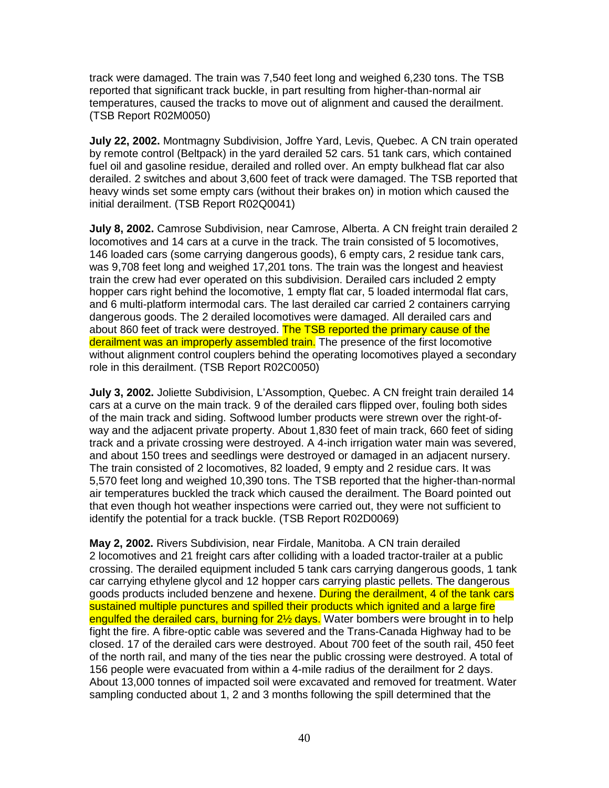track were damaged. The train was 7,540 feet long and weighed 6,230 tons. The TSB reported that significant track buckle, in part resulting from higher-than-normal air temperatures, caused the tracks to move out of alignment and caused the derailment. (TSB Report R02M0050)

**July 22, 2002.** Montmagny Subdivision, Joffre Yard, Levis, Quebec. A CN train operated by remote control (Beltpack) in the yard derailed 52 cars. 51 tank cars, which contained fuel oil and gasoline residue, derailed and rolled over. An empty bulkhead flat car also derailed. 2 switches and about 3,600 feet of track were damaged. The TSB reported that heavy winds set some empty cars (without their brakes on) in motion which caused the initial derailment. (TSB Report R02Q0041)

**July 8, 2002.** Camrose Subdivision, near Camrose, Alberta. A CN freight train derailed 2 locomotives and 14 cars at a curve in the track. The train consisted of 5 locomotives, 146 loaded cars (some carrying dangerous goods), 6 empty cars, 2 residue tank cars, was 9,708 feet long and weighed 17,201 tons. The train was the longest and heaviest train the crew had ever operated on this subdivision. Derailed cars included 2 empty hopper cars right behind the locomotive, 1 empty flat car, 5 loaded intermodal flat cars, and 6 multi-platform intermodal cars. The last derailed car carried 2 containers carrying dangerous goods. The 2 derailed locomotives were damaged. All derailed cars and about 860 feet of track were destroyed. The TSB reported the primary cause of the derailment was an improperly assembled train. The presence of the first locomotive without alignment control couplers behind the operating locomotives played a secondary role in this derailment. (TSB Report R02C0050)

**July 3, 2002.** Joliette Subdivision, L'Assomption, Quebec. A CN freight train derailed 14 cars at a curve on the main track. 9 of the derailed cars flipped over, fouling both sides of the main track and siding. Softwood lumber products were strewn over the right-ofway and the adjacent private property. About 1,830 feet of main track, 660 feet of siding track and a private crossing were destroyed. A 4-inch irrigation water main was severed, and about 150 trees and seedlings were destroyed or damaged in an adjacent nursery. The train consisted of 2 locomotives, 82 loaded, 9 empty and 2 residue cars. It was 5,570 feet long and weighed 10,390 tons. The TSB reported that the higher-than-normal air temperatures buckled the track which caused the derailment. The Board pointed out that even though hot weather inspections were carried out, they were not sufficient to identify the potential for a track buckle. (TSB Report R02D0069)

**May 2, 2002.** Rivers Subdivision, near Firdale, Manitoba. A CN train derailed 2 locomotives and 21 freight cars after colliding with a loaded tractor-trailer at a public crossing. The derailed equipment included 5 tank cars carrying dangerous goods, 1 tank car carrying ethylene glycol and 12 hopper cars carrying plastic pellets. The dangerous goods products included benzene and hexene. During the derailment, 4 of the tank cars sustained multiple punctures and spilled their products which ignited and a large fire engulfed the derailed cars, burning for 2<sup>1/2</sup> days. Water bombers were brought in to help fight the fire. A fibre-optic cable was severed and the Trans-Canada Highway had to be closed. 17 of the derailed cars were destroyed. About 700 feet of the south rail, 450 feet of the north rail, and many of the ties near the public crossing were destroyed. A total of 156 people were evacuated from within a 4-mile radius of the derailment for 2 days. About 13,000 tonnes of impacted soil were excavated and removed for treatment. Water sampling conducted about 1, 2 and 3 months following the spill determined that the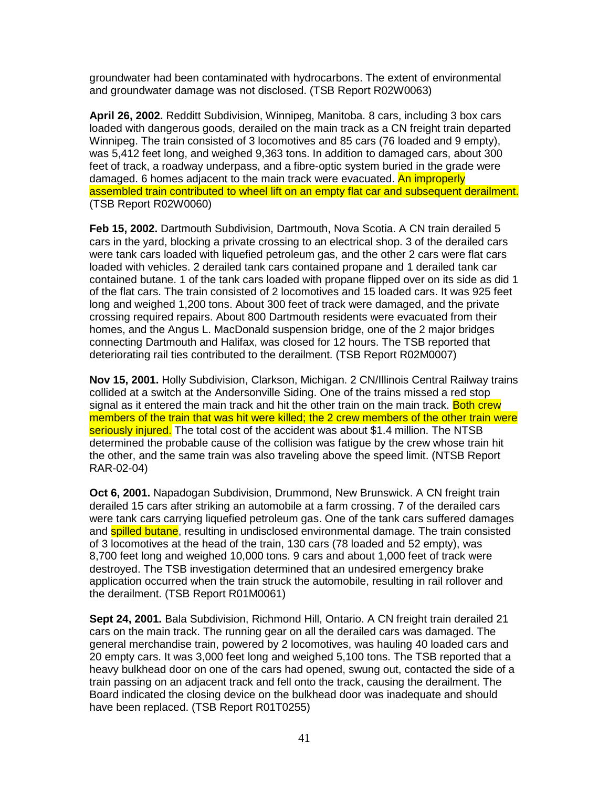groundwater had been contaminated with hydrocarbons. The extent of environmental and groundwater damage was not disclosed. (TSB Report R02W0063)

**April 26, 2002.** Redditt Subdivision, Winnipeg, Manitoba. 8 cars, including 3 box cars loaded with dangerous goods, derailed on the main track as a CN freight train departed Winnipeg. The train consisted of 3 locomotives and 85 cars (76 loaded and 9 empty), was 5,412 feet long, and weighed 9,363 tons. In addition to damaged cars, about 300 feet of track, a roadway underpass, and a fibre-optic system buried in the grade were damaged. 6 homes adjacent to the main track were evacuated. An improperly assembled train contributed to wheel lift on an empty flat car and subsequent derailment. (TSB Report R02W0060)

**Feb 15, 2002.** Dartmouth Subdivision, Dartmouth, Nova Scotia. A CN train derailed 5 cars in the yard, blocking a private crossing to an electrical shop. 3 of the derailed cars were tank cars loaded with liquefied petroleum gas, and the other 2 cars were flat cars loaded with vehicles. 2 derailed tank cars contained propane and 1 derailed tank car contained butane. 1 of the tank cars loaded with propane flipped over on its side as did 1 of the flat cars. The train consisted of 2 locomotives and 15 loaded cars. It was 925 feet long and weighed 1,200 tons. About 300 feet of track were damaged, and the private crossing required repairs. About 800 Dartmouth residents were evacuated from their homes, and the Angus L. MacDonald suspension bridge, one of the 2 major bridges connecting Dartmouth and Halifax, was closed for 12 hours. The TSB reported that deteriorating rail ties contributed to the derailment. (TSB Report R02M0007)

**Nov 15, 2001.** Holly Subdivision, Clarkson, Michigan. 2 CN/Illinois Central Railway trains collided at a switch at the Andersonville Siding. One of the trains missed a red stop signal as it entered the main track and hit the other train on the main track. Both crew members of the train that was hit were killed; the 2 crew members of the other train were seriously injured. The total cost of the accident was about \$1.4 million. The NTSB determined the probable cause of the collision was fatigue by the crew whose train hit the other, and the same train was also traveling above the speed limit. (NTSB Report RAR-02-04)

**Oct 6, 2001.** Napadogan Subdivision, Drummond, New Brunswick. A CN freight train derailed 15 cars after striking an automobile at a farm crossing. 7 of the derailed cars were tank cars carrying liquefied petroleum gas. One of the tank cars suffered damages and **spilled butane**, resulting in undisclosed environmental damage. The train consisted of 3 locomotives at the head of the train, 130 cars (78 loaded and 52 empty), was 8,700 feet long and weighed 10,000 tons. 9 cars and about 1,000 feet of track were destroyed. The TSB investigation determined that an undesired emergency brake application occurred when the train struck the automobile, resulting in rail rollover and the derailment. (TSB Report R01M0061)

**Sept 24, 2001.** Bala Subdivision, Richmond Hill, Ontario. A CN freight train derailed 21 cars on the main track. The running gear on all the derailed cars was damaged. The general merchandise train, powered by 2 locomotives, was hauling 40 loaded cars and 20 empty cars. It was 3,000 feet long and weighed 5,100 tons. The TSB reported that a heavy bulkhead door on one of the cars had opened, swung out, contacted the side of a train passing on an adjacent track and fell onto the track, causing the derailment. The Board indicated the closing device on the bulkhead door was inadequate and should have been replaced. (TSB Report R01T0255)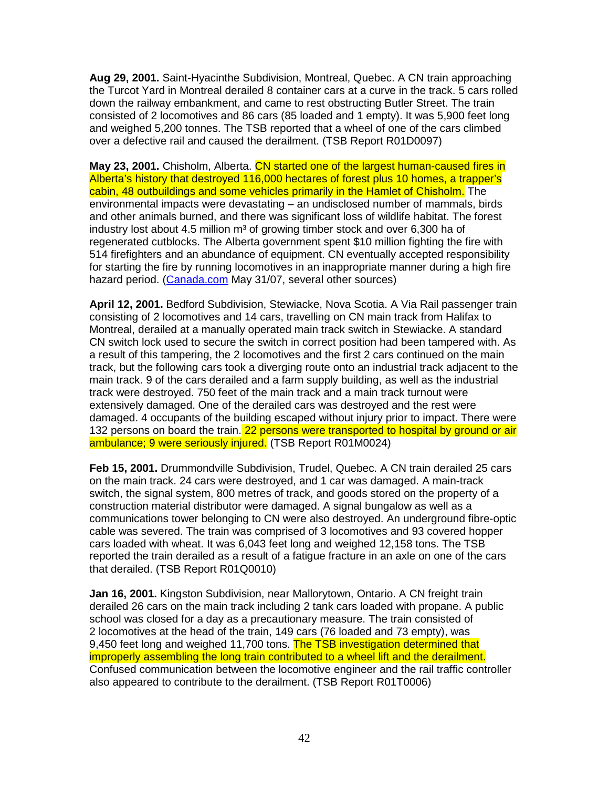**Aug 29, 2001.** Saint-Hyacinthe Subdivision, Montreal, Quebec. A CN train approaching the Turcot Yard in Montreal derailed 8 container cars at a curve in the track. 5 cars rolled down the railway embankment, and came to rest obstructing Butler Street. The train consisted of 2 locomotives and 86 cars (85 loaded and 1 empty). It was 5,900 feet long and weighed 5,200 tonnes. The TSB reported that a wheel of one of the cars climbed over a defective rail and caused the derailment. (TSB Report R01D0097)

**May 23, 2001.** Chisholm, Alberta. CN started one of the largest human-caused fires in Alberta's history that destroyed 116,000 hectares of forest plus 10 homes, a trapper's cabin, 48 outbuildings and some vehicles primarily in the Hamlet of Chisholm. The environmental impacts were devastating – an undisclosed number of mammals, birds and other animals burned, and there was significant loss of wildlife habitat. The forest industry lost about 4.5 million  $m<sup>3</sup>$  of growing timber stock and over 6,300 ha of regenerated cutblocks. The Alberta government spent \$10 million fighting the fire with 514 firefighters and an abundance of equipment. CN eventually accepted responsibility for starting the fire by running locomotives in an inappropriate manner during a high fire hazard period. (Canada.com May 31/07, several other sources)

**April 12, 2001.** Bedford Subdivision, Stewiacke, Nova Scotia. A Via Rail passenger train consisting of 2 locomotives and 14 cars, travelling on CN main track from Halifax to Montreal, derailed at a manually operated main track switch in Stewiacke. A standard CN switch lock used to secure the switch in correct position had been tampered with. As a result of this tampering, the 2 locomotives and the first 2 cars continued on the main track, but the following cars took a diverging route onto an industrial track adjacent to the main track. 9 of the cars derailed and a farm supply building, as well as the industrial track were destroyed. 750 feet of the main track and a main track turnout were extensively damaged. One of the derailed cars was destroyed and the rest were damaged. 4 occupants of the building escaped without injury prior to impact. There were 132 persons on board the train. 22 persons were transported to hospital by ground or air ambulance; 9 were seriously injured. (TSB Report R01M0024)

**Feb 15, 2001.** Drummondville Subdivision, Trudel, Quebec. A CN train derailed 25 cars on the main track. 24 cars were destroyed, and 1 car was damaged. A main-track switch, the signal system, 800 metres of track, and goods stored on the property of a construction material distributor were damaged. A signal bungalow as well as a communications tower belonging to CN were also destroyed. An underground fibre-optic cable was severed. The train was comprised of 3 locomotives and 93 covered hopper cars loaded with wheat. It was 6,043 feet long and weighed 12,158 tons. The TSB reported the train derailed as a result of a fatigue fracture in an axle on one of the cars that derailed. (TSB Report R01Q0010)

**Jan 16, 2001.** Kingston Subdivision, near Mallorytown, Ontario. A CN freight train derailed 26 cars on the main track including 2 tank cars loaded with propane. A public school was closed for a day as a precautionary measure. The train consisted of 2 locomotives at the head of the train, 149 cars (76 loaded and 73 empty), was 9,450 feet long and weighed 11,700 tons. The TSB investigation determined that improperly assembling the long train contributed to a wheel lift and the derailment. Confused communication between the locomotive engineer and the rail traffic controller also appeared to contribute to the derailment. (TSB Report R01T0006)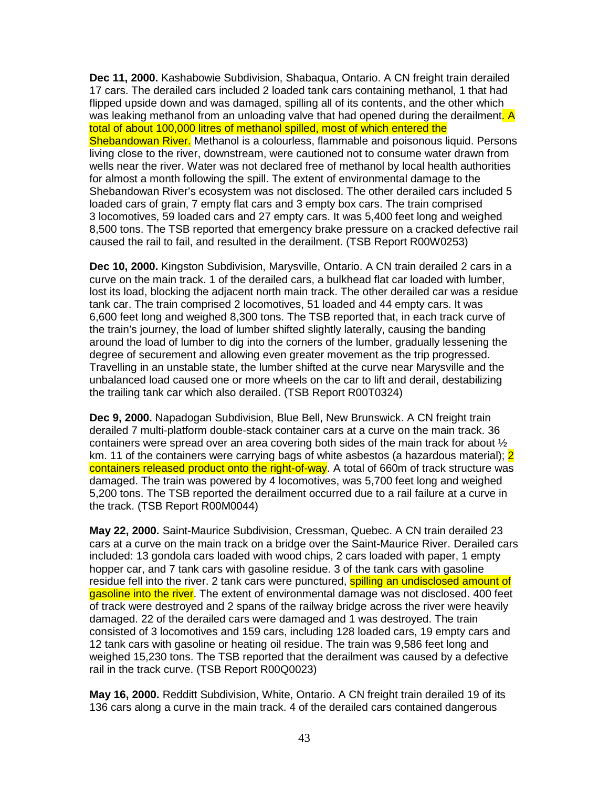**Dec 11, 2000.** Kashabowie Subdivision, Shabaqua, Ontario. A CN freight train derailed 17 cars. The derailed cars included 2 loaded tank cars containing methanol, 1 that had flipped upside down and was damaged, spilling all of its contents, and the other which was leaking methanol from an unloading valve that had opened during the derailment. A total of about 100,000 litres of methanol spilled, most of which entered the Shebandowan River. Methanol is a colourless, flammable and poisonous liquid. Persons living close to the river, downstream, were cautioned not to consume water drawn from wells near the river. Water was not declared free of methanol by local health authorities for almost a month following the spill. The extent of environmental damage to the Shebandowan River's ecosystem was not disclosed. The other derailed cars included 5 loaded cars of grain, 7 empty flat cars and 3 empty box cars. The train comprised 3 locomotives, 59 loaded cars and 27 empty cars. It was 5,400 feet long and weighed 8,500 tons. The TSB reported that emergency brake pressure on a cracked defective rail caused the rail to fail, and resulted in the derailment. (TSB Report R00W0253)

**Dec 10, 2000.** Kingston Subdivision, Marysville, Ontario. A CN train derailed 2 cars in a curve on the main track. 1 of the derailed cars, a bulkhead flat car loaded with lumber, lost its load, blocking the adjacent north main track. The other derailed car was a residue tank car. The train comprised 2 locomotives, 51 loaded and 44 empty cars. It was 6,600 feet long and weighed 8,300 tons. The TSB reported that, in each track curve of the train's journey, the load of lumber shifted slightly laterally, causing the banding around the load of lumber to dig into the corners of the lumber, gradually lessening the degree of securement and allowing even greater movement as the trip progressed. Travelling in an unstable state, the lumber shifted at the curve near Marysville and the unbalanced load caused one or more wheels on the car to lift and derail, destabilizing the trailing tank car which also derailed. (TSB Report R00T0324)

**Dec 9, 2000.** Napadogan Subdivision, Blue Bell, New Brunswick. A CN freight train derailed 7 multi-platform double-stack container cars at a curve on the main track. 36 containers were spread over an area covering both sides of the main track for about ½ km. 11 of the containers were carrying bags of white asbestos (a hazardous material); 2 containers released product onto the right-of-way. A total of 660m of track structure was damaged. The train was powered by 4 locomotives, was 5,700 feet long and weighed 5,200 tons. The TSB reported the derailment occurred due to a rail failure at a curve in the track. (TSB Report R00M0044)

**May 22, 2000.** Saint-Maurice Subdivision, Cressman, Quebec. A CN train derailed 23 cars at a curve on the main track on a bridge over the Saint-Maurice River. Derailed cars included: 13 gondola cars loaded with wood chips, 2 cars loaded with paper, 1 empty hopper car, and 7 tank cars with gasoline residue. 3 of the tank cars with gasoline residue fell into the river. 2 tank cars were punctured, spilling an undisclosed amount of gasoline into the river. The extent of environmental damage was not disclosed. 400 feet of track were destroyed and 2 spans of the railway bridge across the river were heavily damaged. 22 of the derailed cars were damaged and 1 was destroyed. The train consisted of 3 locomotives and 159 cars, including 128 loaded cars, 19 empty cars and 12 tank cars with gasoline or heating oil residue. The train was 9,586 feet long and weighed 15,230 tons. The TSB reported that the derailment was caused by a defective rail in the track curve. (TSB Report R00Q0023)

**May 16, 2000.** Redditt Subdivision, White, Ontario. A CN freight train derailed 19 of its 136 cars along a curve in the main track. 4 of the derailed cars contained dangerous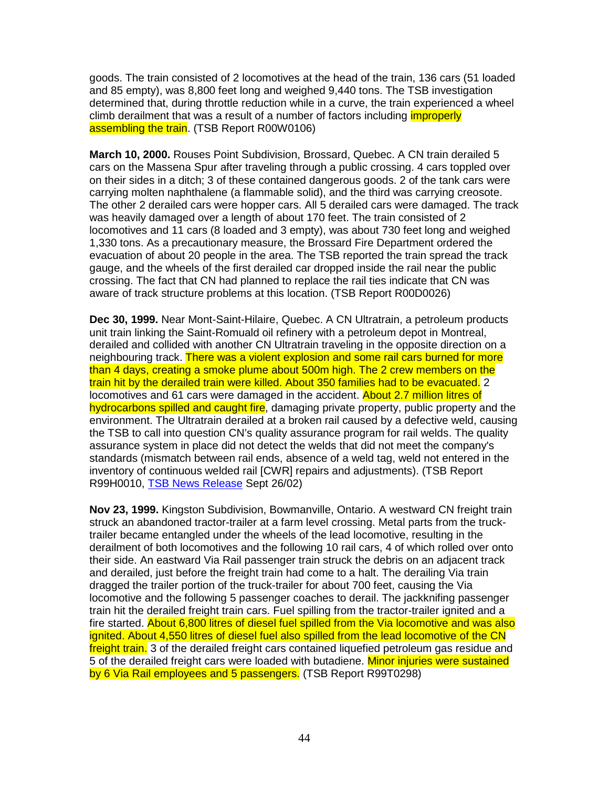goods. The train consisted of 2 locomotives at the head of the train, 136 cars (51 loaded and 85 empty), was 8,800 feet long and weighed 9,440 tons. The TSB investigation determined that, during throttle reduction while in a curve, the train experienced a wheel climb derailment that was a result of a number of factors including *improperly* assembling the train. (TSB Report R00W0106)

**March 10, 2000.** Rouses Point Subdivision, Brossard, Quebec. A CN train derailed 5 cars on the Massena Spur after traveling through a public crossing. 4 cars toppled over on their sides in a ditch; 3 of these contained dangerous goods. 2 of the tank cars were carrying molten naphthalene (a flammable solid), and the third was carrying creosote. The other 2 derailed cars were hopper cars. All 5 derailed cars were damaged. The track was heavily damaged over a length of about 170 feet. The train consisted of 2 locomotives and 11 cars (8 loaded and 3 empty), was about 730 feet long and weighed 1,330 tons. As a precautionary measure, the Brossard Fire Department ordered the evacuation of about 20 people in the area. The TSB reported the train spread the track gauge, and the wheels of the first derailed car dropped inside the rail near the public crossing. The fact that CN had planned to replace the rail ties indicate that CN was aware of track structure problems at this location. (TSB Report R00D0026)

**Dec 30, 1999.** Near Mont-Saint-Hilaire, Quebec. A CN Ultratrain, a petroleum products unit train linking the Saint-Romuald oil refinery with a petroleum depot in Montreal, derailed and collided with another CN Ultratrain traveling in the opposite direction on a neighbouring track. There was a violent explosion and some rail cars burned for more than 4 days, creating a smoke plume about 500m high. The 2 crew members on the train hit by the derailed train were killed. About 350 families had to be evacuated. 2 locomotives and 61 cars were damaged in the accident. About 2.7 million litres of hydrocarbons spilled and caught fire, damaging private property, public property and the environment. The Ultratrain derailed at a broken rail caused by a defective weld, causing the TSB to call into question CN's quality assurance program for rail welds. The quality assurance system in place did not detect the welds that did not meet the company's standards (mismatch between rail ends, absence of a weld tag, weld not entered in the inventory of continuous welded rail [CWR] repairs and adjustments). (TSB Report R99H0010, TSB News Release Sept 26/02)

**Nov 23, 1999.** Kingston Subdivision, Bowmanville, Ontario. A westward CN freight train struck an abandoned tractor-trailer at a farm level crossing. Metal parts from the trucktrailer became entangled under the wheels of the lead locomotive, resulting in the derailment of both locomotives and the following 10 rail cars, 4 of which rolled over onto their side. An eastward Via Rail passenger train struck the debris on an adjacent track and derailed, just before the freight train had come to a halt. The derailing Via train dragged the trailer portion of the truck-trailer for about 700 feet, causing the Via locomotive and the following 5 passenger coaches to derail. The jackknifing passenger train hit the derailed freight train cars. Fuel spilling from the tractor-trailer ignited and a fire started. About 6,800 litres of diesel fuel spilled from the Via locomotive and was also ignited. About 4,550 litres of diesel fuel also spilled from the lead locomotive of the CN freight train. 3 of the derailed freight cars contained liquefied petroleum gas residue and 5 of the derailed freight cars were loaded with butadiene. Minor injuries were sustained by 6 Via Rail employees and 5 passengers. (TSB Report R99T0298)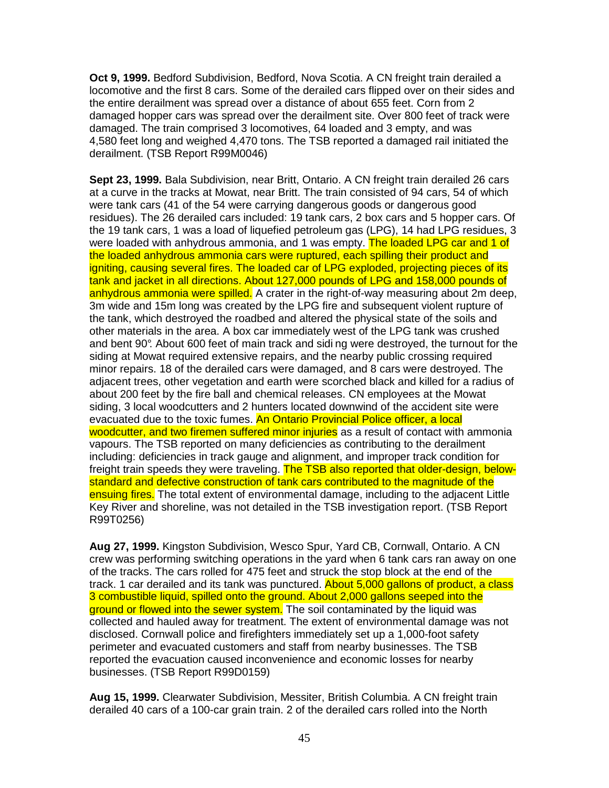**Oct 9, 1999.** Bedford Subdivision, Bedford, Nova Scotia. A CN freight train derailed a locomotive and the first 8 cars. Some of the derailed cars flipped over on their sides and the entire derailment was spread over a distance of about 655 feet. Corn from 2 damaged hopper cars was spread over the derailment site. Over 800 feet of track were damaged. The train comprised 3 locomotives, 64 loaded and 3 empty, and was 4,580 feet long and weighed 4,470 tons. The TSB reported a damaged rail initiated the derailment. (TSB Report R99M0046)

**Sept 23, 1999.** Bala Subdivision, near Britt, Ontario. A CN freight train derailed 26 cars at a curve in the tracks at Mowat, near Britt. The train consisted of 94 cars, 54 of which were tank cars (41 of the 54 were carrying dangerous goods or dangerous good residues). The 26 derailed cars included: 19 tank cars, 2 box cars and 5 hopper cars. Of the 19 tank cars, 1 was a load of liquefied petroleum gas (LPG), 14 had LPG residues, 3 were loaded with anhydrous ammonia, and 1 was empty. The loaded LPG car and 1 of the loaded anhydrous ammonia cars were ruptured, each spilling their product and igniting, causing several fires. The loaded car of LPG exploded, projecting pieces of its tank and jacket in all directions. About 127,000 pounds of LPG and 158,000 pounds of anhydrous ammonia were spilled. A crater in the right-of-way measuring about 2m deep, 3m wide and 15m long was created by the LPG fire and subsequent violent rupture of the tank, which destroyed the roadbed and altered the physical state of the soils and other materials in the area. A box car immediately west of the LPG tank was crushed and bent 90°. About 600 feet of main track and sidi ng were destroyed, the turnout for the siding at Mowat required extensive repairs, and the nearby public crossing required minor repairs. 18 of the derailed cars were damaged, and 8 cars were destroyed. The adjacent trees, other vegetation and earth were scorched black and killed for a radius of about 200 feet by the fire ball and chemical releases. CN employees at the Mowat siding, 3 local woodcutters and 2 hunters located downwind of the accident site were evacuated due to the toxic fumes. An Ontario Provincial Police officer, a local woodcutter, and two firemen suffered minor injuries as a result of contact with ammonia vapours. The TSB reported on many deficiencies as contributing to the derailment including: deficiencies in track gauge and alignment, and improper track condition for freight train speeds they were traveling. The TSB also reported that older-design, belowstandard and defective construction of tank cars contributed to the magnitude of the ensuing fires. The total extent of environmental damage, including to the adjacent Little Key River and shoreline, was not detailed in the TSB investigation report. (TSB Report R99T0256)

**Aug 27, 1999.** Kingston Subdivision, Wesco Spur, Yard CB, Cornwall, Ontario. A CN crew was performing switching operations in the yard when 6 tank cars ran away on one of the tracks. The cars rolled for 475 feet and struck the stop block at the end of the track. 1 car derailed and its tank was punctured. About 5,000 gallons of product, a class 3 combustible liquid, spilled onto the ground. About 2,000 gallons seeped into the ground or flowed into the sewer system. The soil contaminated by the liquid was collected and hauled away for treatment. The extent of environmental damage was not disclosed. Cornwall police and firefighters immediately set up a 1,000-foot safety perimeter and evacuated customers and staff from nearby businesses. The TSB reported the evacuation caused inconvenience and economic losses for nearby businesses. (TSB Report R99D0159)

**Aug 15, 1999.** Clearwater Subdivision, Messiter, British Columbia. A CN freight train derailed 40 cars of a 100-car grain train. 2 of the derailed cars rolled into the North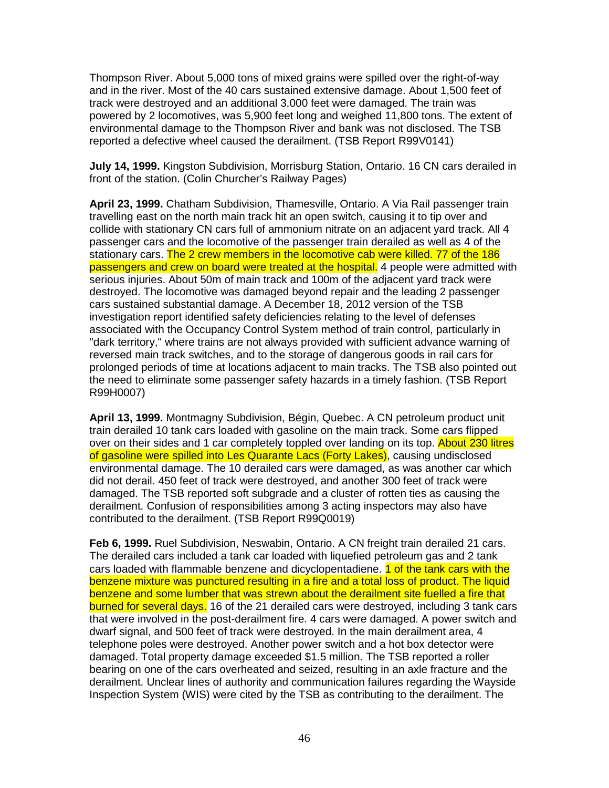Thompson River. About 5,000 tons of mixed grains were spilled over the right-of-way and in the river. Most of the 40 cars sustained extensive damage. About 1,500 feet of track were destroyed and an additional 3,000 feet were damaged. The train was powered by 2 locomotives, was 5,900 feet long and weighed 11,800 tons. The extent of environmental damage to the Thompson River and bank was not disclosed. The TSB reported a defective wheel caused the derailment. (TSB Report R99V0141)

**July 14, 1999.** Kingston Subdivision, Morrisburg Station, Ontario. 16 CN cars derailed in front of the station. (Colin Churcher's Railway Pages)

**April 23, 1999.** Chatham Subdivision, Thamesville, Ontario. A Via Rail passenger train travelling east on the north main track hit an open switch, causing it to tip over and collide with stationary CN cars full of ammonium nitrate on an adjacent yard track. All 4 passenger cars and the locomotive of the passenger train derailed as well as 4 of the stationary cars. The 2 crew members in the locomotive cab were killed. 77 of the 186 passengers and crew on board were treated at the hospital. 4 people were admitted with serious injuries. About 50m of main track and 100m of the adjacent yard track were destroyed. The locomotive was damaged beyond repair and the leading 2 passenger cars sustained substantial damage. A December 18, 2012 version of the TSB investigation report identified safety deficiencies relating to the level of defenses associated with the Occupancy Control System method of train control, particularly in "dark territory," where trains are not always provided with sufficient advance warning of reversed main track switches, and to the storage of dangerous goods in rail cars for prolonged periods of time at locations adjacent to main tracks. The TSB also pointed out the need to eliminate some passenger safety hazards in a timely fashion. (TSB Report R99H0007)

**April 13, 1999.** Montmagny Subdivision, Bégin, Quebec. A CN petroleum product unit train derailed 10 tank cars loaded with gasoline on the main track. Some cars flipped over on their sides and 1 car completely toppled over landing on its top. About 230 litres of gasoline were spilled into Les Quarante Lacs (Forty Lakes), causing undisclosed environmental damage. The 10 derailed cars were damaged, as was another car which did not derail. 450 feet of track were destroyed, and another 300 feet of track were damaged. The TSB reported soft subgrade and a cluster of rotten ties as causing the derailment. Confusion of responsibilities among 3 acting inspectors may also have contributed to the derailment. (TSB Report R99Q0019)

**Feb 6, 1999.** Ruel Subdivision, Neswabin, Ontario. A CN freight train derailed 21 cars. The derailed cars included a tank car loaded with liquefied petroleum gas and 2 tank cars loaded with flammable benzene and dicyclopentadiene. 1 of the tank cars with the benzene mixture was punctured resulting in a fire and a total loss of product. The liquid benzene and some lumber that was strewn about the derailment site fuelled a fire that burned for several days. 16 of the 21 derailed cars were destroyed, including 3 tank cars that were involved in the post-derailment fire. 4 cars were damaged. A power switch and dwarf signal, and 500 feet of track were destroyed. In the main derailment area, 4 telephone poles were destroyed. Another power switch and a hot box detector were damaged. Total property damage exceeded \$1.5 million. The TSB reported a roller bearing on one of the cars overheated and seized, resulting in an axle fracture and the derailment. Unclear lines of authority and communication failures regarding the Wayside Inspection System (WIS) were cited by the TSB as contributing to the derailment. The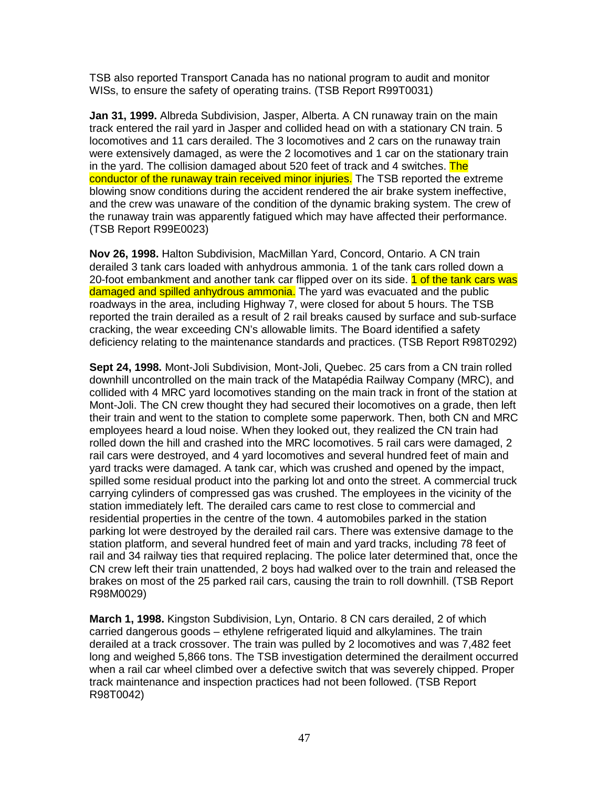TSB also reported Transport Canada has no national program to audit and monitor WISs, to ensure the safety of operating trains. (TSB Report R99T0031)

**Jan 31, 1999.** Albreda Subdivision, Jasper, Alberta. A CN runaway train on the main track entered the rail yard in Jasper and collided head on with a stationary CN train. 5 locomotives and 11 cars derailed. The 3 locomotives and 2 cars on the runaway train were extensively damaged, as were the 2 locomotives and 1 car on the stationary train in the yard. The collision damaged about 520 feet of track and 4 switches. The conductor of the runaway train received minor injuries. The TSB reported the extreme blowing snow conditions during the accident rendered the air brake system ineffective, and the crew was unaware of the condition of the dynamic braking system. The crew of the runaway train was apparently fatigued which may have affected their performance. (TSB Report R99E0023)

**Nov 26, 1998.** Halton Subdivision, MacMillan Yard, Concord, Ontario. A CN train derailed 3 tank cars loaded with anhydrous ammonia. 1 of the tank cars rolled down a 20-foot embankment and another tank car flipped over on its side. 1 of the tank cars was damaged and spilled anhydrous ammonia. The yard was evacuated and the public roadways in the area, including Highway 7, were closed for about 5 hours. The TSB reported the train derailed as a result of 2 rail breaks caused by surface and sub-surface cracking, the wear exceeding CN's allowable limits. The Board identified a safety deficiency relating to the maintenance standards and practices. (TSB Report R98T0292)

**Sept 24, 1998.** Mont-Joli Subdivision, Mont-Joli, Quebec. 25 cars from a CN train rolled downhill uncontrolled on the main track of the Matapédia Railway Company (MRC), and collided with 4 MRC yard locomotives standing on the main track in front of the station at Mont-Joli. The CN crew thought they had secured their locomotives on a grade, then left their train and went to the station to complete some paperwork. Then, both CN and MRC employees heard a loud noise. When they looked out, they realized the CN train had rolled down the hill and crashed into the MRC locomotives. 5 rail cars were damaged, 2 rail cars were destroyed, and 4 yard locomotives and several hundred feet of main and yard tracks were damaged. A tank car, which was crushed and opened by the impact, spilled some residual product into the parking lot and onto the street. A commercial truck carrying cylinders of compressed gas was crushed. The employees in the vicinity of the station immediately left. The derailed cars came to rest close to commercial and residential properties in the centre of the town. 4 automobiles parked in the station parking lot were destroyed by the derailed rail cars. There was extensive damage to the station platform, and several hundred feet of main and yard tracks, including 78 feet of rail and 34 railway ties that required replacing. The police later determined that, once the CN crew left their train unattended, 2 boys had walked over to the train and released the brakes on most of the 25 parked rail cars, causing the train to roll downhill. (TSB Report R98M0029)

**March 1, 1998.** Kingston Subdivision, Lyn, Ontario. 8 CN cars derailed, 2 of which carried dangerous goods – ethylene refrigerated liquid and alkylamines. The train derailed at a track crossover. The train was pulled by 2 locomotives and was 7,482 feet long and weighed 5,866 tons. The TSB investigation determined the derailment occurred when a rail car wheel climbed over a defective switch that was severely chipped. Proper track maintenance and inspection practices had not been followed. (TSB Report R98T0042)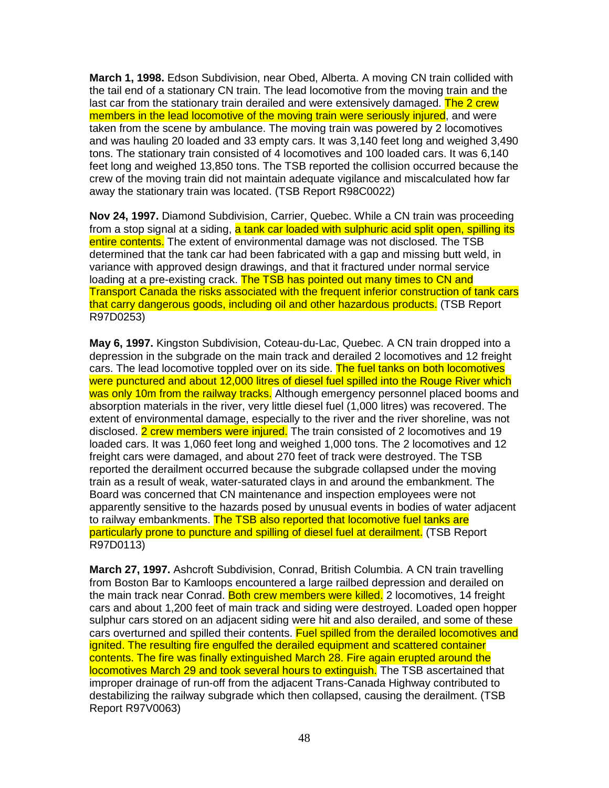**March 1, 1998.** Edson Subdivision, near Obed, Alberta. A moving CN train collided with the tail end of a stationary CN train. The lead locomotive from the moving train and the last car from the stationary train derailed and were extensively damaged. The 2 crew members in the lead locomotive of the moving train were seriously injured, and were taken from the scene by ambulance. The moving train was powered by 2 locomotives and was hauling 20 loaded and 33 empty cars. It was 3,140 feet long and weighed 3,490 tons. The stationary train consisted of 4 locomotives and 100 loaded cars. It was 6,140 feet long and weighed 13,850 tons. The TSB reported the collision occurred because the crew of the moving train did not maintain adequate vigilance and miscalculated how far away the stationary train was located. (TSB Report R98C0022)

**Nov 24, 1997.** Diamond Subdivision, Carrier, Quebec. While a CN train was proceeding from a stop signal at a siding, a tank car loaded with sulphuric acid split open, spilling its entire contents. The extent of environmental damage was not disclosed. The TSB determined that the tank car had been fabricated with a gap and missing butt weld, in variance with approved design drawings, and that it fractured under normal service loading at a pre-existing crack. The TSB has pointed out many times to CN and Transport Canada the risks associated with the frequent inferior construction of tank cars that carry dangerous goods, including oil and other hazardous products. (TSB Report R97D0253)

**May 6, 1997.** Kingston Subdivision, Coteau-du-Lac, Quebec. A CN train dropped into a depression in the subgrade on the main track and derailed 2 locomotives and 12 freight cars. The lead locomotive toppled over on its side. The fuel tanks on both locomotives were punctured and about 12,000 litres of diesel fuel spilled into the Rouge River which was only 10m from the railway tracks. Although emergency personnel placed booms and absorption materials in the river, very little diesel fuel (1,000 litres) was recovered. The extent of environmental damage, especially to the river and the river shoreline, was not disclosed. 2 crew members were injured. The train consisted of 2 locomotives and 19 loaded cars. It was 1,060 feet long and weighed 1,000 tons. The 2 locomotives and 12 freight cars were damaged, and about 270 feet of track were destroyed. The TSB reported the derailment occurred because the subgrade collapsed under the moving train as a result of weak, water-saturated clays in and around the embankment. The Board was concerned that CN maintenance and inspection employees were not apparently sensitive to the hazards posed by unusual events in bodies of water adjacent to railway embankments. The TSB also reported that locomotive fuel tanks are particularly prone to puncture and spilling of diesel fuel at derailment. (TSB Report R97D0113)

**March 27, 1997.** Ashcroft Subdivision, Conrad, British Columbia. A CN train travelling from Boston Bar to Kamloops encountered a large railbed depression and derailed on the main track near Conrad. Both crew members were killed. 2 locomotives, 14 freight cars and about 1,200 feet of main track and siding were destroyed. Loaded open hopper sulphur cars stored on an adjacent siding were hit and also derailed, and some of these cars overturned and spilled their contents. Fuel spilled from the derailed locomotives and ignited. The resulting fire engulfed the derailed equipment and scattered container contents. The fire was finally extinguished March 28. Fire again erupted around the locomotives March 29 and took several hours to extinguish. The TSB ascertained that improper drainage of run-off from the adjacent Trans-Canada Highway contributed to destabilizing the railway subgrade which then collapsed, causing the derailment. (TSB Report R97V0063)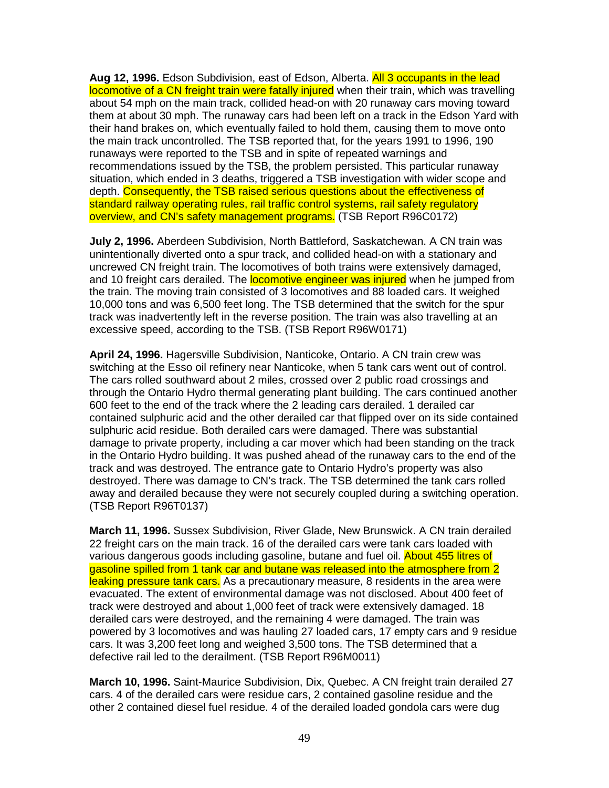**Aug 12, 1996.** Edson Subdivision, east of Edson, Alberta. All 3 occupants in the lead locomotive of a CN freight train were fatally injured when their train, which was travelling about 54 mph on the main track, collided head-on with 20 runaway cars moving toward them at about 30 mph. The runaway cars had been left on a track in the Edson Yard with their hand brakes on, which eventually failed to hold them, causing them to move onto the main track uncontrolled. The TSB reported that, for the years 1991 to 1996, 190 runaways were reported to the TSB and in spite of repeated warnings and recommendations issued by the TSB, the problem persisted. This particular runaway situation, which ended in 3 deaths, triggered a TSB investigation with wider scope and depth. Consequently, the TSB raised serious questions about the effectiveness of standard railway operating rules, rail traffic control systems, rail safety regulatory overview, and CN's safety management programs. (TSB Report R96C0172)

**July 2, 1996.** Aberdeen Subdivision, North Battleford, Saskatchewan. A CN train was unintentionally diverted onto a spur track, and collided head-on with a stationary and uncrewed CN freight train. The locomotives of both trains were extensively damaged, and 10 freight cars derailed. The **locomotive engineer was injured** when he jumped from the train. The moving train consisted of 3 locomotives and 88 loaded cars. It weighed 10,000 tons and was 6,500 feet long. The TSB determined that the switch for the spur track was inadvertently left in the reverse position. The train was also travelling at an excessive speed, according to the TSB. (TSB Report R96W0171)

**April 24, 1996.** Hagersville Subdivision, Nanticoke, Ontario. A CN train crew was switching at the Esso oil refinery near Nanticoke, when 5 tank cars went out of control. The cars rolled southward about 2 miles, crossed over 2 public road crossings and through the Ontario Hydro thermal generating plant building. The cars continued another 600 feet to the end of the track where the 2 leading cars derailed. 1 derailed car contained sulphuric acid and the other derailed car that flipped over on its side contained sulphuric acid residue. Both derailed cars were damaged. There was substantial damage to private property, including a car mover which had been standing on the track in the Ontario Hydro building. It was pushed ahead of the runaway cars to the end of the track and was destroyed. The entrance gate to Ontario Hydro's property was also destroyed. There was damage to CN's track. The TSB determined the tank cars rolled away and derailed because they were not securely coupled during a switching operation. (TSB Report R96T0137)

**March 11, 1996.** Sussex Subdivision, River Glade, New Brunswick. A CN train derailed 22 freight cars on the main track. 16 of the derailed cars were tank cars loaded with various dangerous goods including gasoline, butane and fuel oil. About 455 litres of gasoline spilled from 1 tank car and butane was released into the atmosphere from 2 leaking pressure tank cars. As a precautionary measure, 8 residents in the area were evacuated. The extent of environmental damage was not disclosed. About 400 feet of track were destroyed and about 1,000 feet of track were extensively damaged. 18 derailed cars were destroyed, and the remaining 4 were damaged. The train was powered by 3 locomotives and was hauling 27 loaded cars, 17 empty cars and 9 residue cars. It was 3,200 feet long and weighed 3,500 tons. The TSB determined that a defective rail led to the derailment. (TSB Report R96M0011)

**March 10, 1996.** Saint-Maurice Subdivision, Dix, Quebec. A CN freight train derailed 27 cars. 4 of the derailed cars were residue cars, 2 contained gasoline residue and the other 2 contained diesel fuel residue. 4 of the derailed loaded gondola cars were dug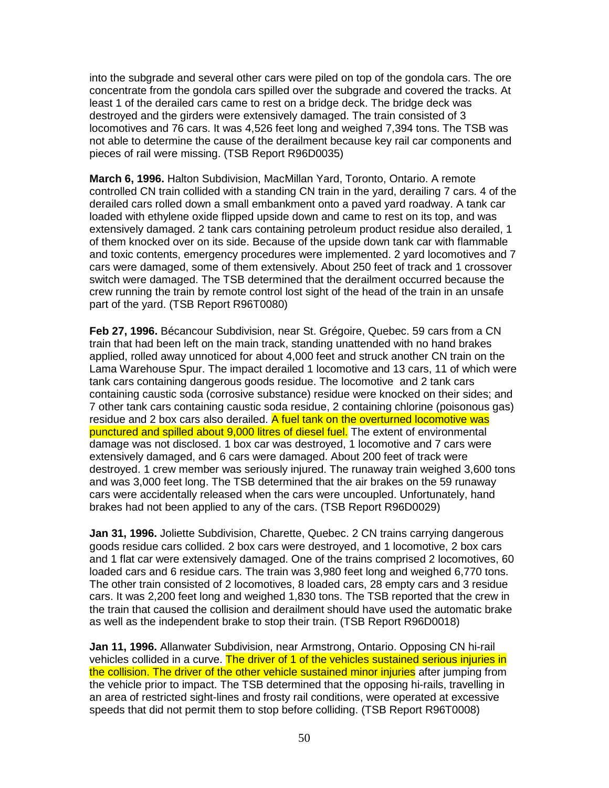into the subgrade and several other cars were piled on top of the gondola cars. The ore concentrate from the gondola cars spilled over the subgrade and covered the tracks. At least 1 of the derailed cars came to rest on a bridge deck. The bridge deck was destroyed and the girders were extensively damaged. The train consisted of 3 locomotives and 76 cars. It was 4,526 feet long and weighed 7,394 tons. The TSB was not able to determine the cause of the derailment because key rail car components and pieces of rail were missing. (TSB Report R96D0035)

**March 6, 1996.** Halton Subdivision, MacMillan Yard, Toronto, Ontario. A remote controlled CN train collided with a standing CN train in the yard, derailing 7 cars. 4 of the derailed cars rolled down a small embankment onto a paved yard roadway. A tank car loaded with ethylene oxide flipped upside down and came to rest on its top, and was extensively damaged. 2 tank cars containing petroleum product residue also derailed, 1 of them knocked over on its side. Because of the upside down tank car with flammable and toxic contents, emergency procedures were implemented. 2 yard locomotives and 7 cars were damaged, some of them extensively. About 250 feet of track and 1 crossover switch were damaged. The TSB determined that the derailment occurred because the crew running the train by remote control lost sight of the head of the train in an unsafe part of the yard. (TSB Report R96T0080)

**Feb 27, 1996.** Bécancour Subdivision, near St. Grégoire, Quebec. 59 cars from a CN train that had been left on the main track, standing unattended with no hand brakes applied, rolled away unnoticed for about 4,000 feet and struck another CN train on the Lama Warehouse Spur. The impact derailed 1 locomotive and 13 cars, 11 of which were tank cars containing dangerous goods residue. The locomotive and 2 tank cars containing caustic soda (corrosive substance) residue were knocked on their sides; and 7 other tank cars containing caustic soda residue, 2 containing chlorine (poisonous gas) residue and 2 box cars also derailed. A fuel tank on the overturned locomotive was punctured and spilled about 9,000 litres of diesel fuel. The extent of environmental damage was not disclosed. 1 box car was destroyed, 1 locomotive and 7 cars were extensively damaged, and 6 cars were damaged. About 200 feet of track were destroyed. 1 crew member was seriously injured. The runaway train weighed 3,600 tons and was 3,000 feet long. The TSB determined that the air brakes on the 59 runaway cars were accidentally released when the cars were uncoupled. Unfortunately, hand brakes had not been applied to any of the cars. (TSB Report R96D0029)

**Jan 31, 1996.** Joliette Subdivision, Charette, Quebec. 2 CN trains carrying dangerous goods residue cars collided. 2 box cars were destroyed, and 1 locomotive, 2 box cars and 1 flat car were extensively damaged. One of the trains comprised 2 locomotives, 60 loaded cars and 6 residue cars. The train was 3,980 feet long and weighed 6,770 tons. The other train consisted of 2 locomotives, 8 loaded cars, 28 empty cars and 3 residue cars. It was 2,200 feet long and weighed 1,830 tons. The TSB reported that the crew in the train that caused the collision and derailment should have used the automatic brake as well as the independent brake to stop their train. (TSB Report R96D0018)

**Jan 11, 1996.** Allanwater Subdivision, near Armstrong, Ontario. Opposing CN hi-rail vehicles collided in a curve. The driver of 1 of the vehicles sustained serious injuries in the collision. The driver of the other vehicle sustained minor injuries after jumping from the vehicle prior to impact. The TSB determined that the opposing hi-rails, travelling in an area of restricted sight-lines and frosty rail conditions, were operated at excessive speeds that did not permit them to stop before colliding. (TSB Report R96T0008)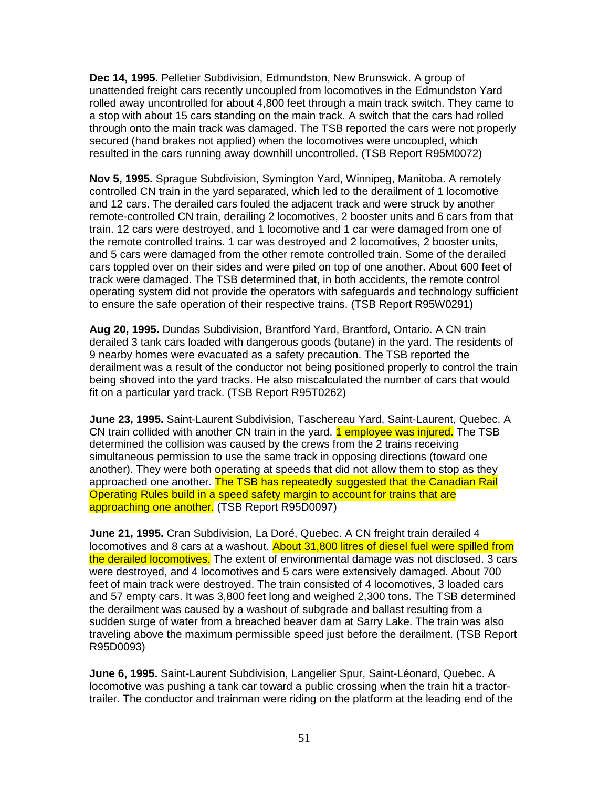**Dec 14, 1995.** Pelletier Subdivision, Edmundston, New Brunswick. A group of unattended freight cars recently uncoupled from locomotives in the Edmundston Yard rolled away uncontrolled for about 4,800 feet through a main track switch. They came to a stop with about 15 cars standing on the main track. A switch that the cars had rolled through onto the main track was damaged. The TSB reported the cars were not properly secured (hand brakes not applied) when the locomotives were uncoupled, which resulted in the cars running away downhill uncontrolled. (TSB Report R95M0072)

**Nov 5, 1995.** Sprague Subdivision, Symington Yard, Winnipeg, Manitoba. A remotely controlled CN train in the yard separated, which led to the derailment of 1 locomotive and 12 cars. The derailed cars fouled the adjacent track and were struck by another remote-controlled CN train, derailing 2 locomotives, 2 booster units and 6 cars from that train. 12 cars were destroyed, and 1 locomotive and 1 car were damaged from one of the remote controlled trains. 1 car was destroyed and 2 locomotives, 2 booster units, and 5 cars were damaged from the other remote controlled train. Some of the derailed cars toppled over on their sides and were piled on top of one another. About 600 feet of track were damaged. The TSB determined that, in both accidents, the remote control operating system did not provide the operators with safeguards and technology sufficient to ensure the safe operation of their respective trains. (TSB Report R95W0291)

**Aug 20, 1995.** Dundas Subdivision, Brantford Yard, Brantford, Ontario. A CN train derailed 3 tank cars loaded with dangerous goods (butane) in the yard. The residents of 9 nearby homes were evacuated as a safety precaution. The TSB reported the derailment was a result of the conductor not being positioned properly to control the train being shoved into the yard tracks. He also miscalculated the number of cars that would fit on a particular yard track. (TSB Report R95T0262)

**June 23, 1995.** Saint-Laurent Subdivision, Taschereau Yard, Saint-Laurent, Quebec. A CN train collided with another CN train in the yard. 1 employee was injured. The TSB determined the collision was caused by the crews from the 2 trains receiving simultaneous permission to use the same track in opposing directions (toward one another). They were both operating at speeds that did not allow them to stop as they approached one another. The TSB has repeatedly suggested that the Canadian Rail Operating Rules build in a speed safety margin to account for trains that are approaching one another. (TSB Report R95D0097)

**June 21, 1995.** Cran Subdivision, La Doré, Quebec. A CN freight train derailed 4 locomotives and 8 cars at a washout. About 31,800 litres of diesel fuel were spilled from the derailed locomotives. The extent of environmental damage was not disclosed. 3 cars were destroyed, and 4 locomotives and 5 cars were extensively damaged. About 700 feet of main track were destroyed. The train consisted of 4 locomotives, 3 loaded cars and 57 empty cars. It was 3,800 feet long and weighed 2,300 tons. The TSB determined the derailment was caused by a washout of subgrade and ballast resulting from a sudden surge of water from a breached beaver dam at Sarry Lake. The train was also traveling above the maximum permissible speed just before the derailment. (TSB Report R95D0093)

**June 6, 1995.** Saint-Laurent Subdivision, Langelier Spur, Saint-Léonard, Quebec. A locomotive was pushing a tank car toward a public crossing when the train hit a tractortrailer. The conductor and trainman were riding on the platform at the leading end of the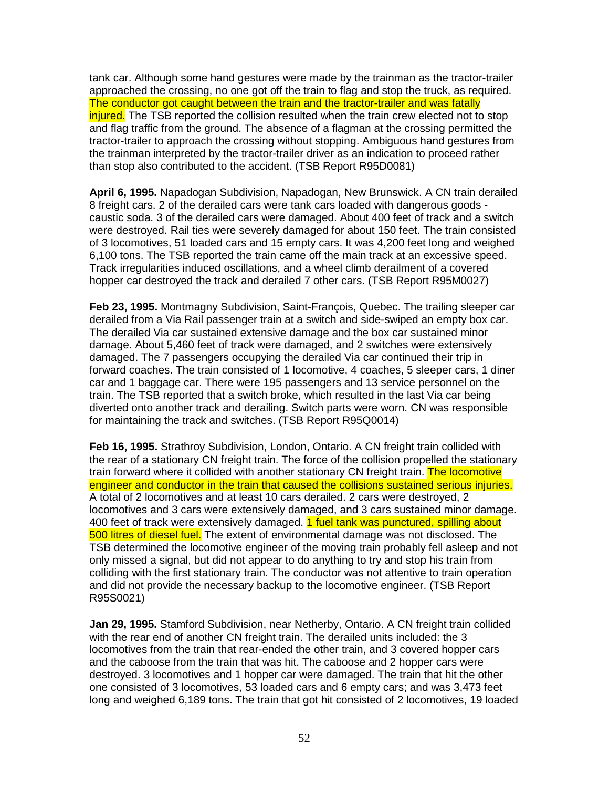tank car. Although some hand gestures were made by the trainman as the tractor-trailer approached the crossing, no one got off the train to flag and stop the truck, as required. The conductor got caught between the train and the tractor-trailer and was fatally injured. The TSB reported the collision resulted when the train crew elected not to stop and flag traffic from the ground. The absence of a flagman at the crossing permitted the tractor-trailer to approach the crossing without stopping. Ambiguous hand gestures from the trainman interpreted by the tractor-trailer driver as an indication to proceed rather than stop also contributed to the accident. (TSB Report R95D0081)

**April 6, 1995.** Napadogan Subdivision, Napadogan, New Brunswick. A CN train derailed 8 freight cars. 2 of the derailed cars were tank cars loaded with dangerous goods caustic soda. 3 of the derailed cars were damaged. About 400 feet of track and a switch were destroyed. Rail ties were severely damaged for about 150 feet. The train consisted of 3 locomotives, 51 loaded cars and 15 empty cars. It was 4,200 feet long and weighed 6,100 tons. The TSB reported the train came off the main track at an excessive speed. Track irregularities induced oscillations, and a wheel climb derailment of a covered hopper car destroyed the track and derailed 7 other cars. (TSB Report R95M0027)

**Feb 23, 1995.** Montmagny Subdivision, Saint-François, Quebec. The trailing sleeper car derailed from a Via Rail passenger train at a switch and side-swiped an empty box car. The derailed Via car sustained extensive damage and the box car sustained minor damage. About 5,460 feet of track were damaged, and 2 switches were extensively damaged. The 7 passengers occupying the derailed Via car continued their trip in forward coaches. The train consisted of 1 locomotive, 4 coaches, 5 sleeper cars, 1 diner car and 1 baggage car. There were 195 passengers and 13 service personnel on the train. The TSB reported that a switch broke, which resulted in the last Via car being diverted onto another track and derailing. Switch parts were worn. CN was responsible for maintaining the track and switches. (TSB Report R95Q0014)

**Feb 16, 1995.** Strathroy Subdivision, London, Ontario. A CN freight train collided with the rear of a stationary CN freight train. The force of the collision propelled the stationary train forward where it collided with another stationary CN freight train. The locomotive engineer and conductor in the train that caused the collisions sustained serious injuries. A total of 2 locomotives and at least 10 cars derailed. 2 cars were destroyed, 2 locomotives and 3 cars were extensively damaged, and 3 cars sustained minor damage. 400 feet of track were extensively damaged. 1 fuel tank was punctured, spilling about 500 litres of diesel fuel. The extent of environmental damage was not disclosed. The TSB determined the locomotive engineer of the moving train probably fell asleep and not only missed a signal, but did not appear to do anything to try and stop his train from colliding with the first stationary train. The conductor was not attentive to train operation and did not provide the necessary backup to the locomotive engineer. (TSB Report R95S0021)

**Jan 29, 1995.** Stamford Subdivision, near Netherby, Ontario. A CN freight train collided with the rear end of another CN freight train. The derailed units included: the 3 locomotives from the train that rear-ended the other train, and 3 covered hopper cars and the caboose from the train that was hit. The caboose and 2 hopper cars were destroyed. 3 locomotives and 1 hopper car were damaged. The train that hit the other one consisted of 3 locomotives, 53 loaded cars and 6 empty cars; and was 3,473 feet long and weighed 6,189 tons. The train that got hit consisted of 2 locomotives, 19 loaded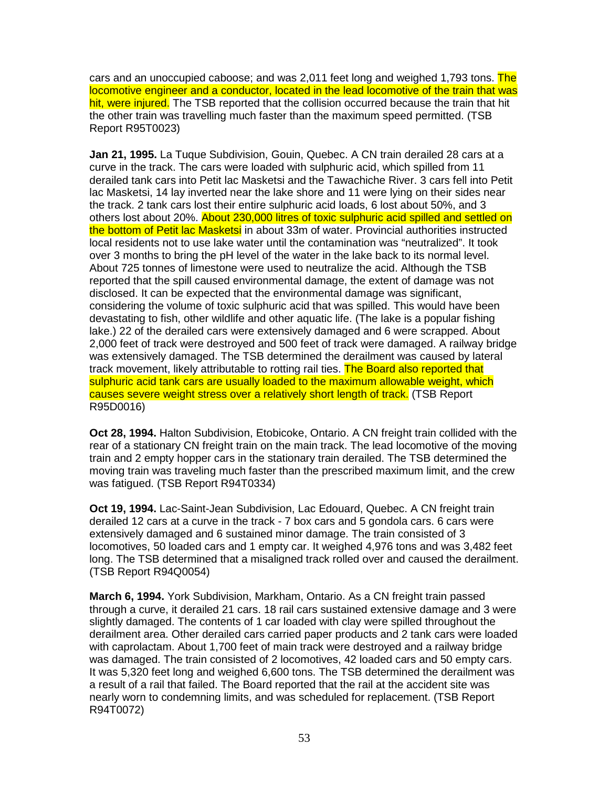cars and an unoccupied caboose; and was 2,011 feet long and weighed 1,793 tons. The locomotive engineer and a conductor, located in the lead locomotive of the train that was hit, were injured. The TSB reported that the collision occurred because the train that hit the other train was travelling much faster than the maximum speed permitted. (TSB Report R95T0023)

**Jan 21, 1995.** La Tuque Subdivision, Gouin, Quebec. A CN train derailed 28 cars at a curve in the track. The cars were loaded with sulphuric acid, which spilled from 11 derailed tank cars into Petit lac Masketsi and the Tawachiche River. 3 cars fell into Petit lac Masketsi, 14 lay inverted near the lake shore and 11 were lying on their sides near the track. 2 tank cars lost their entire sulphuric acid loads, 6 lost about 50%, and 3 others lost about 20%. About 230,000 litres of toxic sulphuric acid spilled and settled on the bottom of Petit lac Masketsi in about 33m of water. Provincial authorities instructed local residents not to use lake water until the contamination was "neutralized". It took over 3 months to bring the pH level of the water in the lake back to its normal level. About 725 tonnes of limestone were used to neutralize the acid. Although the TSB reported that the spill caused environmental damage, the extent of damage was not disclosed. It can be expected that the environmental damage was significant, considering the volume of toxic sulphuric acid that was spilled. This would have been devastating to fish, other wildlife and other aquatic life. (The lake is a popular fishing lake.) 22 of the derailed cars were extensively damaged and 6 were scrapped. About 2,000 feet of track were destroyed and 500 feet of track were damaged. A railway bridge was extensively damaged. The TSB determined the derailment was caused by lateral track movement, likely attributable to rotting rail ties. The Board also reported that sulphuric acid tank cars are usually loaded to the maximum allowable weight, which causes severe weight stress over a relatively short length of track. (TSB Report R95D0016)

**Oct 28, 1994.** Halton Subdivision, Etobicoke, Ontario. A CN freight train collided with the rear of a stationary CN freight train on the main track. The lead locomotive of the moving train and 2 empty hopper cars in the stationary train derailed. The TSB determined the moving train was traveling much faster than the prescribed maximum limit, and the crew was fatigued. (TSB Report R94T0334)

**Oct 19, 1994.** Lac-Saint-Jean Subdivision, Lac Edouard, Quebec. A CN freight train derailed 12 cars at a curve in the track - 7 box cars and 5 gondola cars. 6 cars were extensively damaged and 6 sustained minor damage. The train consisted of 3 locomotives, 50 loaded cars and 1 empty car. It weighed 4,976 tons and was 3,482 feet long. The TSB determined that a misaligned track rolled over and caused the derailment. (TSB Report R94Q0054)

**March 6, 1994.** York Subdivision, Markham, Ontario. As a CN freight train passed through a curve, it derailed 21 cars. 18 rail cars sustained extensive damage and 3 were slightly damaged. The contents of 1 car loaded with clay were spilled throughout the derailment area. Other derailed cars carried paper products and 2 tank cars were loaded with caprolactam. About 1,700 feet of main track were destroyed and a railway bridge was damaged. The train consisted of 2 locomotives, 42 loaded cars and 50 empty cars. It was 5,320 feet long and weighed 6,600 tons. The TSB determined the derailment was a result of a rail that failed. The Board reported that the rail at the accident site was nearly worn to condemning limits, and was scheduled for replacement. (TSB Report R94T0072)